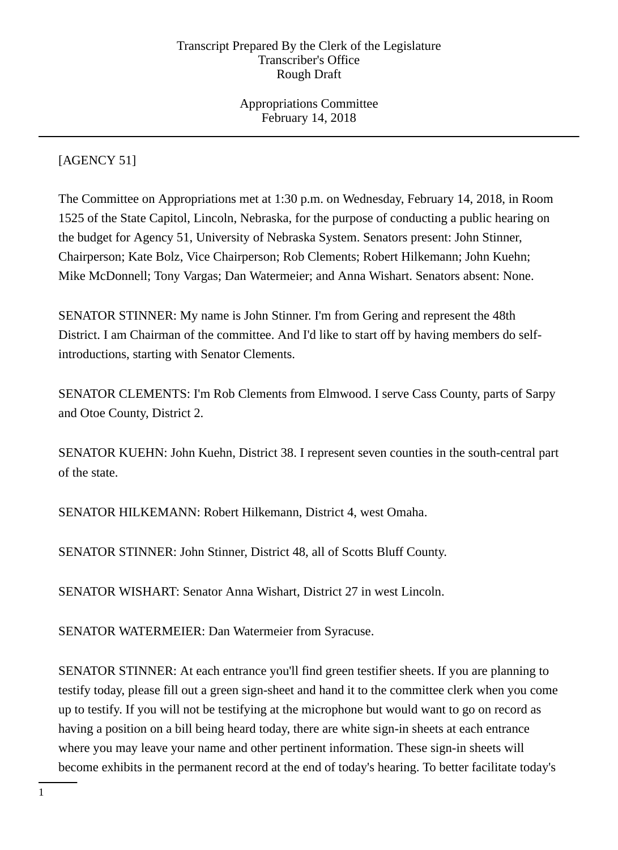Appropriations Committee February 14, 2018

# [AGENCY 51]

The Committee on Appropriations met at 1:30 p.m. on Wednesday, February 14, 2018, in Room 1525 of the State Capitol, Lincoln, Nebraska, for the purpose of conducting a public hearing on the budget for Agency 51, University of Nebraska System. Senators present: John Stinner, Chairperson; Kate Bolz, Vice Chairperson; Rob Clements; Robert Hilkemann; John Kuehn; Mike McDonnell; Tony Vargas; Dan Watermeier; and Anna Wishart. Senators absent: None.

SENATOR STINNER: My name is John Stinner. I'm from Gering and represent the 48th District. I am Chairman of the committee. And I'd like to start off by having members do selfintroductions, starting with Senator Clements.

SENATOR CLEMENTS: I'm Rob Clements from Elmwood. I serve Cass County, parts of Sarpy and Otoe County, District 2.

SENATOR KUEHN: John Kuehn, District 38. I represent seven counties in the south-central part of the state.

SENATOR HILKEMANN: Robert Hilkemann, District 4, west Omaha.

SENATOR STINNER: John Stinner, District 48, all of Scotts Bluff County.

SENATOR WISHART: Senator Anna Wishart, District 27 in west Lincoln.

SENATOR WATERMEIER: Dan Watermeier from Syracuse.

SENATOR STINNER: At each entrance you'll find green testifier sheets. If you are planning to testify today, please fill out a green sign-sheet and hand it to the committee clerk when you come up to testify. If you will not be testifying at the microphone but would want to go on record as having a position on a bill being heard today, there are white sign-in sheets at each entrance where you may leave your name and other pertinent information. These sign-in sheets will become exhibits in the permanent record at the end of today's hearing. To better facilitate today's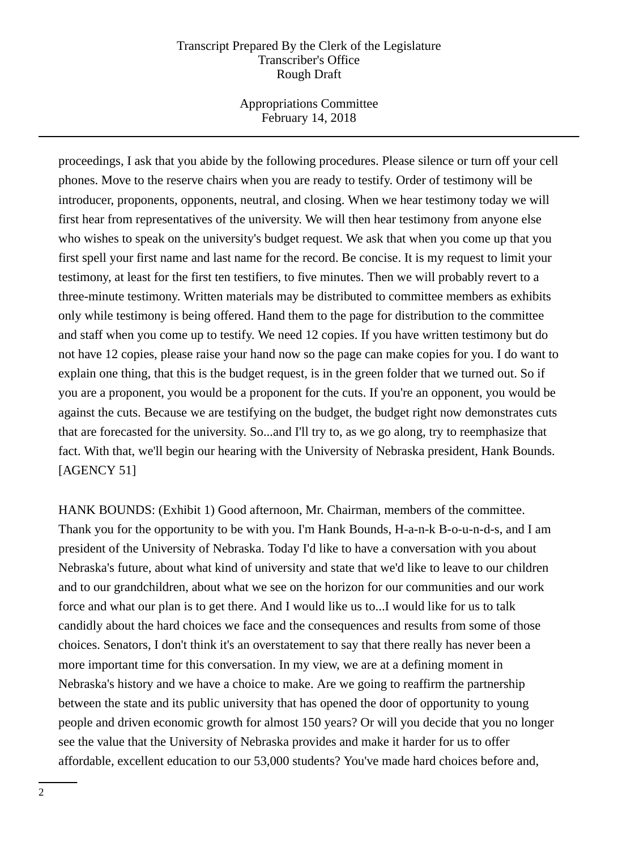Appropriations Committee February 14, 2018

proceedings, I ask that you abide by the following procedures. Please silence or turn off your cell phones. Move to the reserve chairs when you are ready to testify. Order of testimony will be introducer, proponents, opponents, neutral, and closing. When we hear testimony today we will first hear from representatives of the university. We will then hear testimony from anyone else who wishes to speak on the university's budget request. We ask that when you come up that you first spell your first name and last name for the record. Be concise. It is my request to limit your testimony, at least for the first ten testifiers, to five minutes. Then we will probably revert to a three-minute testimony. Written materials may be distributed to committee members as exhibits only while testimony is being offered. Hand them to the page for distribution to the committee and staff when you come up to testify. We need 12 copies. If you have written testimony but do not have 12 copies, please raise your hand now so the page can make copies for you. I do want to explain one thing, that this is the budget request, is in the green folder that we turned out. So if you are a proponent, you would be a proponent for the cuts. If you're an opponent, you would be against the cuts. Because we are testifying on the budget, the budget right now demonstrates cuts that are forecasted for the university. So...and I'll try to, as we go along, try to reemphasize that fact. With that, we'll begin our hearing with the University of Nebraska president, Hank Bounds. [AGENCY 51]

HANK BOUNDS: (Exhibit 1) Good afternoon, Mr. Chairman, members of the committee. Thank you for the opportunity to be with you. I'm Hank Bounds, H-a-n-k B-o-u-n-d-s, and I am president of the University of Nebraska. Today I'd like to have a conversation with you about Nebraska's future, about what kind of university and state that we'd like to leave to our children and to our grandchildren, about what we see on the horizon for our communities and our work force and what our plan is to get there. And I would like us to...I would like for us to talk candidly about the hard choices we face and the consequences and results from some of those choices. Senators, I don't think it's an overstatement to say that there really has never been a more important time for this conversation. In my view, we are at a defining moment in Nebraska's history and we have a choice to make. Are we going to reaffirm the partnership between the state and its public university that has opened the door of opportunity to young people and driven economic growth for almost 150 years? Or will you decide that you no longer see the value that the University of Nebraska provides and make it harder for us to offer affordable, excellent education to our 53,000 students? You've made hard choices before and,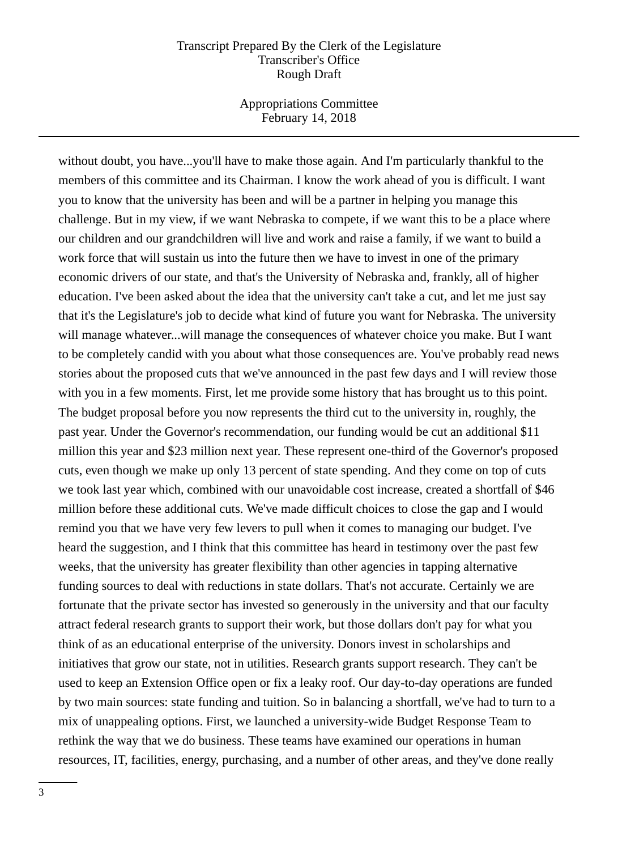Appropriations Committee February 14, 2018

without doubt, you have...you'll have to make those again. And I'm particularly thankful to the members of this committee and its Chairman. I know the work ahead of you is difficult. I want you to know that the university has been and will be a partner in helping you manage this challenge. But in my view, if we want Nebraska to compete, if we want this to be a place where our children and our grandchildren will live and work and raise a family, if we want to build a work force that will sustain us into the future then we have to invest in one of the primary economic drivers of our state, and that's the University of Nebraska and, frankly, all of higher education. I've been asked about the idea that the university can't take a cut, and let me just say that it's the Legislature's job to decide what kind of future you want for Nebraska. The university will manage whatever...will manage the consequences of whatever choice you make. But I want to be completely candid with you about what those consequences are. You've probably read news stories about the proposed cuts that we've announced in the past few days and I will review those with you in a few moments. First, let me provide some history that has brought us to this point. The budget proposal before you now represents the third cut to the university in, roughly, the past year. Under the Governor's recommendation, our funding would be cut an additional \$11 million this year and \$23 million next year. These represent one-third of the Governor's proposed cuts, even though we make up only 13 percent of state spending. And they come on top of cuts we took last year which, combined with our unavoidable cost increase, created a shortfall of \$46 million before these additional cuts. We've made difficult choices to close the gap and I would remind you that we have very few levers to pull when it comes to managing our budget. I've heard the suggestion, and I think that this committee has heard in testimony over the past few weeks, that the university has greater flexibility than other agencies in tapping alternative funding sources to deal with reductions in state dollars. That's not accurate. Certainly we are fortunate that the private sector has invested so generously in the university and that our faculty attract federal research grants to support their work, but those dollars don't pay for what you think of as an educational enterprise of the university. Donors invest in scholarships and initiatives that grow our state, not in utilities. Research grants support research. They can't be used to keep an Extension Office open or fix a leaky roof. Our day-to-day operations are funded by two main sources: state funding and tuition. So in balancing a shortfall, we've had to turn to a mix of unappealing options. First, we launched a university-wide Budget Response Team to rethink the way that we do business. These teams have examined our operations in human resources, IT, facilities, energy, purchasing, and a number of other areas, and they've done really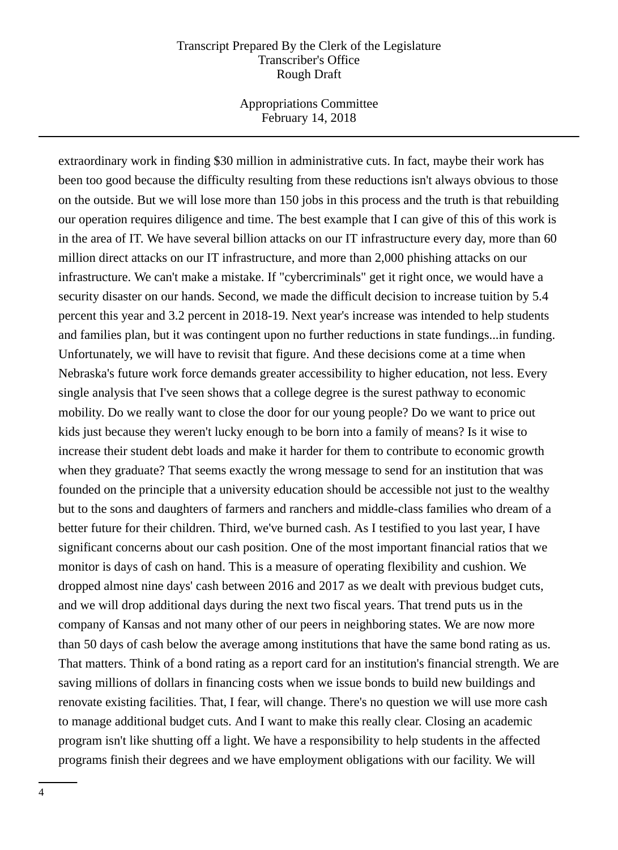Appropriations Committee February 14, 2018

extraordinary work in finding \$30 million in administrative cuts. In fact, maybe their work has been too good because the difficulty resulting from these reductions isn't always obvious to those on the outside. But we will lose more than 150 jobs in this process and the truth is that rebuilding our operation requires diligence and time. The best example that I can give of this of this work is in the area of IT. We have several billion attacks on our IT infrastructure every day, more than 60 million direct attacks on our IT infrastructure, and more than 2,000 phishing attacks on our infrastructure. We can't make a mistake. If "cybercriminals" get it right once, we would have a security disaster on our hands. Second, we made the difficult decision to increase tuition by 5.4 percent this year and 3.2 percent in 2018-19. Next year's increase was intended to help students and families plan, but it was contingent upon no further reductions in state fundings...in funding. Unfortunately, we will have to revisit that figure. And these decisions come at a time when Nebraska's future work force demands greater accessibility to higher education, not less. Every single analysis that I've seen shows that a college degree is the surest pathway to economic mobility. Do we really want to close the door for our young people? Do we want to price out kids just because they weren't lucky enough to be born into a family of means? Is it wise to increase their student debt loads and make it harder for them to contribute to economic growth when they graduate? That seems exactly the wrong message to send for an institution that was founded on the principle that a university education should be accessible not just to the wealthy but to the sons and daughters of farmers and ranchers and middle-class families who dream of a better future for their children. Third, we've burned cash. As I testified to you last year, I have significant concerns about our cash position. One of the most important financial ratios that we monitor is days of cash on hand. This is a measure of operating flexibility and cushion. We dropped almost nine days' cash between 2016 and 2017 as we dealt with previous budget cuts, and we will drop additional days during the next two fiscal years. That trend puts us in the company of Kansas and not many other of our peers in neighboring states. We are now more than 50 days of cash below the average among institutions that have the same bond rating as us. That matters. Think of a bond rating as a report card for an institution's financial strength. We are saving millions of dollars in financing costs when we issue bonds to build new buildings and renovate existing facilities. That, I fear, will change. There's no question we will use more cash to manage additional budget cuts. And I want to make this really clear. Closing an academic program isn't like shutting off a light. We have a responsibility to help students in the affected programs finish their degrees and we have employment obligations with our facility. We will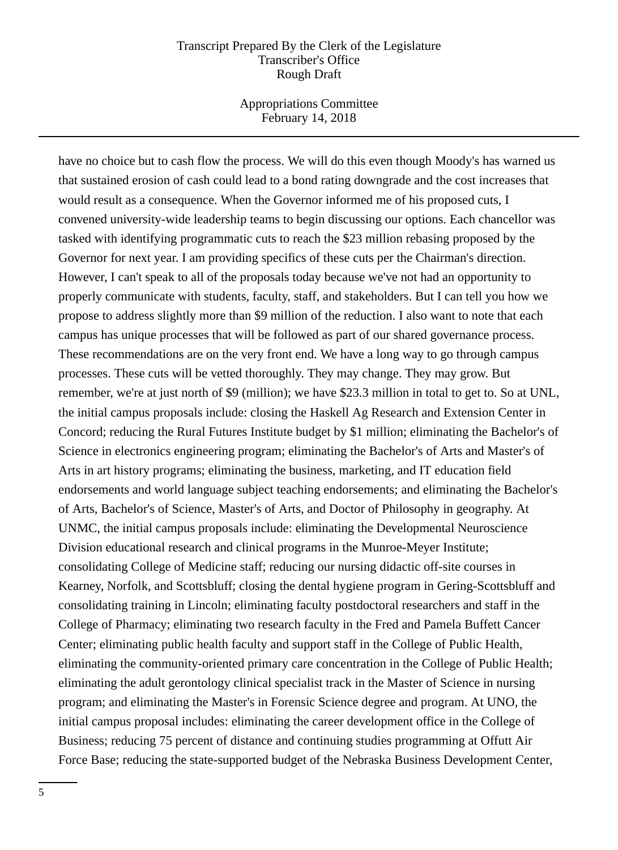Appropriations Committee February 14, 2018

have no choice but to cash flow the process. We will do this even though Moody's has warned us that sustained erosion of cash could lead to a bond rating downgrade and the cost increases that would result as a consequence. When the Governor informed me of his proposed cuts, I convened university-wide leadership teams to begin discussing our options. Each chancellor was tasked with identifying programmatic cuts to reach the \$23 million rebasing proposed by the Governor for next year. I am providing specifics of these cuts per the Chairman's direction. However, I can't speak to all of the proposals today because we've not had an opportunity to properly communicate with students, faculty, staff, and stakeholders. But I can tell you how we propose to address slightly more than \$9 million of the reduction. I also want to note that each campus has unique processes that will be followed as part of our shared governance process. These recommendations are on the very front end. We have a long way to go through campus processes. These cuts will be vetted thoroughly. They may change. They may grow. But remember, we're at just north of \$9 (million); we have \$23.3 million in total to get to. So at UNL, the initial campus proposals include: closing the Haskell Ag Research and Extension Center in Concord; reducing the Rural Futures Institute budget by \$1 million; eliminating the Bachelor's of Science in electronics engineering program; eliminating the Bachelor's of Arts and Master's of Arts in art history programs; eliminating the business, marketing, and IT education field endorsements and world language subject teaching endorsements; and eliminating the Bachelor's of Arts, Bachelor's of Science, Master's of Arts, and Doctor of Philosophy in geography. At UNMC, the initial campus proposals include: eliminating the Developmental Neuroscience Division educational research and clinical programs in the Munroe-Meyer Institute; consolidating College of Medicine staff; reducing our nursing didactic off-site courses in Kearney, Norfolk, and Scottsbluff; closing the dental hygiene program in Gering-Scottsbluff and consolidating training in Lincoln; eliminating faculty postdoctoral researchers and staff in the College of Pharmacy; eliminating two research faculty in the Fred and Pamela Buffett Cancer Center; eliminating public health faculty and support staff in the College of Public Health, eliminating the community-oriented primary care concentration in the College of Public Health; eliminating the adult gerontology clinical specialist track in the Master of Science in nursing program; and eliminating the Master's in Forensic Science degree and program. At UNO, the initial campus proposal includes: eliminating the career development office in the College of Business; reducing 75 percent of distance and continuing studies programming at Offutt Air Force Base; reducing the state-supported budget of the Nebraska Business Development Center,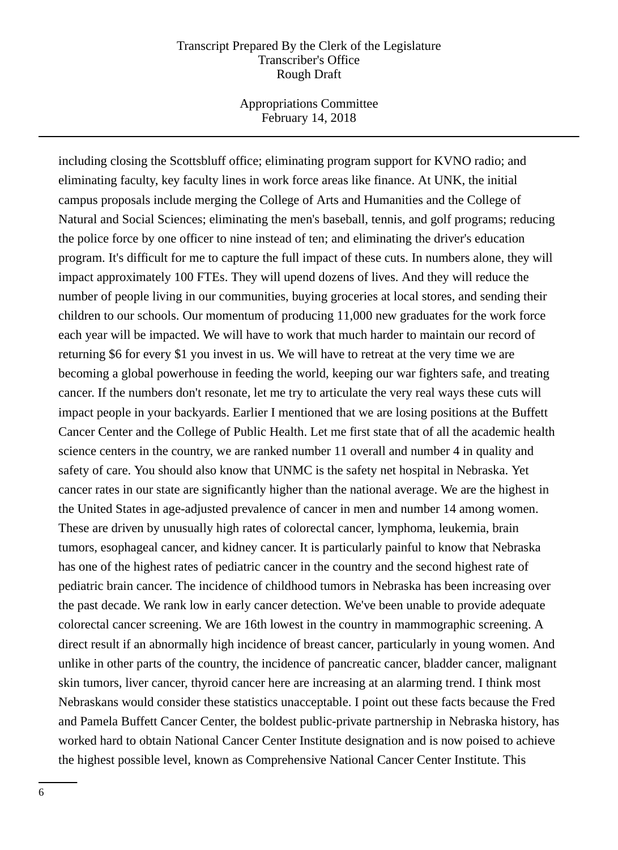Appropriations Committee February 14, 2018

including closing the Scottsbluff office; eliminating program support for KVNO radio; and eliminating faculty, key faculty lines in work force areas like finance. At UNK, the initial campus proposals include merging the College of Arts and Humanities and the College of Natural and Social Sciences; eliminating the men's baseball, tennis, and golf programs; reducing the police force by one officer to nine instead of ten; and eliminating the driver's education program. It's difficult for me to capture the full impact of these cuts. In numbers alone, they will impact approximately 100 FTEs. They will upend dozens of lives. And they will reduce the number of people living in our communities, buying groceries at local stores, and sending their children to our schools. Our momentum of producing 11,000 new graduates for the work force each year will be impacted. We will have to work that much harder to maintain our record of returning \$6 for every \$1 you invest in us. We will have to retreat at the very time we are becoming a global powerhouse in feeding the world, keeping our war fighters safe, and treating cancer. If the numbers don't resonate, let me try to articulate the very real ways these cuts will impact people in your backyards. Earlier I mentioned that we are losing positions at the Buffett Cancer Center and the College of Public Health. Let me first state that of all the academic health science centers in the country, we are ranked number 11 overall and number 4 in quality and safety of care. You should also know that UNMC is the safety net hospital in Nebraska. Yet cancer rates in our state are significantly higher than the national average. We are the highest in the United States in age-adjusted prevalence of cancer in men and number 14 among women. These are driven by unusually high rates of colorectal cancer, lymphoma, leukemia, brain tumors, esophageal cancer, and kidney cancer. It is particularly painful to know that Nebraska has one of the highest rates of pediatric cancer in the country and the second highest rate of pediatric brain cancer. The incidence of childhood tumors in Nebraska has been increasing over the past decade. We rank low in early cancer detection. We've been unable to provide adequate colorectal cancer screening. We are 16th lowest in the country in mammographic screening. A direct result if an abnormally high incidence of breast cancer, particularly in young women. And unlike in other parts of the country, the incidence of pancreatic cancer, bladder cancer, malignant skin tumors, liver cancer, thyroid cancer here are increasing at an alarming trend. I think most Nebraskans would consider these statistics unacceptable. I point out these facts because the Fred and Pamela Buffett Cancer Center, the boldest public-private partnership in Nebraska history, has worked hard to obtain National Cancer Center Institute designation and is now poised to achieve the highest possible level, known as Comprehensive National Cancer Center Institute. This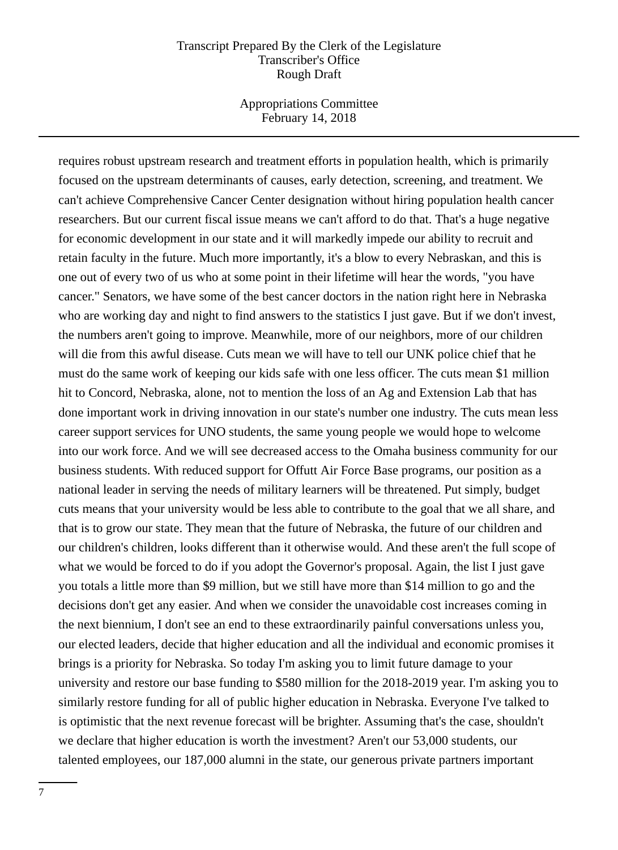Appropriations Committee February 14, 2018

requires robust upstream research and treatment efforts in population health, which is primarily focused on the upstream determinants of causes, early detection, screening, and treatment. We can't achieve Comprehensive Cancer Center designation without hiring population health cancer researchers. But our current fiscal issue means we can't afford to do that. That's a huge negative for economic development in our state and it will markedly impede our ability to recruit and retain faculty in the future. Much more importantly, it's a blow to every Nebraskan, and this is one out of every two of us who at some point in their lifetime will hear the words, "you have cancer." Senators, we have some of the best cancer doctors in the nation right here in Nebraska who are working day and night to find answers to the statistics I just gave. But if we don't invest, the numbers aren't going to improve. Meanwhile, more of our neighbors, more of our children will die from this awful disease. Cuts mean we will have to tell our UNK police chief that he must do the same work of keeping our kids safe with one less officer. The cuts mean \$1 million hit to Concord, Nebraska, alone, not to mention the loss of an Ag and Extension Lab that has done important work in driving innovation in our state's number one industry. The cuts mean less career support services for UNO students, the same young people we would hope to welcome into our work force. And we will see decreased access to the Omaha business community for our business students. With reduced support for Offutt Air Force Base programs, our position as a national leader in serving the needs of military learners will be threatened. Put simply, budget cuts means that your university would be less able to contribute to the goal that we all share, and that is to grow our state. They mean that the future of Nebraska, the future of our children and our children's children, looks different than it otherwise would. And these aren't the full scope of what we would be forced to do if you adopt the Governor's proposal. Again, the list I just gave you totals a little more than \$9 million, but we still have more than \$14 million to go and the decisions don't get any easier. And when we consider the unavoidable cost increases coming in the next biennium, I don't see an end to these extraordinarily painful conversations unless you, our elected leaders, decide that higher education and all the individual and economic promises it brings is a priority for Nebraska. So today I'm asking you to limit future damage to your university and restore our base funding to \$580 million for the 2018-2019 year. I'm asking you to similarly restore funding for all of public higher education in Nebraska. Everyone I've talked to is optimistic that the next revenue forecast will be brighter. Assuming that's the case, shouldn't we declare that higher education is worth the investment? Aren't our 53,000 students, our talented employees, our 187,000 alumni in the state, our generous private partners important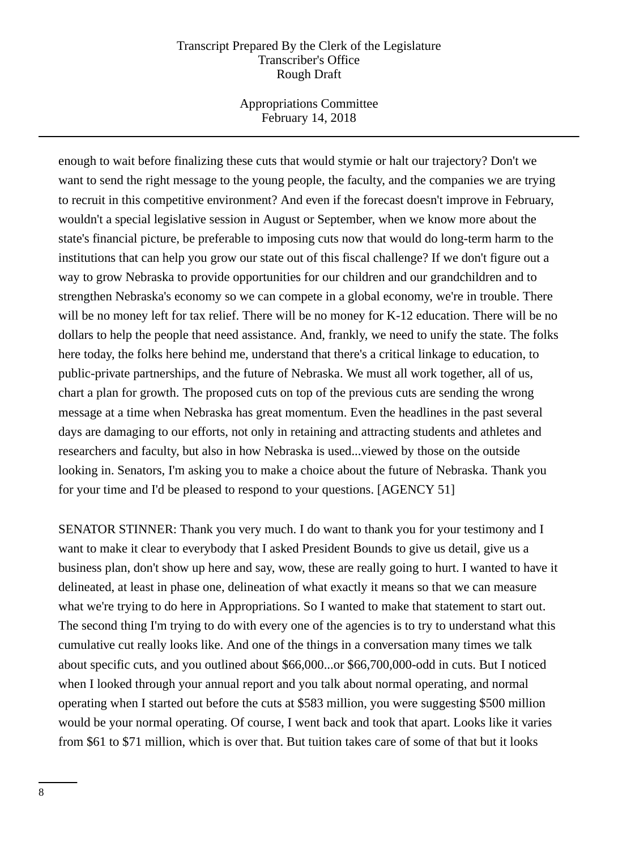Appropriations Committee February 14, 2018

enough to wait before finalizing these cuts that would stymie or halt our trajectory? Don't we want to send the right message to the young people, the faculty, and the companies we are trying to recruit in this competitive environment? And even if the forecast doesn't improve in February, wouldn't a special legislative session in August or September, when we know more about the state's financial picture, be preferable to imposing cuts now that would do long-term harm to the institutions that can help you grow our state out of this fiscal challenge? If we don't figure out a way to grow Nebraska to provide opportunities for our children and our grandchildren and to strengthen Nebraska's economy so we can compete in a global economy, we're in trouble. There will be no money left for tax relief. There will be no money for K-12 education. There will be no dollars to help the people that need assistance. And, frankly, we need to unify the state. The folks here today, the folks here behind me, understand that there's a critical linkage to education, to public-private partnerships, and the future of Nebraska. We must all work together, all of us, chart a plan for growth. The proposed cuts on top of the previous cuts are sending the wrong message at a time when Nebraska has great momentum. Even the headlines in the past several days are damaging to our efforts, not only in retaining and attracting students and athletes and researchers and faculty, but also in how Nebraska is used...viewed by those on the outside looking in. Senators, I'm asking you to make a choice about the future of Nebraska. Thank you for your time and I'd be pleased to respond to your questions. [AGENCY 51]

SENATOR STINNER: Thank you very much. I do want to thank you for your testimony and I want to make it clear to everybody that I asked President Bounds to give us detail, give us a business plan, don't show up here and say, wow, these are really going to hurt. I wanted to have it delineated, at least in phase one, delineation of what exactly it means so that we can measure what we're trying to do here in Appropriations. So I wanted to make that statement to start out. The second thing I'm trying to do with every one of the agencies is to try to understand what this cumulative cut really looks like. And one of the things in a conversation many times we talk about specific cuts, and you outlined about \$66,000...or \$66,700,000-odd in cuts. But I noticed when I looked through your annual report and you talk about normal operating, and normal operating when I started out before the cuts at \$583 million, you were suggesting \$500 million would be your normal operating. Of course, I went back and took that apart. Looks like it varies from \$61 to \$71 million, which is over that. But tuition takes care of some of that but it looks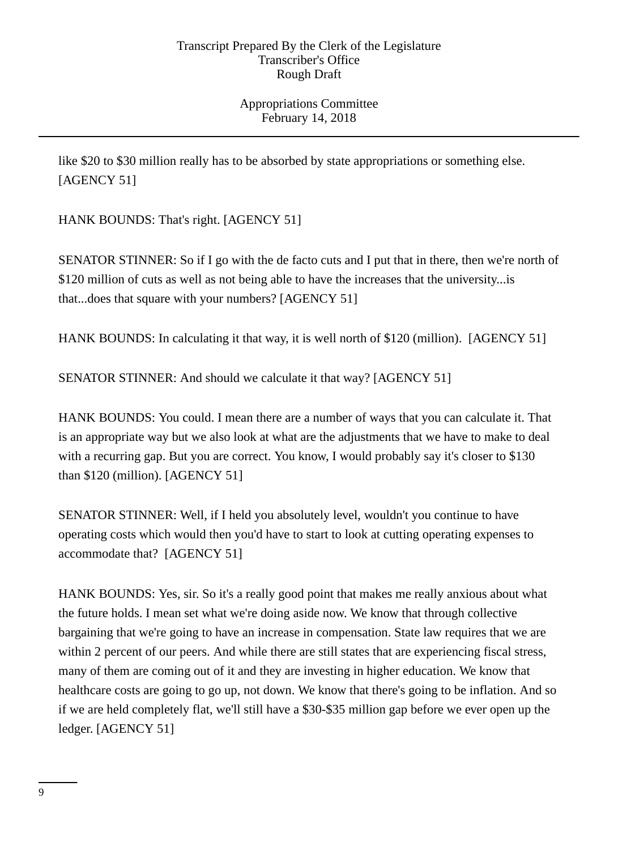Appropriations Committee February 14, 2018

like \$20 to \$30 million really has to be absorbed by state appropriations or something else. [AGENCY 51]

HANK BOUNDS: That's right. [AGENCY 51]

SENATOR STINNER: So if I go with the de facto cuts and I put that in there, then we're north of \$120 million of cuts as well as not being able to have the increases that the university... is that...does that square with your numbers? [AGENCY 51]

HANK BOUNDS: In calculating it that way, it is well north of \$120 (million). [AGENCY 51]

SENATOR STINNER: And should we calculate it that way? [AGENCY 51]

HANK BOUNDS: You could. I mean there are a number of ways that you can calculate it. That is an appropriate way but we also look at what are the adjustments that we have to make to deal with a recurring gap. But you are correct. You know, I would probably say it's closer to \$130 than \$120 (million). [AGENCY 51]

SENATOR STINNER: Well, if I held you absolutely level, wouldn't you continue to have operating costs which would then you'd have to start to look at cutting operating expenses to accommodate that? [AGENCY 51]

HANK BOUNDS: Yes, sir. So it's a really good point that makes me really anxious about what the future holds. I mean set what we're doing aside now. We know that through collective bargaining that we're going to have an increase in compensation. State law requires that we are within 2 percent of our peers. And while there are still states that are experiencing fiscal stress, many of them are coming out of it and they are investing in higher education. We know that healthcare costs are going to go up, not down. We know that there's going to be inflation. And so if we are held completely flat, we'll still have a \$30-\$35 million gap before we ever open up the ledger. [AGENCY 51]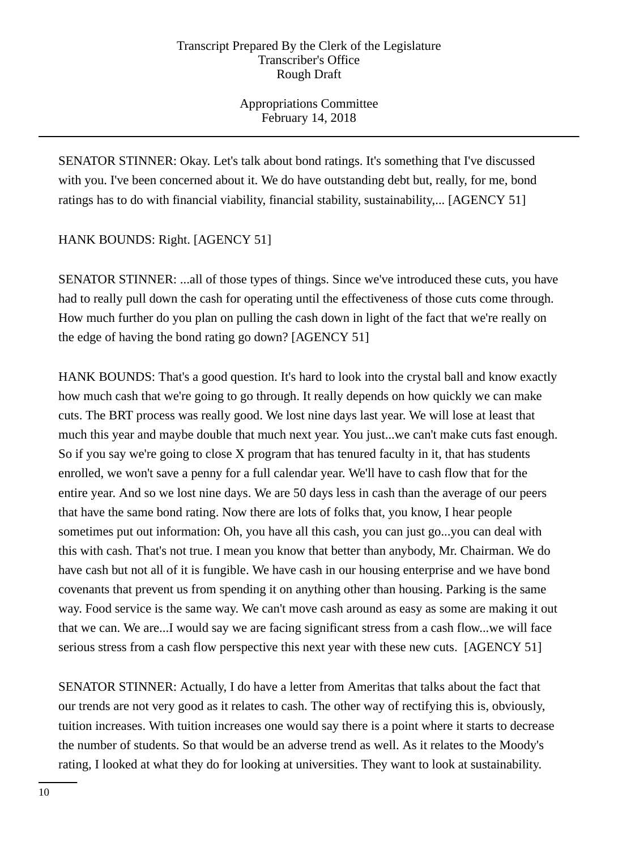Appropriations Committee February 14, 2018

SENATOR STINNER: Okay. Let's talk about bond ratings. It's something that I've discussed with you. I've been concerned about it. We do have outstanding debt but, really, for me, bond ratings has to do with financial viability, financial stability, sustainability,... [AGENCY 51]

HANK BOUNDS: Right. [AGENCY 51]

SENATOR STINNER: ...all of those types of things. Since we've introduced these cuts, you have had to really pull down the cash for operating until the effectiveness of those cuts come through. How much further do you plan on pulling the cash down in light of the fact that we're really on the edge of having the bond rating go down? [AGENCY 51]

HANK BOUNDS: That's a good question. It's hard to look into the crystal ball and know exactly how much cash that we're going to go through. It really depends on how quickly we can make cuts. The BRT process was really good. We lost nine days last year. We will lose at least that much this year and maybe double that much next year. You just...we can't make cuts fast enough. So if you say we're going to close X program that has tenured faculty in it, that has students enrolled, we won't save a penny for a full calendar year. We'll have to cash flow that for the entire year. And so we lost nine days. We are 50 days less in cash than the average of our peers that have the same bond rating. Now there are lots of folks that, you know, I hear people sometimes put out information: Oh, you have all this cash, you can just go...you can deal with this with cash. That's not true. I mean you know that better than anybody, Mr. Chairman. We do have cash but not all of it is fungible. We have cash in our housing enterprise and we have bond covenants that prevent us from spending it on anything other than housing. Parking is the same way. Food service is the same way. We can't move cash around as easy as some are making it out that we can. We are...I would say we are facing significant stress from a cash flow...we will face serious stress from a cash flow perspective this next year with these new cuts. [AGENCY 51]

SENATOR STINNER: Actually, I do have a letter from Ameritas that talks about the fact that our trends are not very good as it relates to cash. The other way of rectifying this is, obviously, tuition increases. With tuition increases one would say there is a point where it starts to decrease the number of students. So that would be an adverse trend as well. As it relates to the Moody's rating, I looked at what they do for looking at universities. They want to look at sustainability.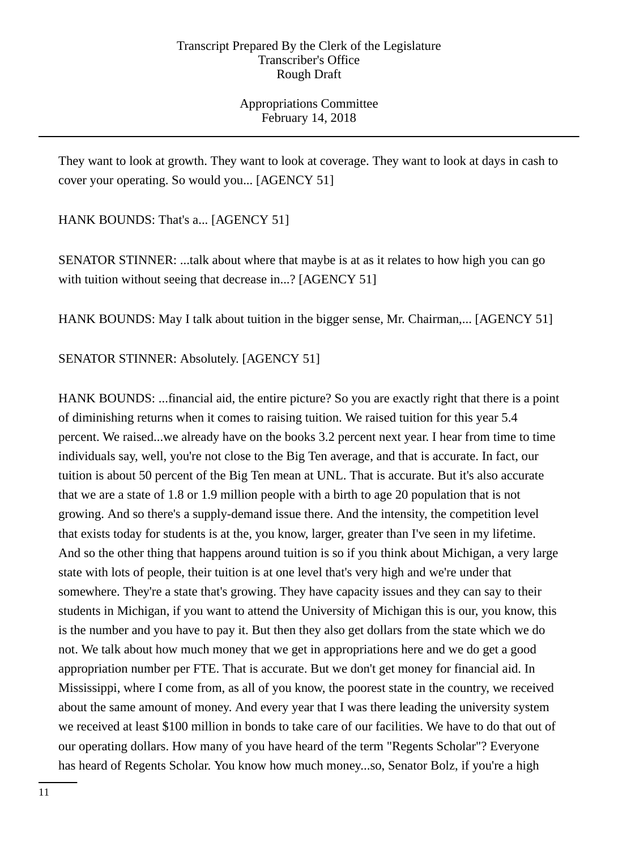Appropriations Committee February 14, 2018

They want to look at growth. They want to look at coverage. They want to look at days in cash to cover your operating. So would you... [AGENCY 51]

HANK BOUNDS: That's a... [AGENCY 51]

SENATOR STINNER: ...talk about where that maybe is at as it relates to how high you can go with tuition without seeing that decrease in...? [AGENCY 51]

HANK BOUNDS: May I talk about tuition in the bigger sense, Mr. Chairman,... [AGENCY 51]

SENATOR STINNER: Absolutely. [AGENCY 51]

HANK BOUNDS: ...financial aid, the entire picture? So you are exactly right that there is a point of diminishing returns when it comes to raising tuition. We raised tuition for this year 5.4 percent. We raised...we already have on the books 3.2 percent next year. I hear from time to time individuals say, well, you're not close to the Big Ten average, and that is accurate. In fact, our tuition is about 50 percent of the Big Ten mean at UNL. That is accurate. But it's also accurate that we are a state of 1.8 or 1.9 million people with a birth to age 20 population that is not growing. And so there's a supply-demand issue there. And the intensity, the competition level that exists today for students is at the, you know, larger, greater than I've seen in my lifetime. And so the other thing that happens around tuition is so if you think about Michigan, a very large state with lots of people, their tuition is at one level that's very high and we're under that somewhere. They're a state that's growing. They have capacity issues and they can say to their students in Michigan, if you want to attend the University of Michigan this is our, you know, this is the number and you have to pay it. But then they also get dollars from the state which we do not. We talk about how much money that we get in appropriations here and we do get a good appropriation number per FTE. That is accurate. But we don't get money for financial aid. In Mississippi, where I come from, as all of you know, the poorest state in the country, we received about the same amount of money. And every year that I was there leading the university system we received at least \$100 million in bonds to take care of our facilities. We have to do that out of our operating dollars. How many of you have heard of the term "Regents Scholar"? Everyone has heard of Regents Scholar. You know how much money...so, Senator Bolz, if you're a high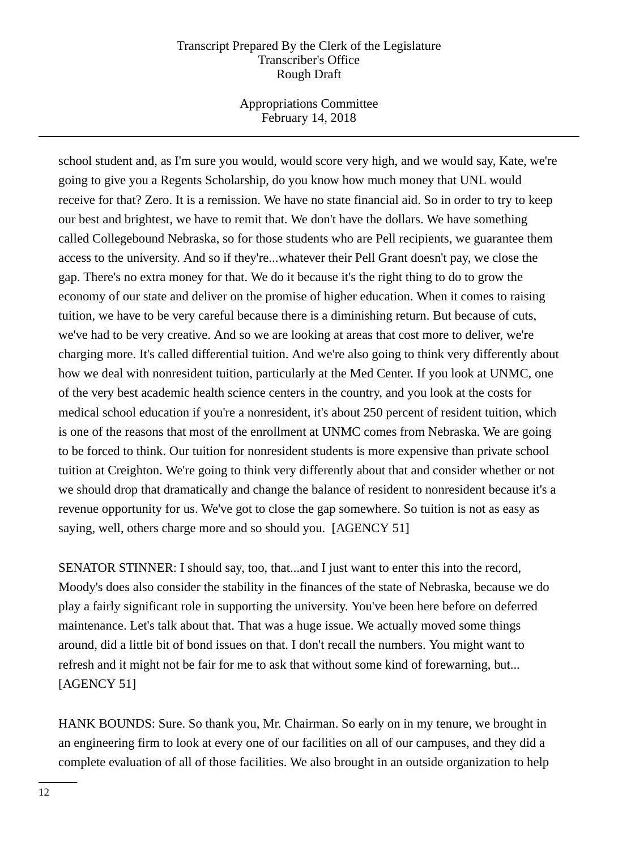Appropriations Committee February 14, 2018

school student and, as I'm sure you would, would score very high, and we would say, Kate, we're going to give you a Regents Scholarship, do you know how much money that UNL would receive for that? Zero. It is a remission. We have no state financial aid. So in order to try to keep our best and brightest, we have to remit that. We don't have the dollars. We have something called Collegebound Nebraska, so for those students who are Pell recipients, we guarantee them access to the university. And so if they're...whatever their Pell Grant doesn't pay, we close the gap. There's no extra money for that. We do it because it's the right thing to do to grow the economy of our state and deliver on the promise of higher education. When it comes to raising tuition, we have to be very careful because there is a diminishing return. But because of cuts, we've had to be very creative. And so we are looking at areas that cost more to deliver, we're charging more. It's called differential tuition. And we're also going to think very differently about how we deal with nonresident tuition, particularly at the Med Center. If you look at UNMC, one of the very best academic health science centers in the country, and you look at the costs for medical school education if you're a nonresident, it's about 250 percent of resident tuition, which is one of the reasons that most of the enrollment at UNMC comes from Nebraska. We are going to be forced to think. Our tuition for nonresident students is more expensive than private school tuition at Creighton. We're going to think very differently about that and consider whether or not we should drop that dramatically and change the balance of resident to nonresident because it's a revenue opportunity for us. We've got to close the gap somewhere. So tuition is not as easy as saying, well, others charge more and so should you. [AGENCY 51]

SENATOR STINNER: I should say, too, that...and I just want to enter this into the record, Moody's does also consider the stability in the finances of the state of Nebraska, because we do play a fairly significant role in supporting the university. You've been here before on deferred maintenance. Let's talk about that. That was a huge issue. We actually moved some things around, did a little bit of bond issues on that. I don't recall the numbers. You might want to refresh and it might not be fair for me to ask that without some kind of forewarning, but... [AGENCY 51]

HANK BOUNDS: Sure. So thank you, Mr. Chairman. So early on in my tenure, we brought in an engineering firm to look at every one of our facilities on all of our campuses, and they did a complete evaluation of all of those facilities. We also brought in an outside organization to help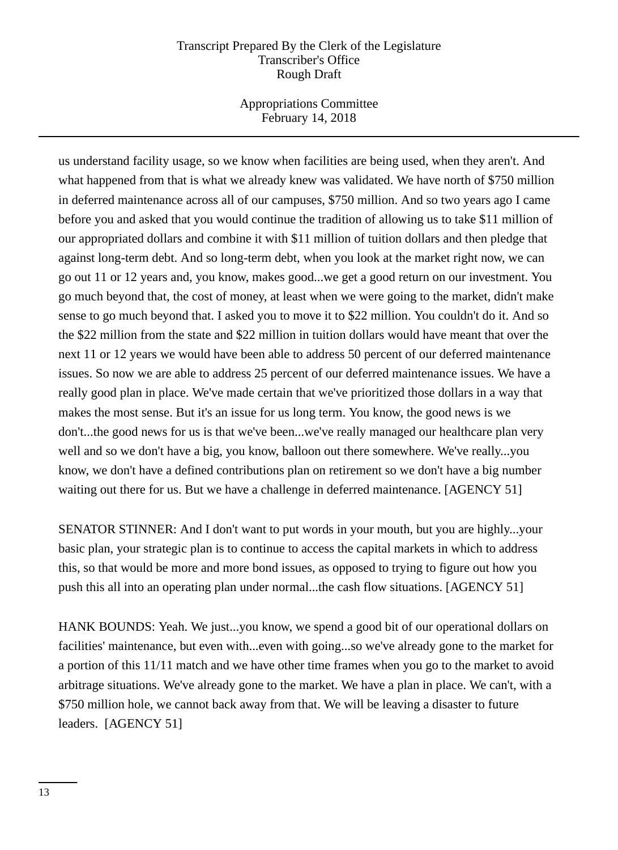Appropriations Committee February 14, 2018

us understand facility usage, so we know when facilities are being used, when they aren't. And what happened from that is what we already knew was validated. We have north of \$750 million in deferred maintenance across all of our campuses, \$750 million. And so two years ago I came before you and asked that you would continue the tradition of allowing us to take \$11 million of our appropriated dollars and combine it with \$11 million of tuition dollars and then pledge that against long-term debt. And so long-term debt, when you look at the market right now, we can go out 11 or 12 years and, you know, makes good...we get a good return on our investment. You go much beyond that, the cost of money, at least when we were going to the market, didn't make sense to go much beyond that. I asked you to move it to \$22 million. You couldn't do it. And so the \$22 million from the state and \$22 million in tuition dollars would have meant that over the next 11 or 12 years we would have been able to address 50 percent of our deferred maintenance issues. So now we are able to address 25 percent of our deferred maintenance issues. We have a really good plan in place. We've made certain that we've prioritized those dollars in a way that makes the most sense. But it's an issue for us long term. You know, the good news is we don't...the good news for us is that we've been...we've really managed our healthcare plan very well and so we don't have a big, you know, balloon out there somewhere. We've really...you know, we don't have a defined contributions plan on retirement so we don't have a big number waiting out there for us. But we have a challenge in deferred maintenance. [AGENCY 51]

SENATOR STINNER: And I don't want to put words in your mouth, but you are highly...your basic plan, your strategic plan is to continue to access the capital markets in which to address this, so that would be more and more bond issues, as opposed to trying to figure out how you push this all into an operating plan under normal...the cash flow situations. [AGENCY 51]

HANK BOUNDS: Yeah. We just...you know, we spend a good bit of our operational dollars on facilities' maintenance, but even with...even with going...so we've already gone to the market for a portion of this 11/11 match and we have other time frames when you go to the market to avoid arbitrage situations. We've already gone to the market. We have a plan in place. We can't, with a \$750 million hole, we cannot back away from that. We will be leaving a disaster to future leaders. [AGENCY 51]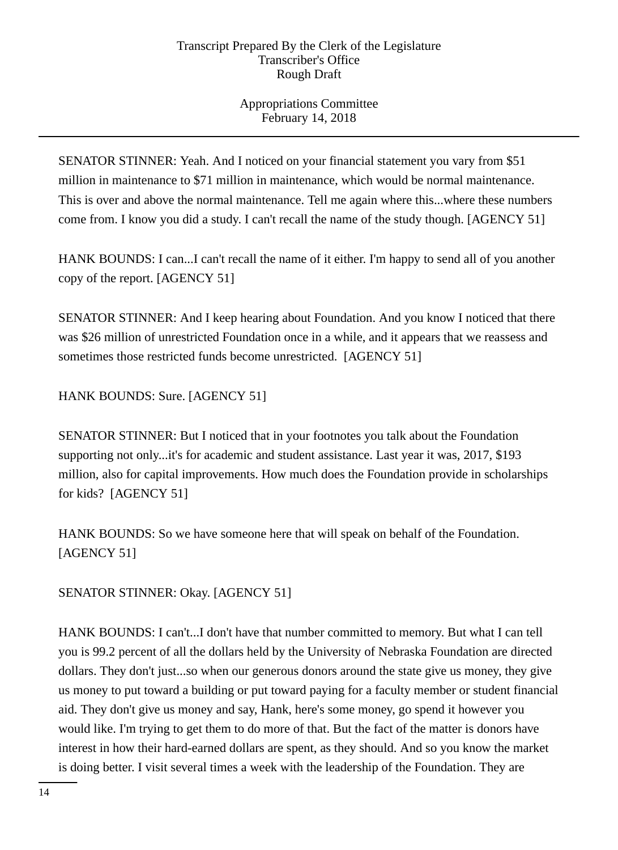Appropriations Committee February 14, 2018

SENATOR STINNER: Yeah. And I noticed on your financial statement you vary from \$51 million in maintenance to \$71 million in maintenance, which would be normal maintenance. This is over and above the normal maintenance. Tell me again where this...where these numbers come from. I know you did a study. I can't recall the name of the study though. [AGENCY 51]

HANK BOUNDS: I can...I can't recall the name of it either. I'm happy to send all of you another copy of the report. [AGENCY 51]

SENATOR STINNER: And I keep hearing about Foundation. And you know I noticed that there was \$26 million of unrestricted Foundation once in a while, and it appears that we reassess and sometimes those restricted funds become unrestricted. [AGENCY 51]

HANK BOUNDS: Sure. [AGENCY 51]

SENATOR STINNER: But I noticed that in your footnotes you talk about the Foundation supporting not only...it's for academic and student assistance. Last year it was, 2017, \$193 million, also for capital improvements. How much does the Foundation provide in scholarships for kids? [AGENCY 51]

HANK BOUNDS: So we have someone here that will speak on behalf of the Foundation. [AGENCY 51]

SENATOR STINNER: Okay. [AGENCY 51]

HANK BOUNDS: I can't...I don't have that number committed to memory. But what I can tell you is 99.2 percent of all the dollars held by the University of Nebraska Foundation are directed dollars. They don't just...so when our generous donors around the state give us money, they give us money to put toward a building or put toward paying for a faculty member or student financial aid. They don't give us money and say, Hank, here's some money, go spend it however you would like. I'm trying to get them to do more of that. But the fact of the matter is donors have interest in how their hard-earned dollars are spent, as they should. And so you know the market is doing better. I visit several times a week with the leadership of the Foundation. They are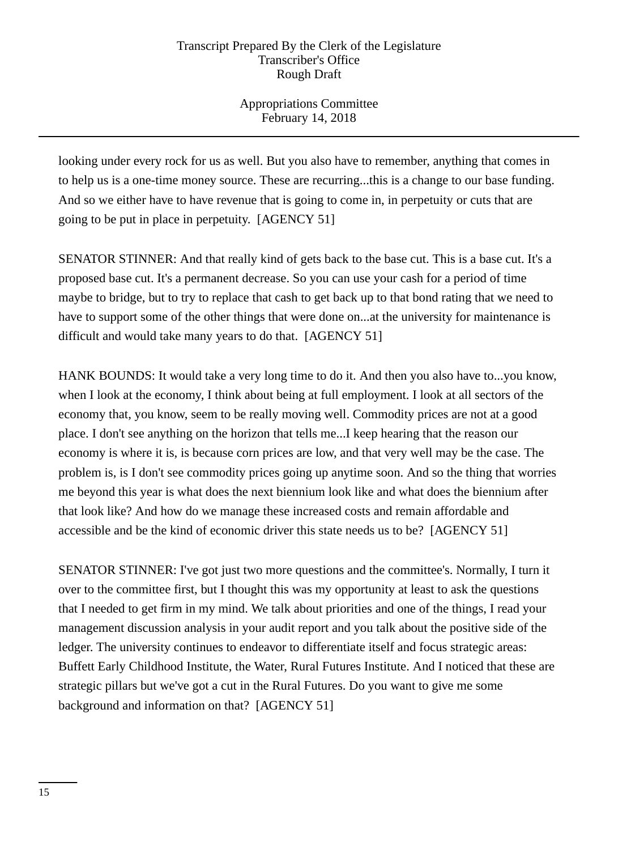Appropriations Committee February 14, 2018

looking under every rock for us as well. But you also have to remember, anything that comes in to help us is a one-time money source. These are recurring...this is a change to our base funding. And so we either have to have revenue that is going to come in, in perpetuity or cuts that are going to be put in place in perpetuity. [AGENCY 51]

SENATOR STINNER: And that really kind of gets back to the base cut. This is a base cut. It's a proposed base cut. It's a permanent decrease. So you can use your cash for a period of time maybe to bridge, but to try to replace that cash to get back up to that bond rating that we need to have to support some of the other things that were done on...at the university for maintenance is difficult and would take many years to do that. [AGENCY 51]

HANK BOUNDS: It would take a very long time to do it. And then you also have to...you know, when I look at the economy, I think about being at full employment. I look at all sectors of the economy that, you know, seem to be really moving well. Commodity prices are not at a good place. I don't see anything on the horizon that tells me...I keep hearing that the reason our economy is where it is, is because corn prices are low, and that very well may be the case. The problem is, is I don't see commodity prices going up anytime soon. And so the thing that worries me beyond this year is what does the next biennium look like and what does the biennium after that look like? And how do we manage these increased costs and remain affordable and accessible and be the kind of economic driver this state needs us to be? [AGENCY 51]

SENATOR STINNER: I've got just two more questions and the committee's. Normally, I turn it over to the committee first, but I thought this was my opportunity at least to ask the questions that I needed to get firm in my mind. We talk about priorities and one of the things, I read your management discussion analysis in your audit report and you talk about the positive side of the ledger. The university continues to endeavor to differentiate itself and focus strategic areas: Buffett Early Childhood Institute, the Water, Rural Futures Institute. And I noticed that these are strategic pillars but we've got a cut in the Rural Futures. Do you want to give me some background and information on that? [AGENCY 51]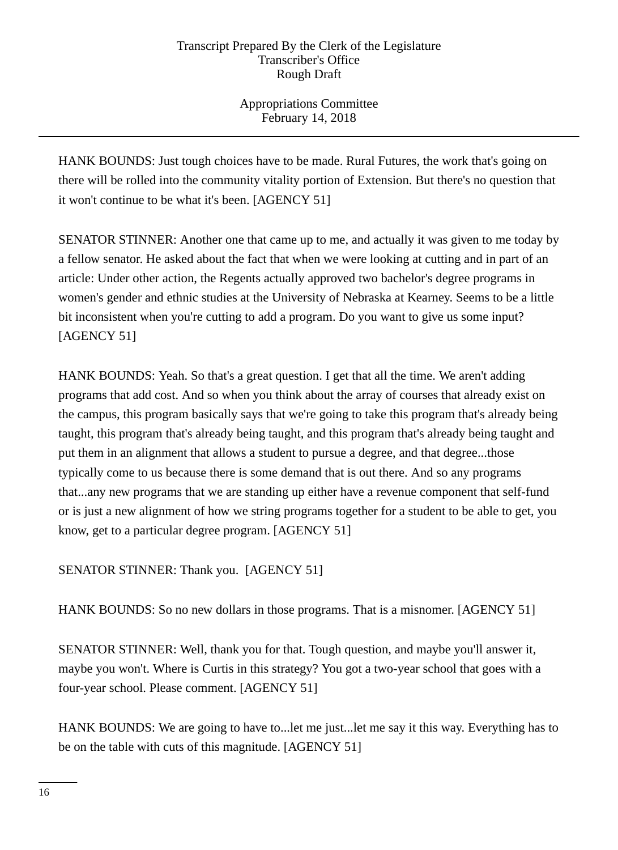Appropriations Committee February 14, 2018

HANK BOUNDS: Just tough choices have to be made. Rural Futures, the work that's going on there will be rolled into the community vitality portion of Extension. But there's no question that it won't continue to be what it's been. [AGENCY 51]

SENATOR STINNER: Another one that came up to me, and actually it was given to me today by a fellow senator. He asked about the fact that when we were looking at cutting and in part of an article: Under other action, the Regents actually approved two bachelor's degree programs in women's gender and ethnic studies at the University of Nebraska at Kearney. Seems to be a little bit inconsistent when you're cutting to add a program. Do you want to give us some input? [AGENCY 51]

HANK BOUNDS: Yeah. So that's a great question. I get that all the time. We aren't adding programs that add cost. And so when you think about the array of courses that already exist on the campus, this program basically says that we're going to take this program that's already being taught, this program that's already being taught, and this program that's already being taught and put them in an alignment that allows a student to pursue a degree, and that degree...those typically come to us because there is some demand that is out there. And so any programs that...any new programs that we are standing up either have a revenue component that self-fund or is just a new alignment of how we string programs together for a student to be able to get, you know, get to a particular degree program. [AGENCY 51]

SENATOR STINNER: Thank you. [AGENCY 51]

HANK BOUNDS: So no new dollars in those programs. That is a misnomer. [AGENCY 51]

SENATOR STINNER: Well, thank you for that. Tough question, and maybe you'll answer it, maybe you won't. Where is Curtis in this strategy? You got a two-year school that goes with a four-year school. Please comment. [AGENCY 51]

HANK BOUNDS: We are going to have to...let me just...let me say it this way. Everything has to be on the table with cuts of this magnitude. [AGENCY 51]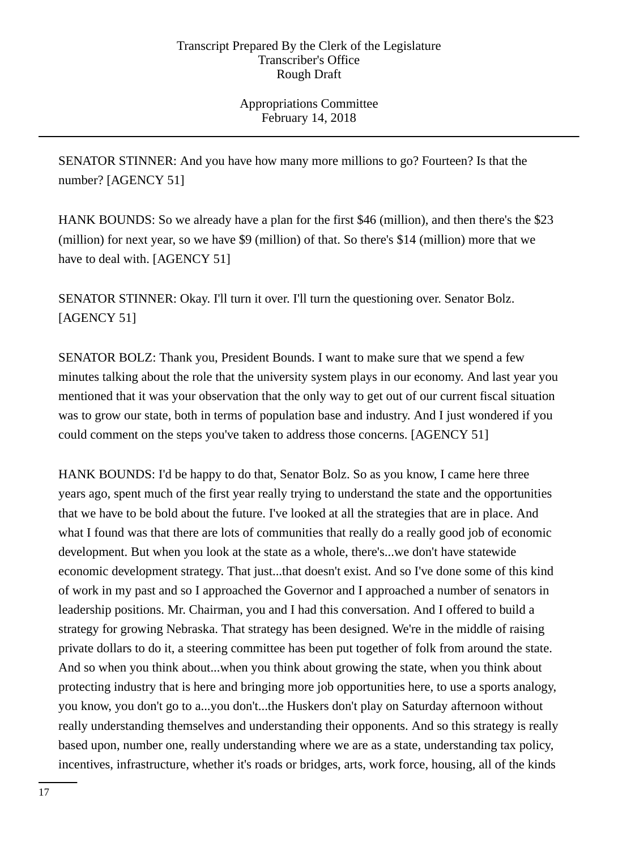Appropriations Committee February 14, 2018

SENATOR STINNER: And you have how many more millions to go? Fourteen? Is that the number? [AGENCY 51]

HANK BOUNDS: So we already have a plan for the first \$46 (million), and then there's the \$23 (million) for next year, so we have \$9 (million) of that. So there's \$14 (million) more that we have to deal with. [AGENCY 51]

SENATOR STINNER: Okay. I'll turn it over. I'll turn the questioning over. Senator Bolz. [AGENCY 51]

SENATOR BOLZ: Thank you, President Bounds. I want to make sure that we spend a few minutes talking about the role that the university system plays in our economy. And last year you mentioned that it was your observation that the only way to get out of our current fiscal situation was to grow our state, both in terms of population base and industry. And I just wondered if you could comment on the steps you've taken to address those concerns. [AGENCY 51]

HANK BOUNDS: I'd be happy to do that, Senator Bolz. So as you know, I came here three years ago, spent much of the first year really trying to understand the state and the opportunities that we have to be bold about the future. I've looked at all the strategies that are in place. And what I found was that there are lots of communities that really do a really good job of economic development. But when you look at the state as a whole, there's...we don't have statewide economic development strategy. That just...that doesn't exist. And so I've done some of this kind of work in my past and so I approached the Governor and I approached a number of senators in leadership positions. Mr. Chairman, you and I had this conversation. And I offered to build a strategy for growing Nebraska. That strategy has been designed. We're in the middle of raising private dollars to do it, a steering committee has been put together of folk from around the state. And so when you think about...when you think about growing the state, when you think about protecting industry that is here and bringing more job opportunities here, to use a sports analogy, you know, you don't go to a...you don't...the Huskers don't play on Saturday afternoon without really understanding themselves and understanding their opponents. And so this strategy is really based upon, number one, really understanding where we are as a state, understanding tax policy, incentives, infrastructure, whether it's roads or bridges, arts, work force, housing, all of the kinds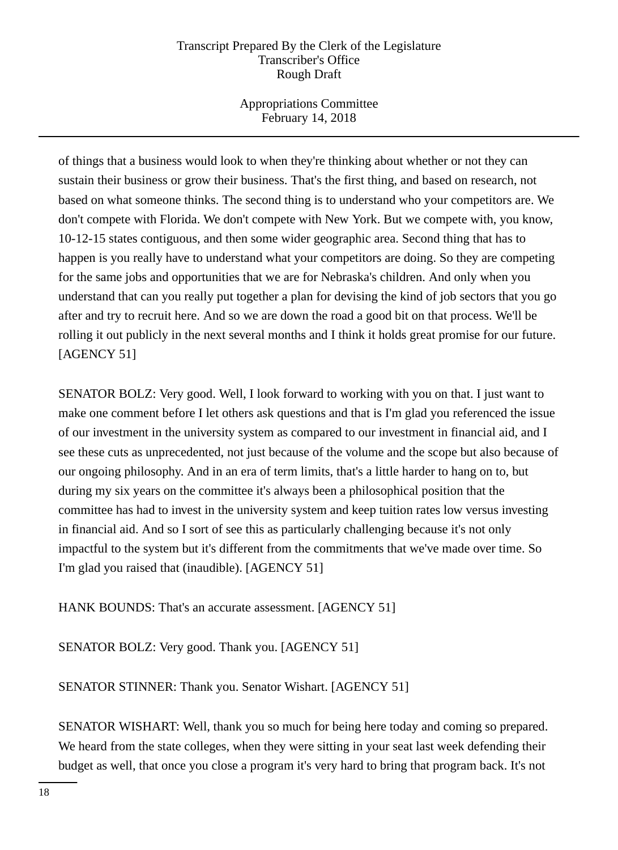Appropriations Committee February 14, 2018

of things that a business would look to when they're thinking about whether or not they can sustain their business or grow their business. That's the first thing, and based on research, not based on what someone thinks. The second thing is to understand who your competitors are. We don't compete with Florida. We don't compete with New York. But we compete with, you know, 10-12-15 states contiguous, and then some wider geographic area. Second thing that has to happen is you really have to understand what your competitors are doing. So they are competing for the same jobs and opportunities that we are for Nebraska's children. And only when you understand that can you really put together a plan for devising the kind of job sectors that you go after and try to recruit here. And so we are down the road a good bit on that process. We'll be rolling it out publicly in the next several months and I think it holds great promise for our future. [AGENCY 51]

SENATOR BOLZ: Very good. Well, I look forward to working with you on that. I just want to make one comment before I let others ask questions and that is I'm glad you referenced the issue of our investment in the university system as compared to our investment in financial aid, and I see these cuts as unprecedented, not just because of the volume and the scope but also because of our ongoing philosophy. And in an era of term limits, that's a little harder to hang on to, but during my six years on the committee it's always been a philosophical position that the committee has had to invest in the university system and keep tuition rates low versus investing in financial aid. And so I sort of see this as particularly challenging because it's not only impactful to the system but it's different from the commitments that we've made over time. So I'm glad you raised that (inaudible). [AGENCY 51]

HANK BOUNDS: That's an accurate assessment. [AGENCY 51]

SENATOR BOLZ: Very good. Thank you. [AGENCY 51]

SENATOR STINNER: Thank you. Senator Wishart. [AGENCY 51]

SENATOR WISHART: Well, thank you so much for being here today and coming so prepared. We heard from the state colleges, when they were sitting in your seat last week defending their budget as well, that once you close a program it's very hard to bring that program back. It's not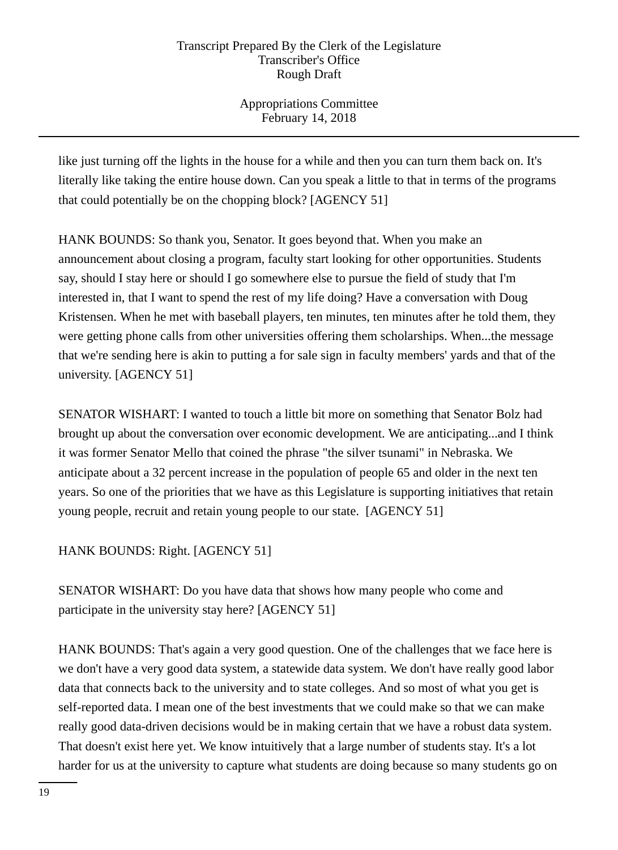Appropriations Committee February 14, 2018

like just turning off the lights in the house for a while and then you can turn them back on. It's literally like taking the entire house down. Can you speak a little to that in terms of the programs that could potentially be on the chopping block? [AGENCY 51]

HANK BOUNDS: So thank you, Senator. It goes beyond that. When you make an announcement about closing a program, faculty start looking for other opportunities. Students say, should I stay here or should I go somewhere else to pursue the field of study that I'm interested in, that I want to spend the rest of my life doing? Have a conversation with Doug Kristensen. When he met with baseball players, ten minutes, ten minutes after he told them, they were getting phone calls from other universities offering them scholarships. When...the message that we're sending here is akin to putting a for sale sign in faculty members' yards and that of the university. [AGENCY 51]

SENATOR WISHART: I wanted to touch a little bit more on something that Senator Bolz had brought up about the conversation over economic development. We are anticipating...and I think it was former Senator Mello that coined the phrase "the silver tsunami" in Nebraska. We anticipate about a 32 percent increase in the population of people 65 and older in the next ten years. So one of the priorities that we have as this Legislature is supporting initiatives that retain young people, recruit and retain young people to our state. [AGENCY 51]

HANK BOUNDS: Right. [AGENCY 51]

SENATOR WISHART: Do you have data that shows how many people who come and participate in the university stay here? [AGENCY 51]

HANK BOUNDS: That's again a very good question. One of the challenges that we face here is we don't have a very good data system, a statewide data system. We don't have really good labor data that connects back to the university and to state colleges. And so most of what you get is self-reported data. I mean one of the best investments that we could make so that we can make really good data-driven decisions would be in making certain that we have a robust data system. That doesn't exist here yet. We know intuitively that a large number of students stay. It's a lot harder for us at the university to capture what students are doing because so many students go on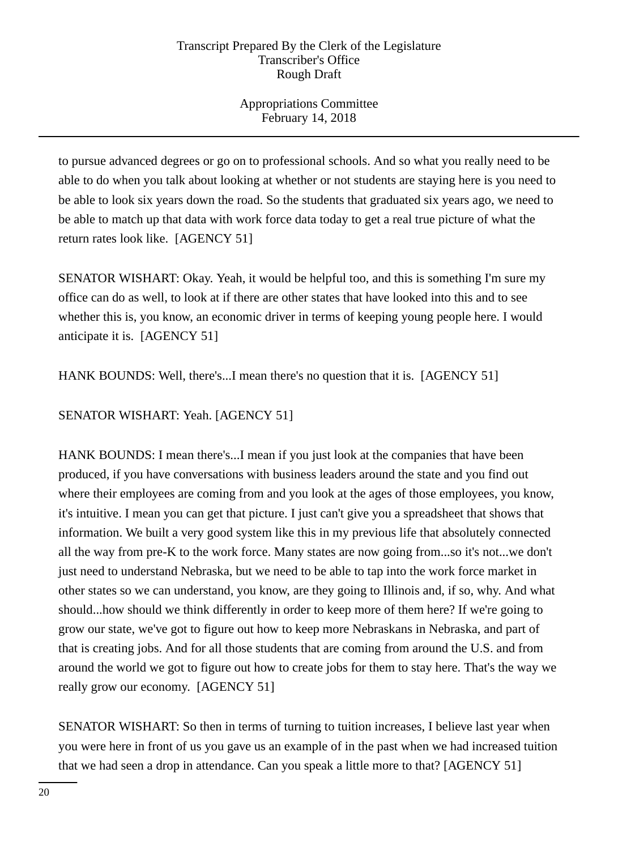Appropriations Committee February 14, 2018

to pursue advanced degrees or go on to professional schools. And so what you really need to be able to do when you talk about looking at whether or not students are staying here is you need to be able to look six years down the road. So the students that graduated six years ago, we need to be able to match up that data with work force data today to get a real true picture of what the return rates look like. [AGENCY 51]

SENATOR WISHART: Okay. Yeah, it would be helpful too, and this is something I'm sure my office can do as well, to look at if there are other states that have looked into this and to see whether this is, you know, an economic driver in terms of keeping young people here. I would anticipate it is. [AGENCY 51]

HANK BOUNDS: Well, there's...I mean there's no question that it is. [AGENCY 51]

SENATOR WISHART: Yeah. [AGENCY 51]

HANK BOUNDS: I mean there's...I mean if you just look at the companies that have been produced, if you have conversations with business leaders around the state and you find out where their employees are coming from and you look at the ages of those employees, you know, it's intuitive. I mean you can get that picture. I just can't give you a spreadsheet that shows that information. We built a very good system like this in my previous life that absolutely connected all the way from pre-K to the work force. Many states are now going from...so it's not...we don't just need to understand Nebraska, but we need to be able to tap into the work force market in other states so we can understand, you know, are they going to Illinois and, if so, why. And what should...how should we think differently in order to keep more of them here? If we're going to grow our state, we've got to figure out how to keep more Nebraskans in Nebraska, and part of that is creating jobs. And for all those students that are coming from around the U.S. and from around the world we got to figure out how to create jobs for them to stay here. That's the way we really grow our economy. [AGENCY 51]

SENATOR WISHART: So then in terms of turning to tuition increases, I believe last year when you were here in front of us you gave us an example of in the past when we had increased tuition that we had seen a drop in attendance. Can you speak a little more to that? [AGENCY 51]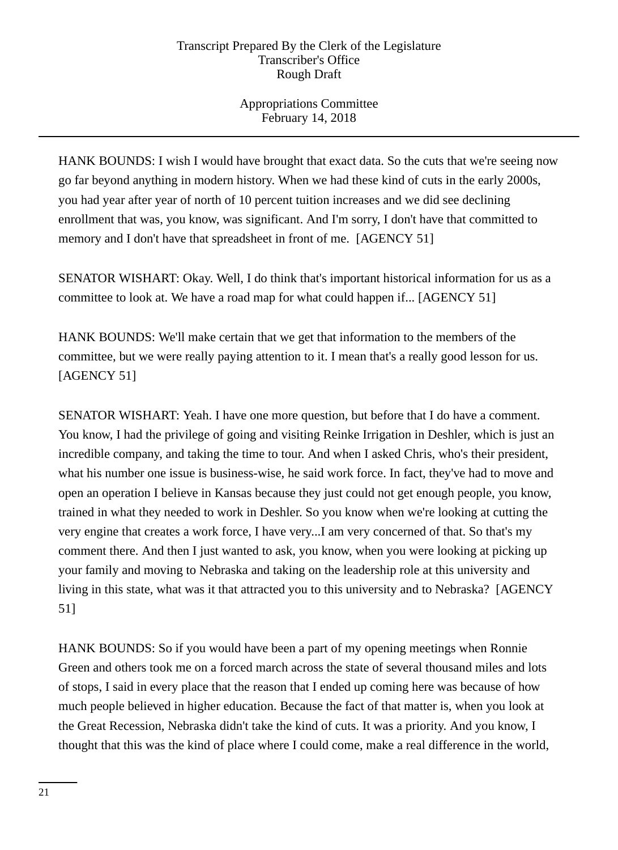Appropriations Committee February 14, 2018

HANK BOUNDS: I wish I would have brought that exact data. So the cuts that we're seeing now go far beyond anything in modern history. When we had these kind of cuts in the early 2000s, you had year after year of north of 10 percent tuition increases and we did see declining enrollment that was, you know, was significant. And I'm sorry, I don't have that committed to memory and I don't have that spreadsheet in front of me. [AGENCY 51]

SENATOR WISHART: Okay. Well, I do think that's important historical information for us as a committee to look at. We have a road map for what could happen if... [AGENCY 51]

HANK BOUNDS: We'll make certain that we get that information to the members of the committee, but we were really paying attention to it. I mean that's a really good lesson for us. [AGENCY 51]

SENATOR WISHART: Yeah. I have one more question, but before that I do have a comment. You know, I had the privilege of going and visiting Reinke Irrigation in Deshler, which is just an incredible company, and taking the time to tour. And when I asked Chris, who's their president, what his number one issue is business-wise, he said work force. In fact, they've had to move and open an operation I believe in Kansas because they just could not get enough people, you know, trained in what they needed to work in Deshler. So you know when we're looking at cutting the very engine that creates a work force, I have very...I am very concerned of that. So that's my comment there. And then I just wanted to ask, you know, when you were looking at picking up your family and moving to Nebraska and taking on the leadership role at this university and living in this state, what was it that attracted you to this university and to Nebraska? [AGENCY 51]

HANK BOUNDS: So if you would have been a part of my opening meetings when Ronnie Green and others took me on a forced march across the state of several thousand miles and lots of stops, I said in every place that the reason that I ended up coming here was because of how much people believed in higher education. Because the fact of that matter is, when you look at the Great Recession, Nebraska didn't take the kind of cuts. It was a priority. And you know, I thought that this was the kind of place where I could come, make a real difference in the world,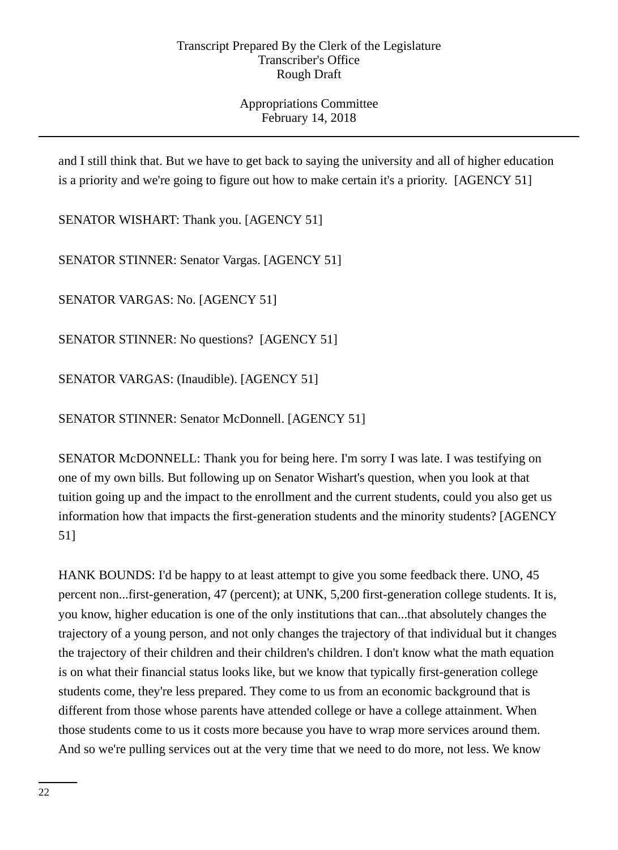Appropriations Committee February 14, 2018

and I still think that. But we have to get back to saying the university and all of higher education is a priority and we're going to figure out how to make certain it's a priority. [AGENCY 51]

SENATOR WISHART: Thank you. [AGENCY 51]

SENATOR STINNER: Senator Vargas. [AGENCY 51]

SENATOR VARGAS: No. [AGENCY 51]

SENATOR STINNER: No questions? [AGENCY 51]

SENATOR VARGAS: (Inaudible). [AGENCY 51]

SENATOR STINNER: Senator McDonnell. [AGENCY 51]

SENATOR McDONNELL: Thank you for being here. I'm sorry I was late. I was testifying on one of my own bills. But following up on Senator Wishart's question, when you look at that tuition going up and the impact to the enrollment and the current students, could you also get us information how that impacts the first-generation students and the minority students? [AGENCY 51]

HANK BOUNDS: I'd be happy to at least attempt to give you some feedback there. UNO, 45 percent non...first-generation, 47 (percent); at UNK, 5,200 first-generation college students. It is, you know, higher education is one of the only institutions that can...that absolutely changes the trajectory of a young person, and not only changes the trajectory of that individual but it changes the trajectory of their children and their children's children. I don't know what the math equation is on what their financial status looks like, but we know that typically first-generation college students come, they're less prepared. They come to us from an economic background that is different from those whose parents have attended college or have a college attainment. When those students come to us it costs more because you have to wrap more services around them. And so we're pulling services out at the very time that we need to do more, not less. We know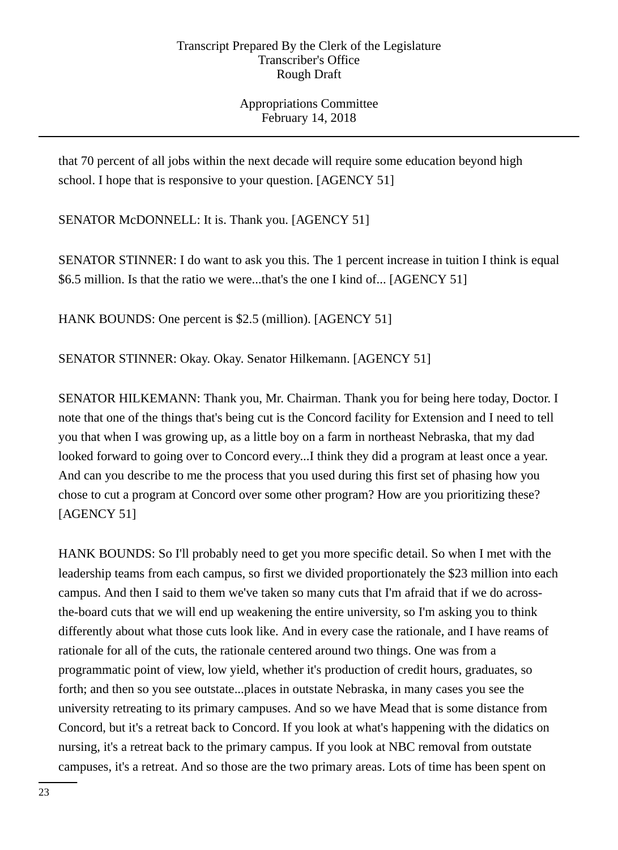Appropriations Committee February 14, 2018

that 70 percent of all jobs within the next decade will require some education beyond high school. I hope that is responsive to your question. [AGENCY 51]

SENATOR McDONNELL: It is. Thank you. [AGENCY 51]

SENATOR STINNER: I do want to ask you this. The 1 percent increase in tuition I think is equal \$6.5 million. Is that the ratio we were...that's the one I kind of... [AGENCY 51]

HANK BOUNDS: One percent is \$2.5 (million). [AGENCY 51]

SENATOR STINNER: Okay. Okay. Senator Hilkemann. [AGENCY 51]

SENATOR HILKEMANN: Thank you, Mr. Chairman. Thank you for being here today, Doctor. I note that one of the things that's being cut is the Concord facility for Extension and I need to tell you that when I was growing up, as a little boy on a farm in northeast Nebraska, that my dad looked forward to going over to Concord every...I think they did a program at least once a year. And can you describe to me the process that you used during this first set of phasing how you chose to cut a program at Concord over some other program? How are you prioritizing these? [AGENCY 51]

HANK BOUNDS: So I'll probably need to get you more specific detail. So when I met with the leadership teams from each campus, so first we divided proportionately the \$23 million into each campus. And then I said to them we've taken so many cuts that I'm afraid that if we do acrossthe-board cuts that we will end up weakening the entire university, so I'm asking you to think differently about what those cuts look like. And in every case the rationale, and I have reams of rationale for all of the cuts, the rationale centered around two things. One was from a programmatic point of view, low yield, whether it's production of credit hours, graduates, so forth; and then so you see outstate...places in outstate Nebraska, in many cases you see the university retreating to its primary campuses. And so we have Mead that is some distance from Concord, but it's a retreat back to Concord. If you look at what's happening with the didatics on nursing, it's a retreat back to the primary campus. If you look at NBC removal from outstate campuses, it's a retreat. And so those are the two primary areas. Lots of time has been spent on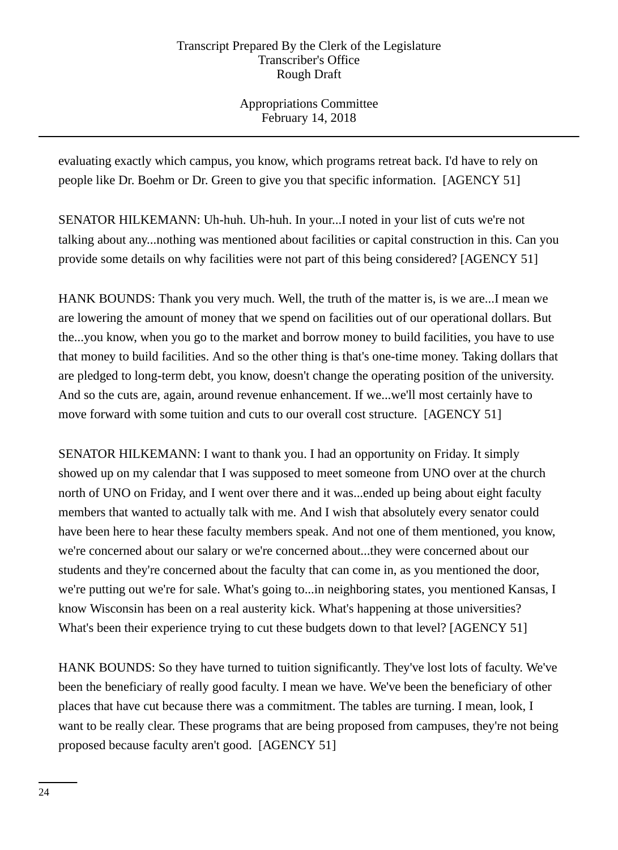Appropriations Committee February 14, 2018

evaluating exactly which campus, you know, which programs retreat back. I'd have to rely on people like Dr. Boehm or Dr. Green to give you that specific information. [AGENCY 51]

SENATOR HILKEMANN: Uh-huh. Uh-huh. In your...I noted in your list of cuts we're not talking about any...nothing was mentioned about facilities or capital construction in this. Can you provide some details on why facilities were not part of this being considered? [AGENCY 51]

HANK BOUNDS: Thank you very much. Well, the truth of the matter is, is we are...I mean we are lowering the amount of money that we spend on facilities out of our operational dollars. But the...you know, when you go to the market and borrow money to build facilities, you have to use that money to build facilities. And so the other thing is that's one-time money. Taking dollars that are pledged to long-term debt, you know, doesn't change the operating position of the university. And so the cuts are, again, around revenue enhancement. If we...we'll most certainly have to move forward with some tuition and cuts to our overall cost structure. [AGENCY 51]

SENATOR HILKEMANN: I want to thank you. I had an opportunity on Friday. It simply showed up on my calendar that I was supposed to meet someone from UNO over at the church north of UNO on Friday, and I went over there and it was...ended up being about eight faculty members that wanted to actually talk with me. And I wish that absolutely every senator could have been here to hear these faculty members speak. And not one of them mentioned, you know, we're concerned about our salary or we're concerned about...they were concerned about our students and they're concerned about the faculty that can come in, as you mentioned the door, we're putting out we're for sale. What's going to...in neighboring states, you mentioned Kansas, I know Wisconsin has been on a real austerity kick. What's happening at those universities? What's been their experience trying to cut these budgets down to that level? [AGENCY 51]

HANK BOUNDS: So they have turned to tuition significantly. They've lost lots of faculty. We've been the beneficiary of really good faculty. I mean we have. We've been the beneficiary of other places that have cut because there was a commitment. The tables are turning. I mean, look, I want to be really clear. These programs that are being proposed from campuses, they're not being proposed because faculty aren't good. [AGENCY 51]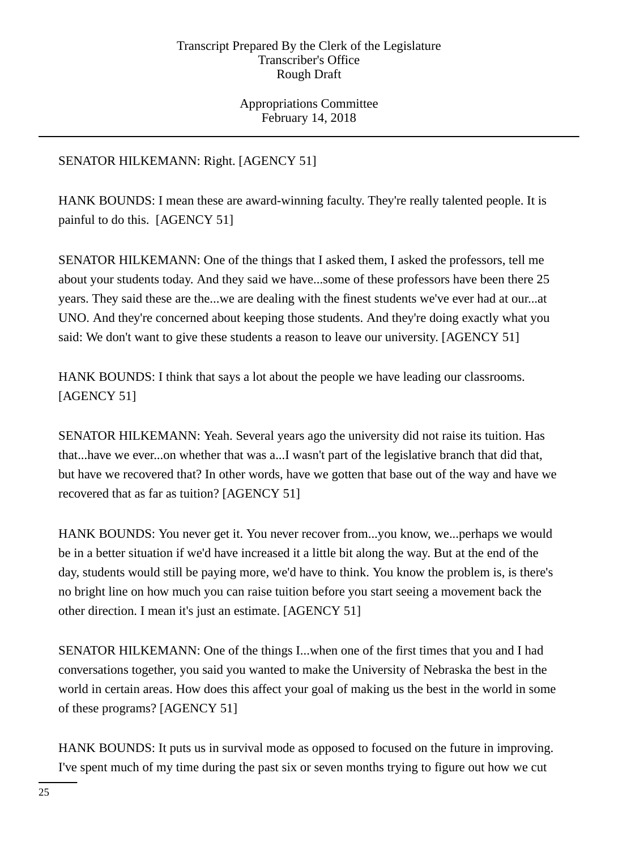Appropriations Committee February 14, 2018

# SENATOR HILKEMANN: Right. [AGENCY 51]

HANK BOUNDS: I mean these are award-winning faculty. They're really talented people. It is painful to do this. [AGENCY 51]

SENATOR HILKEMANN: One of the things that I asked them, I asked the professors, tell me about your students today. And they said we have...some of these professors have been there 25 years. They said these are the...we are dealing with the finest students we've ever had at our...at UNO. And they're concerned about keeping those students. And they're doing exactly what you said: We don't want to give these students a reason to leave our university. [AGENCY 51]

HANK BOUNDS: I think that says a lot about the people we have leading our classrooms. [AGENCY 51]

SENATOR HILKEMANN: Yeah. Several years ago the university did not raise its tuition. Has that...have we ever...on whether that was a...I wasn't part of the legislative branch that did that, but have we recovered that? In other words, have we gotten that base out of the way and have we recovered that as far as tuition? [AGENCY 51]

HANK BOUNDS: You never get it. You never recover from...you know, we...perhaps we would be in a better situation if we'd have increased it a little bit along the way. But at the end of the day, students would still be paying more, we'd have to think. You know the problem is, is there's no bright line on how much you can raise tuition before you start seeing a movement back the other direction. I mean it's just an estimate. [AGENCY 51]

SENATOR HILKEMANN: One of the things I...when one of the first times that you and I had conversations together, you said you wanted to make the University of Nebraska the best in the world in certain areas. How does this affect your goal of making us the best in the world in some of these programs? [AGENCY 51]

HANK BOUNDS: It puts us in survival mode as opposed to focused on the future in improving. I've spent much of my time during the past six or seven months trying to figure out how we cut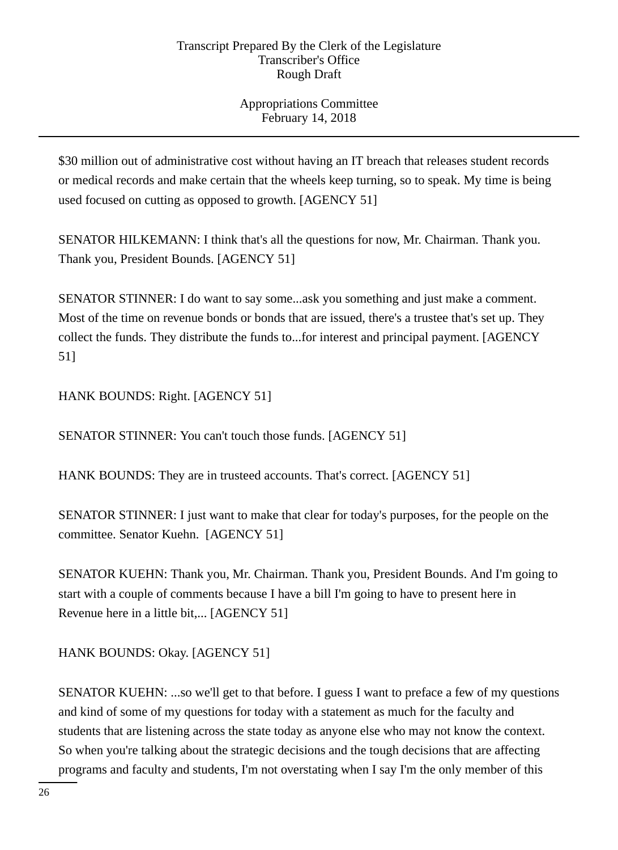Appropriations Committee February 14, 2018

\$30 million out of administrative cost without having an IT breach that releases student records or medical records and make certain that the wheels keep turning, so to speak. My time is being used focused on cutting as opposed to growth. [AGENCY 51]

SENATOR HILKEMANN: I think that's all the questions for now, Mr. Chairman. Thank you. Thank you, President Bounds. [AGENCY 51]

SENATOR STINNER: I do want to say some...ask you something and just make a comment. Most of the time on revenue bonds or bonds that are issued, there's a trustee that's set up. They collect the funds. They distribute the funds to...for interest and principal payment. [AGENCY 51]

HANK BOUNDS: Right. [AGENCY 51]

SENATOR STINNER: You can't touch those funds. [AGENCY 51]

HANK BOUNDS: They are in trusteed accounts. That's correct. [AGENCY 51]

SENATOR STINNER: I just want to make that clear for today's purposes, for the people on the committee. Senator Kuehn. [AGENCY 51]

SENATOR KUEHN: Thank you, Mr. Chairman. Thank you, President Bounds. And I'm going to start with a couple of comments because I have a bill I'm going to have to present here in Revenue here in a little bit,... [AGENCY 51]

HANK BOUNDS: Okay. [AGENCY 51]

SENATOR KUEHN: ...so we'll get to that before. I guess I want to preface a few of my questions and kind of some of my questions for today with a statement as much for the faculty and students that are listening across the state today as anyone else who may not know the context. So when you're talking about the strategic decisions and the tough decisions that are affecting programs and faculty and students, I'm not overstating when I say I'm the only member of this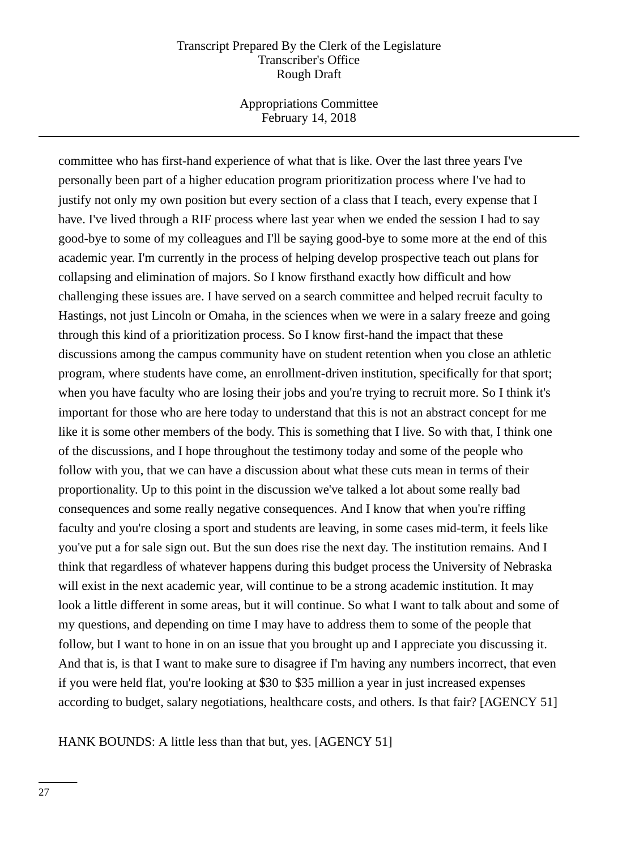Appropriations Committee February 14, 2018

committee who has first-hand experience of what that is like. Over the last three years I've personally been part of a higher education program prioritization process where I've had to justify not only my own position but every section of a class that I teach, every expense that I have. I've lived through a RIF process where last year when we ended the session I had to say good-bye to some of my colleagues and I'll be saying good-bye to some more at the end of this academic year. I'm currently in the process of helping develop prospective teach out plans for collapsing and elimination of majors. So I know firsthand exactly how difficult and how challenging these issues are. I have served on a search committee and helped recruit faculty to Hastings, not just Lincoln or Omaha, in the sciences when we were in a salary freeze and going through this kind of a prioritization process. So I know first-hand the impact that these discussions among the campus community have on student retention when you close an athletic program, where students have come, an enrollment-driven institution, specifically for that sport; when you have faculty who are losing their jobs and you're trying to recruit more. So I think it's important for those who are here today to understand that this is not an abstract concept for me like it is some other members of the body. This is something that I live. So with that, I think one of the discussions, and I hope throughout the testimony today and some of the people who follow with you, that we can have a discussion about what these cuts mean in terms of their proportionality. Up to this point in the discussion we've talked a lot about some really bad consequences and some really negative consequences. And I know that when you're riffing faculty and you're closing a sport and students are leaving, in some cases mid-term, it feels like you've put a for sale sign out. But the sun does rise the next day. The institution remains. And I think that regardless of whatever happens during this budget process the University of Nebraska will exist in the next academic year, will continue to be a strong academic institution. It may look a little different in some areas, but it will continue. So what I want to talk about and some of my questions, and depending on time I may have to address them to some of the people that follow, but I want to hone in on an issue that you brought up and I appreciate you discussing it. And that is, is that I want to make sure to disagree if I'm having any numbers incorrect, that even if you were held flat, you're looking at \$30 to \$35 million a year in just increased expenses according to budget, salary negotiations, healthcare costs, and others. Is that fair? [AGENCY 51]

HANK BOUNDS: A little less than that but, yes. [AGENCY 51]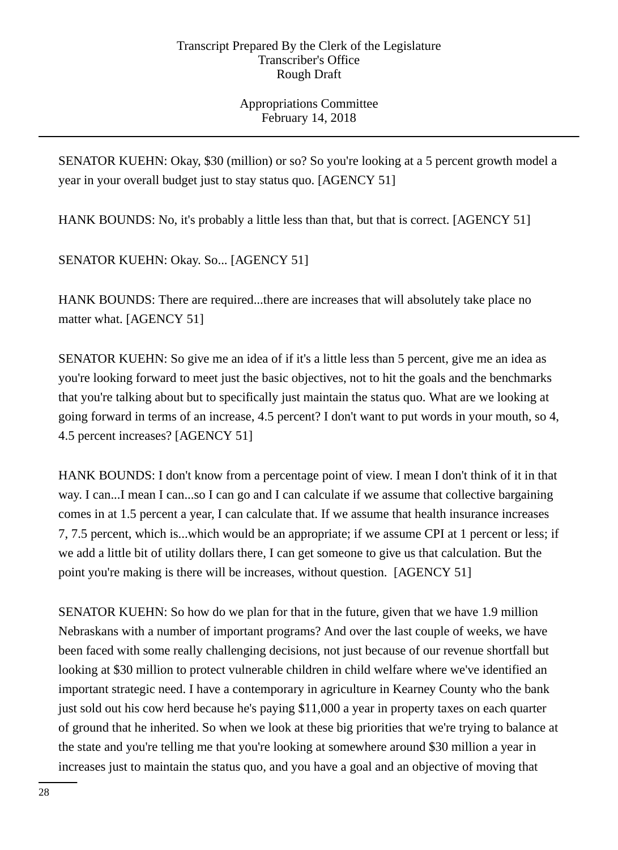Appropriations Committee February 14, 2018

SENATOR KUEHN: Okay, \$30 (million) or so? So you're looking at a 5 percent growth model a year in your overall budget just to stay status quo. [AGENCY 51]

HANK BOUNDS: No, it's probably a little less than that, but that is correct. [AGENCY 51]

SENATOR KUEHN: Okay. So... [AGENCY 51]

HANK BOUNDS: There are required...there are increases that will absolutely take place no matter what. [AGENCY 51]

SENATOR KUEHN: So give me an idea of if it's a little less than 5 percent, give me an idea as you're looking forward to meet just the basic objectives, not to hit the goals and the benchmarks that you're talking about but to specifically just maintain the status quo. What are we looking at going forward in terms of an increase, 4.5 percent? I don't want to put words in your mouth, so 4, 4.5 percent increases? [AGENCY 51]

HANK BOUNDS: I don't know from a percentage point of view. I mean I don't think of it in that way. I can...I mean I can...so I can go and I can calculate if we assume that collective bargaining comes in at 1.5 percent a year, I can calculate that. If we assume that health insurance increases 7, 7.5 percent, which is...which would be an appropriate; if we assume CPI at 1 percent or less; if we add a little bit of utility dollars there, I can get someone to give us that calculation. But the point you're making is there will be increases, without question. [AGENCY 51]

SENATOR KUEHN: So how do we plan for that in the future, given that we have 1.9 million Nebraskans with a number of important programs? And over the last couple of weeks, we have been faced with some really challenging decisions, not just because of our revenue shortfall but looking at \$30 million to protect vulnerable children in child welfare where we've identified an important strategic need. I have a contemporary in agriculture in Kearney County who the bank just sold out his cow herd because he's paying \$11,000 a year in property taxes on each quarter of ground that he inherited. So when we look at these big priorities that we're trying to balance at the state and you're telling me that you're looking at somewhere around \$30 million a year in increases just to maintain the status quo, and you have a goal and an objective of moving that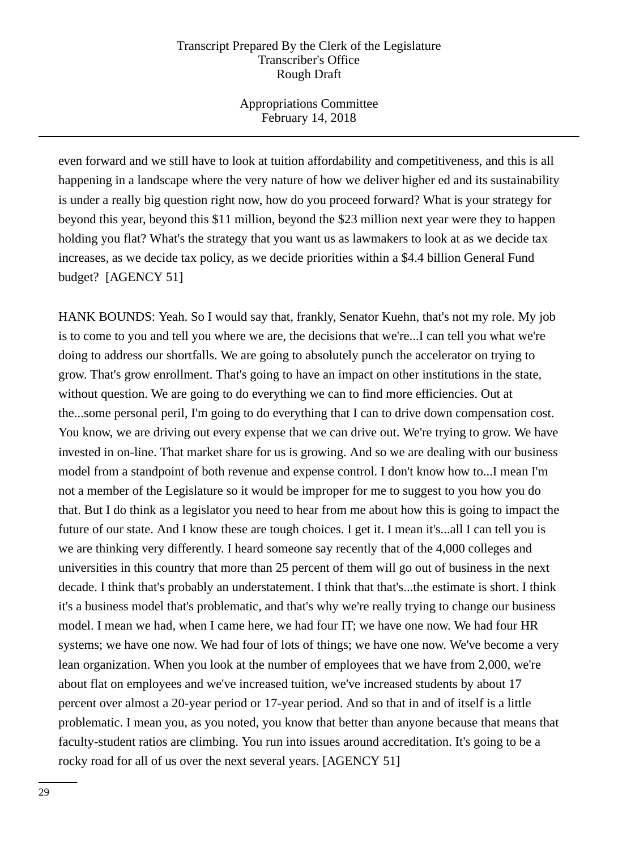Appropriations Committee February 14, 2018

even forward and we still have to look at tuition affordability and competitiveness, and this is all happening in a landscape where the very nature of how we deliver higher ed and its sustainability is under a really big question right now, how do you proceed forward? What is your strategy for beyond this year, beyond this \$11 million, beyond the \$23 million next year were they to happen holding you flat? What's the strategy that you want us as lawmakers to look at as we decide tax increases, as we decide tax policy, as we decide priorities within a \$4.4 billion General Fund budget? [AGENCY 51]

HANK BOUNDS: Yeah. So I would say that, frankly, Senator Kuehn, that's not my role. My job is to come to you and tell you where we are, the decisions that we're...I can tell you what we're doing to address our shortfalls. We are going to absolutely punch the accelerator on trying to grow. That's grow enrollment. That's going to have an impact on other institutions in the state, without question. We are going to do everything we can to find more efficiencies. Out at the...some personal peril, I'm going to do everything that I can to drive down compensation cost. You know, we are driving out every expense that we can drive out. We're trying to grow. We have invested in on-line. That market share for us is growing. And so we are dealing with our business model from a standpoint of both revenue and expense control. I don't know how to...I mean I'm not a member of the Legislature so it would be improper for me to suggest to you how you do that. But I do think as a legislator you need to hear from me about how this is going to impact the future of our state. And I know these are tough choices. I get it. I mean it's...all I can tell you is we are thinking very differently. I heard someone say recently that of the 4,000 colleges and universities in this country that more than 25 percent of them will go out of business in the next decade. I think that's probably an understatement. I think that that's...the estimate is short. I think it's a business model that's problematic, and that's why we're really trying to change our business model. I mean we had, when I came here, we had four IT; we have one now. We had four HR systems; we have one now. We had four of lots of things; we have one now. We've become a very lean organization. When you look at the number of employees that we have from 2,000, we're about flat on employees and we've increased tuition, we've increased students by about 17 percent over almost a 20-year period or 17-year period. And so that in and of itself is a little problematic. I mean you, as you noted, you know that better than anyone because that means that faculty-student ratios are climbing. You run into issues around accreditation. It's going to be a rocky road for all of us over the next several years. [AGENCY 51]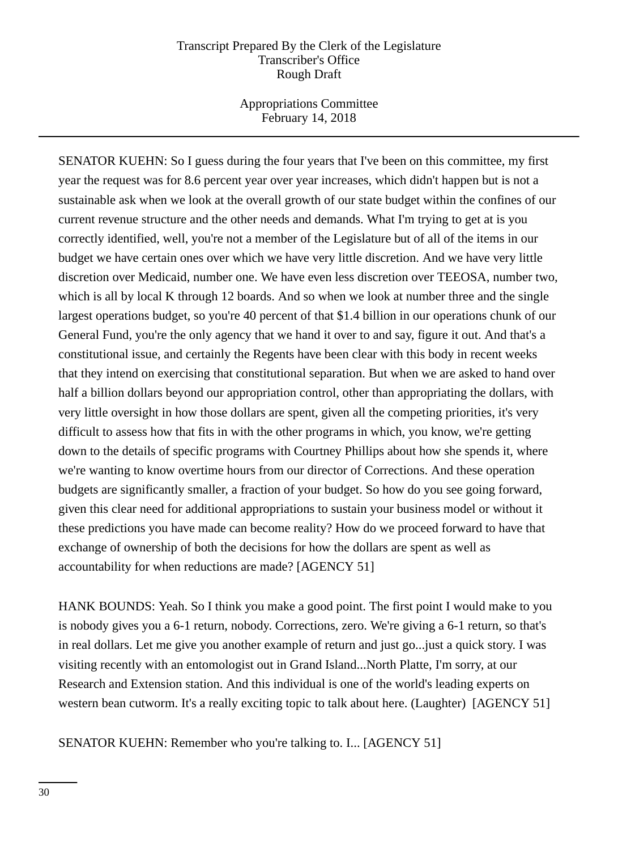Appropriations Committee February 14, 2018

SENATOR KUEHN: So I guess during the four years that I've been on this committee, my first year the request was for 8.6 percent year over year increases, which didn't happen but is not a sustainable ask when we look at the overall growth of our state budget within the confines of our current revenue structure and the other needs and demands. What I'm trying to get at is you correctly identified, well, you're not a member of the Legislature but of all of the items in our budget we have certain ones over which we have very little discretion. And we have very little discretion over Medicaid, number one. We have even less discretion over TEEOSA, number two, which is all by local K through 12 boards. And so when we look at number three and the single largest operations budget, so you're 40 percent of that \$1.4 billion in our operations chunk of our General Fund, you're the only agency that we hand it over to and say, figure it out. And that's a constitutional issue, and certainly the Regents have been clear with this body in recent weeks that they intend on exercising that constitutional separation. But when we are asked to hand over half a billion dollars beyond our appropriation control, other than appropriating the dollars, with very little oversight in how those dollars are spent, given all the competing priorities, it's very difficult to assess how that fits in with the other programs in which, you know, we're getting down to the details of specific programs with Courtney Phillips about how she spends it, where we're wanting to know overtime hours from our director of Corrections. And these operation budgets are significantly smaller, a fraction of your budget. So how do you see going forward, given this clear need for additional appropriations to sustain your business model or without it these predictions you have made can become reality? How do we proceed forward to have that exchange of ownership of both the decisions for how the dollars are spent as well as accountability for when reductions are made? [AGENCY 51]

HANK BOUNDS: Yeah. So I think you make a good point. The first point I would make to you is nobody gives you a 6-1 return, nobody. Corrections, zero. We're giving a 6-1 return, so that's in real dollars. Let me give you another example of return and just go...just a quick story. I was visiting recently with an entomologist out in Grand Island...North Platte, I'm sorry, at our Research and Extension station. And this individual is one of the world's leading experts on western bean cutworm. It's a really exciting topic to talk about here. (Laughter) [AGENCY 51]

SENATOR KUEHN: Remember who you're talking to. I... [AGENCY 51]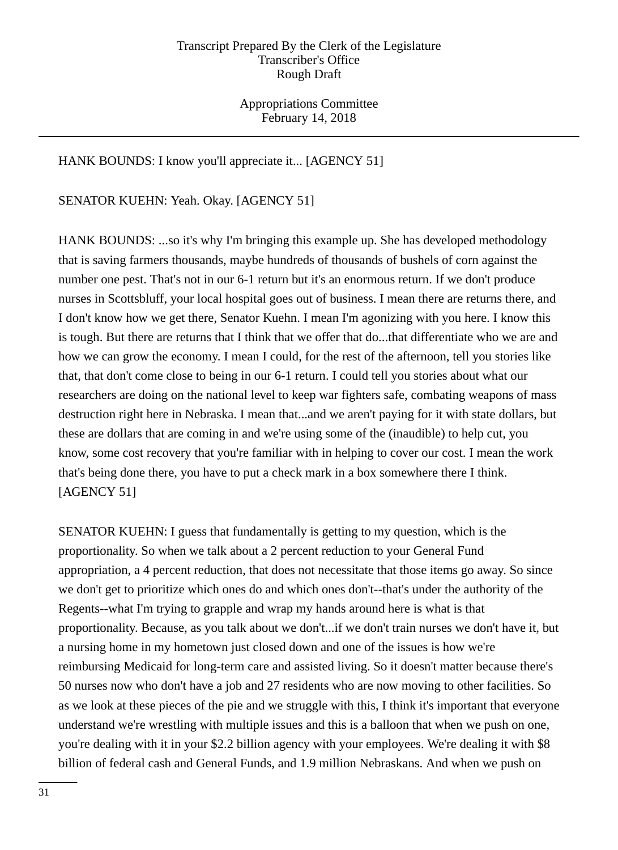Appropriations Committee February 14, 2018

## HANK BOUNDS: I know you'll appreciate it... [AGENCY 51]

SENATOR KUEHN: Yeah. Okay. [AGENCY 51]

HANK BOUNDS: ...so it's why I'm bringing this example up. She has developed methodology that is saving farmers thousands, maybe hundreds of thousands of bushels of corn against the number one pest. That's not in our 6-1 return but it's an enormous return. If we don't produce nurses in Scottsbluff, your local hospital goes out of business. I mean there are returns there, and I don't know how we get there, Senator Kuehn. I mean I'm agonizing with you here. I know this is tough. But there are returns that I think that we offer that do...that differentiate who we are and how we can grow the economy. I mean I could, for the rest of the afternoon, tell you stories like that, that don't come close to being in our 6-1 return. I could tell you stories about what our researchers are doing on the national level to keep war fighters safe, combating weapons of mass destruction right here in Nebraska. I mean that...and we aren't paying for it with state dollars, but these are dollars that are coming in and we're using some of the (inaudible) to help cut, you know, some cost recovery that you're familiar with in helping to cover our cost. I mean the work that's being done there, you have to put a check mark in a box somewhere there I think. [AGENCY 51]

SENATOR KUEHN: I guess that fundamentally is getting to my question, which is the proportionality. So when we talk about a 2 percent reduction to your General Fund appropriation, a 4 percent reduction, that does not necessitate that those items go away. So since we don't get to prioritize which ones do and which ones don't--that's under the authority of the Regents--what I'm trying to grapple and wrap my hands around here is what is that proportionality. Because, as you talk about we don't...if we don't train nurses we don't have it, but a nursing home in my hometown just closed down and one of the issues is how we're reimbursing Medicaid for long-term care and assisted living. So it doesn't matter because there's 50 nurses now who don't have a job and 27 residents who are now moving to other facilities. So as we look at these pieces of the pie and we struggle with this, I think it's important that everyone understand we're wrestling with multiple issues and this is a balloon that when we push on one, you're dealing with it in your \$2.2 billion agency with your employees. We're dealing it with \$8 billion of federal cash and General Funds, and 1.9 million Nebraskans. And when we push on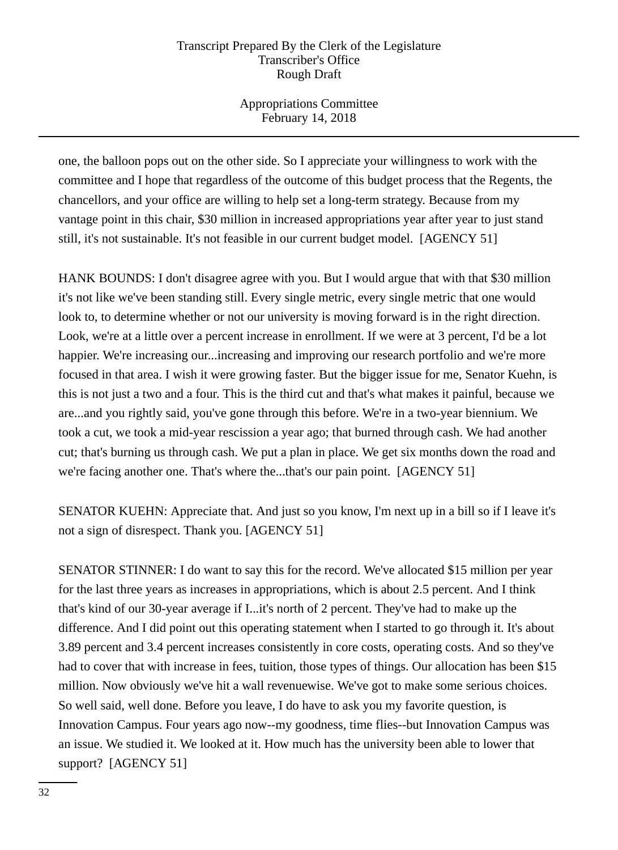Appropriations Committee February 14, 2018

one, the balloon pops out on the other side. So I appreciate your willingness to work with the committee and I hope that regardless of the outcome of this budget process that the Regents, the chancellors, and your office are willing to help set a long-term strategy. Because from my vantage point in this chair, \$30 million in increased appropriations year after year to just stand still, it's not sustainable. It's not feasible in our current budget model. [AGENCY 51]

HANK BOUNDS: I don't disagree agree with you. But I would argue that with that \$30 million it's not like we've been standing still. Every single metric, every single metric that one would look to, to determine whether or not our university is moving forward is in the right direction. Look, we're at a little over a percent increase in enrollment. If we were at 3 percent, I'd be a lot happier. We're increasing our...increasing and improving our research portfolio and we're more focused in that area. I wish it were growing faster. But the bigger issue for me, Senator Kuehn, is this is not just a two and a four. This is the third cut and that's what makes it painful, because we are...and you rightly said, you've gone through this before. We're in a two-year biennium. We took a cut, we took a mid-year rescission a year ago; that burned through cash. We had another cut; that's burning us through cash. We put a plan in place. We get six months down the road and we're facing another one. That's where the...that's our pain point. [AGENCY 51]

SENATOR KUEHN: Appreciate that. And just so you know, I'm next up in a bill so if I leave it's not a sign of disrespect. Thank you. [AGENCY 51]

SENATOR STINNER: I do want to say this for the record. We've allocated \$15 million per year for the last three years as increases in appropriations, which is about 2.5 percent. And I think that's kind of our 30-year average if I...it's north of 2 percent. They've had to make up the difference. And I did point out this operating statement when I started to go through it. It's about 3.89 percent and 3.4 percent increases consistently in core costs, operating costs. And so they've had to cover that with increase in fees, tuition, those types of things. Our allocation has been \$15 million. Now obviously we've hit a wall revenuewise. We've got to make some serious choices. So well said, well done. Before you leave, I do have to ask you my favorite question, is Innovation Campus. Four years ago now--my goodness, time flies--but Innovation Campus was an issue. We studied it. We looked at it. How much has the university been able to lower that support? [AGENCY 51]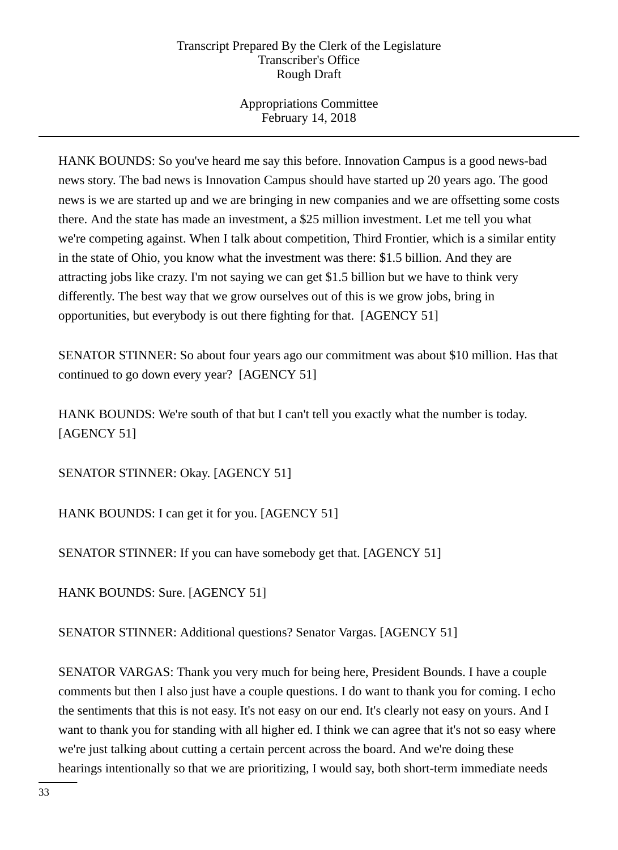Appropriations Committee February 14, 2018

HANK BOUNDS: So you've heard me say this before. Innovation Campus is a good news-bad news story. The bad news is Innovation Campus should have started up 20 years ago. The good news is we are started up and we are bringing in new companies and we are offsetting some costs there. And the state has made an investment, a \$25 million investment. Let me tell you what we're competing against. When I talk about competition, Third Frontier, which is a similar entity in the state of Ohio, you know what the investment was there: \$1.5 billion. And they are attracting jobs like crazy. I'm not saying we can get \$1.5 billion but we have to think very differently. The best way that we grow ourselves out of this is we grow jobs, bring in opportunities, but everybody is out there fighting for that. [AGENCY 51]

SENATOR STINNER: So about four years ago our commitment was about \$10 million. Has that continued to go down every year? [AGENCY 51]

HANK BOUNDS: We're south of that but I can't tell you exactly what the number is today. [AGENCY 51]

SENATOR STINNER: Okay. [AGENCY 51]

HANK BOUNDS: I can get it for you. [AGENCY 51]

SENATOR STINNER: If you can have somebody get that. [AGENCY 51]

HANK BOUNDS: Sure. [AGENCY 51]

SENATOR STINNER: Additional questions? Senator Vargas. [AGENCY 51]

SENATOR VARGAS: Thank you very much for being here, President Bounds. I have a couple comments but then I also just have a couple questions. I do want to thank you for coming. I echo the sentiments that this is not easy. It's not easy on our end. It's clearly not easy on yours. And I want to thank you for standing with all higher ed. I think we can agree that it's not so easy where we're just talking about cutting a certain percent across the board. And we're doing these hearings intentionally so that we are prioritizing, I would say, both short-term immediate needs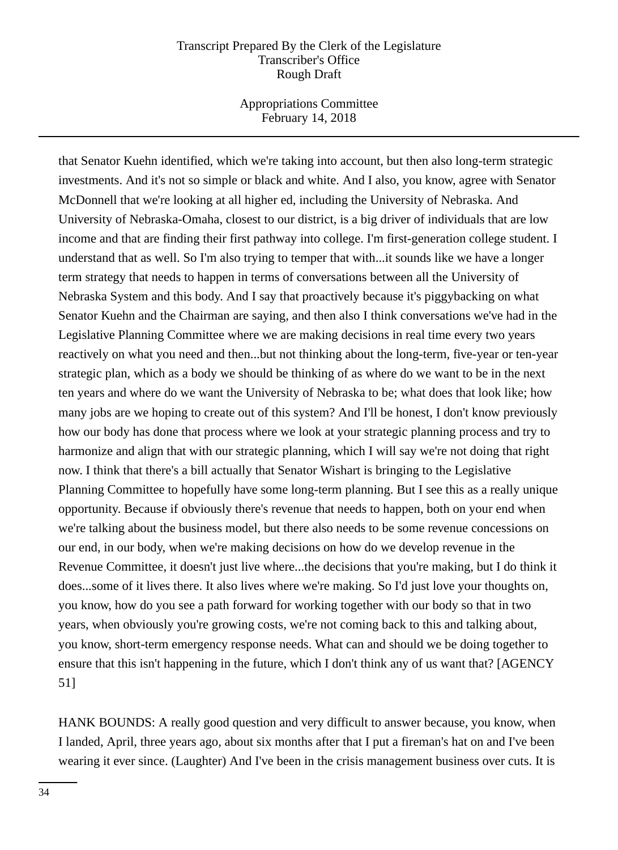Appropriations Committee February 14, 2018

that Senator Kuehn identified, which we're taking into account, but then also long-term strategic investments. And it's not so simple or black and white. And I also, you know, agree with Senator McDonnell that we're looking at all higher ed, including the University of Nebraska. And University of Nebraska-Omaha, closest to our district, is a big driver of individuals that are low income and that are finding their first pathway into college. I'm first-generation college student. I understand that as well. So I'm also trying to temper that with...it sounds like we have a longer term strategy that needs to happen in terms of conversations between all the University of Nebraska System and this body. And I say that proactively because it's piggybacking on what Senator Kuehn and the Chairman are saying, and then also I think conversations we've had in the Legislative Planning Committee where we are making decisions in real time every two years reactively on what you need and then...but not thinking about the long-term, five-year or ten-year strategic plan, which as a body we should be thinking of as where do we want to be in the next ten years and where do we want the University of Nebraska to be; what does that look like; how many jobs are we hoping to create out of this system? And I'll be honest, I don't know previously how our body has done that process where we look at your strategic planning process and try to harmonize and align that with our strategic planning, which I will say we're not doing that right now. I think that there's a bill actually that Senator Wishart is bringing to the Legislative Planning Committee to hopefully have some long-term planning. But I see this as a really unique opportunity. Because if obviously there's revenue that needs to happen, both on your end when we're talking about the business model, but there also needs to be some revenue concessions on our end, in our body, when we're making decisions on how do we develop revenue in the Revenue Committee, it doesn't just live where...the decisions that you're making, but I do think it does...some of it lives there. It also lives where we're making. So I'd just love your thoughts on, you know, how do you see a path forward for working together with our body so that in two years, when obviously you're growing costs, we're not coming back to this and talking about, you know, short-term emergency response needs. What can and should we be doing together to ensure that this isn't happening in the future, which I don't think any of us want that? [AGENCY 51]

HANK BOUNDS: A really good question and very difficult to answer because, you know, when I landed, April, three years ago, about six months after that I put a fireman's hat on and I've been wearing it ever since. (Laughter) And I've been in the crisis management business over cuts. It is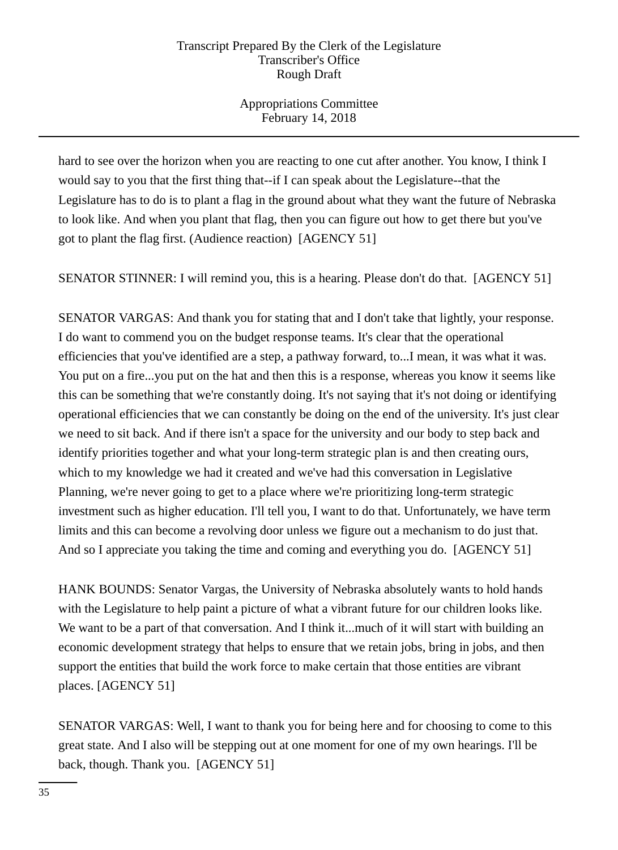Appropriations Committee February 14, 2018

hard to see over the horizon when you are reacting to one cut after another. You know, I think I would say to you that the first thing that--if I can speak about the Legislature--that the Legislature has to do is to plant a flag in the ground about what they want the future of Nebraska to look like. And when you plant that flag, then you can figure out how to get there but you've got to plant the flag first. (Audience reaction) [AGENCY 51]

SENATOR STINNER: I will remind you, this is a hearing. Please don't do that. [AGENCY 51]

SENATOR VARGAS: And thank you for stating that and I don't take that lightly, your response. I do want to commend you on the budget response teams. It's clear that the operational efficiencies that you've identified are a step, a pathway forward, to...I mean, it was what it was. You put on a fire...you put on the hat and then this is a response, whereas you know it seems like this can be something that we're constantly doing. It's not saying that it's not doing or identifying operational efficiencies that we can constantly be doing on the end of the university. It's just clear we need to sit back. And if there isn't a space for the university and our body to step back and identify priorities together and what your long-term strategic plan is and then creating ours, which to my knowledge we had it created and we've had this conversation in Legislative Planning, we're never going to get to a place where we're prioritizing long-term strategic investment such as higher education. I'll tell you, I want to do that. Unfortunately, we have term limits and this can become a revolving door unless we figure out a mechanism to do just that. And so I appreciate you taking the time and coming and everything you do. [AGENCY 51]

HANK BOUNDS: Senator Vargas, the University of Nebraska absolutely wants to hold hands with the Legislature to help paint a picture of what a vibrant future for our children looks like. We want to be a part of that conversation. And I think it...much of it will start with building an economic development strategy that helps to ensure that we retain jobs, bring in jobs, and then support the entities that build the work force to make certain that those entities are vibrant places. [AGENCY 51]

SENATOR VARGAS: Well, I want to thank you for being here and for choosing to come to this great state. And I also will be stepping out at one moment for one of my own hearings. I'll be back, though. Thank you. [AGENCY 51]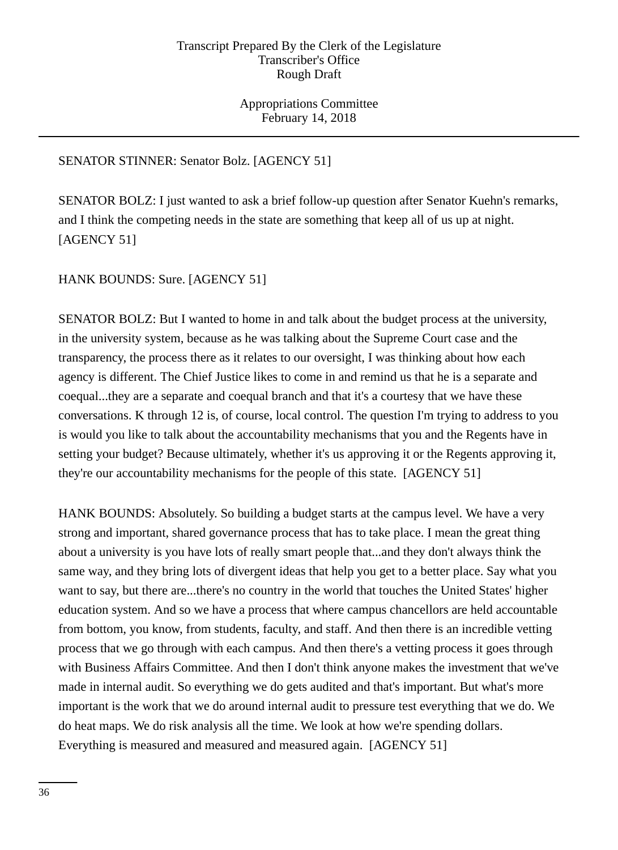Appropriations Committee February 14, 2018

## SENATOR STINNER: Senator Bolz. [AGENCY 51]

SENATOR BOLZ: I just wanted to ask a brief follow-up question after Senator Kuehn's remarks, and I think the competing needs in the state are something that keep all of us up at night. [AGENCY 51]

HANK BOUNDS: Sure. [AGENCY 51]

SENATOR BOLZ: But I wanted to home in and talk about the budget process at the university, in the university system, because as he was talking about the Supreme Court case and the transparency, the process there as it relates to our oversight, I was thinking about how each agency is different. The Chief Justice likes to come in and remind us that he is a separate and coequal...they are a separate and coequal branch and that it's a courtesy that we have these conversations. K through 12 is, of course, local control. The question I'm trying to address to you is would you like to talk about the accountability mechanisms that you and the Regents have in setting your budget? Because ultimately, whether it's us approving it or the Regents approving it, they're our accountability mechanisms for the people of this state. [AGENCY 51]

HANK BOUNDS: Absolutely. So building a budget starts at the campus level. We have a very strong and important, shared governance process that has to take place. I mean the great thing about a university is you have lots of really smart people that...and they don't always think the same way, and they bring lots of divergent ideas that help you get to a better place. Say what you want to say, but there are...there's no country in the world that touches the United States' higher education system. And so we have a process that where campus chancellors are held accountable from bottom, you know, from students, faculty, and staff. And then there is an incredible vetting process that we go through with each campus. And then there's a vetting process it goes through with Business Affairs Committee. And then I don't think anyone makes the investment that we've made in internal audit. So everything we do gets audited and that's important. But what's more important is the work that we do around internal audit to pressure test everything that we do. We do heat maps. We do risk analysis all the time. We look at how we're spending dollars. Everything is measured and measured and measured again. [AGENCY 51]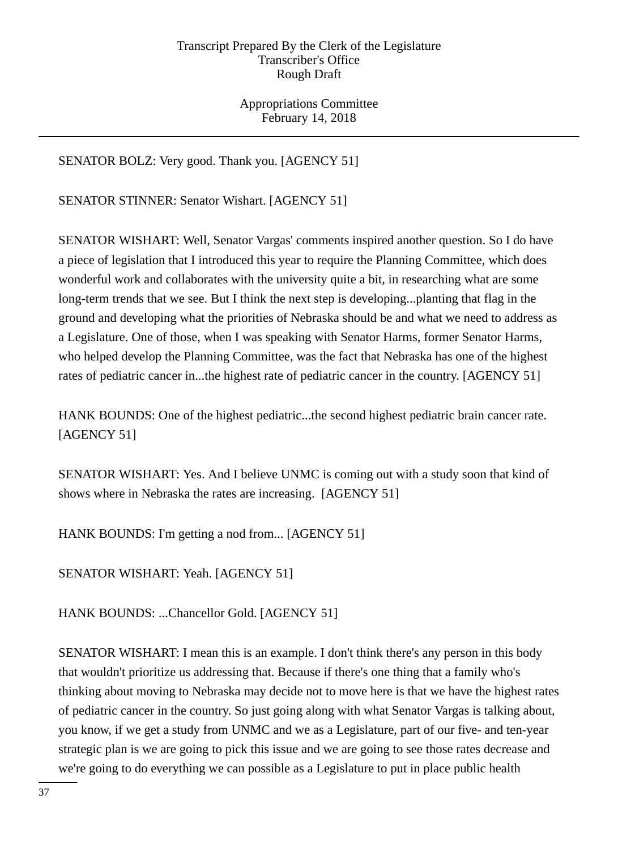Appropriations Committee February 14, 2018

SENATOR BOLZ: Very good. Thank you. [AGENCY 51]

SENATOR STINNER: Senator Wishart. [AGENCY 51]

SENATOR WISHART: Well, Senator Vargas' comments inspired another question. So I do have a piece of legislation that I introduced this year to require the Planning Committee, which does wonderful work and collaborates with the university quite a bit, in researching what are some long-term trends that we see. But I think the next step is developing...planting that flag in the ground and developing what the priorities of Nebraska should be and what we need to address as a Legislature. One of those, when I was speaking with Senator Harms, former Senator Harms, who helped develop the Planning Committee, was the fact that Nebraska has one of the highest rates of pediatric cancer in...the highest rate of pediatric cancer in the country. [AGENCY 51]

HANK BOUNDS: One of the highest pediatric...the second highest pediatric brain cancer rate. [AGENCY 51]

SENATOR WISHART: Yes. And I believe UNMC is coming out with a study soon that kind of shows where in Nebraska the rates are increasing. [AGENCY 51]

HANK BOUNDS: I'm getting a nod from... [AGENCY 51]

SENATOR WISHART: Yeah. [AGENCY 51]

HANK BOUNDS: ...Chancellor Gold. [AGENCY 51]

SENATOR WISHART: I mean this is an example. I don't think there's any person in this body that wouldn't prioritize us addressing that. Because if there's one thing that a family who's thinking about moving to Nebraska may decide not to move here is that we have the highest rates of pediatric cancer in the country. So just going along with what Senator Vargas is talking about, you know, if we get a study from UNMC and we as a Legislature, part of our five- and ten-year strategic plan is we are going to pick this issue and we are going to see those rates decrease and we're going to do everything we can possible as a Legislature to put in place public health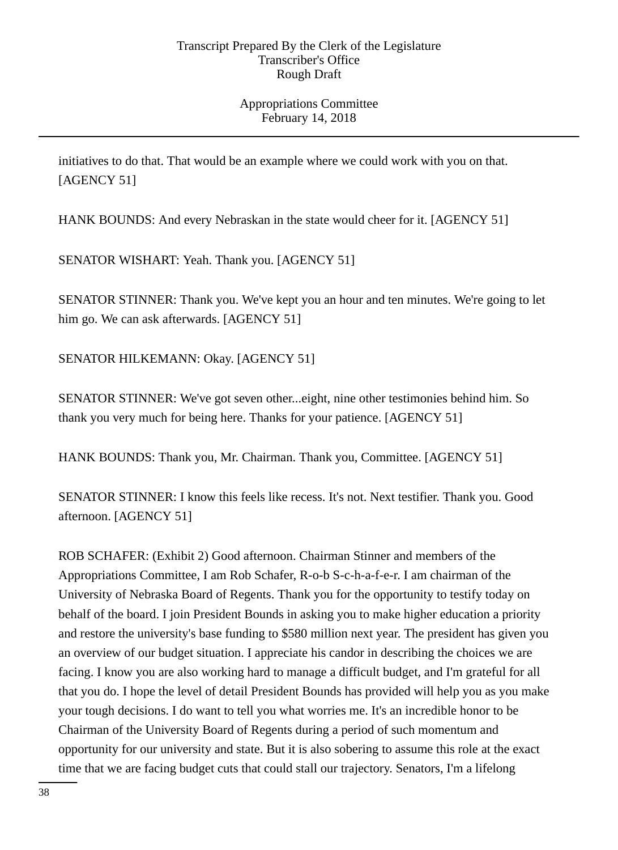Appropriations Committee February 14, 2018

initiatives to do that. That would be an example where we could work with you on that. [AGENCY 51]

HANK BOUNDS: And every Nebraskan in the state would cheer for it. [AGENCY 51]

SENATOR WISHART: Yeah. Thank you. [AGENCY 51]

SENATOR STINNER: Thank you. We've kept you an hour and ten minutes. We're going to let him go. We can ask afterwards. [AGENCY 51]

SENATOR HILKEMANN: Okay. [AGENCY 51]

SENATOR STINNER: We've got seven other...eight, nine other testimonies behind him. So thank you very much for being here. Thanks for your patience. [AGENCY 51]

HANK BOUNDS: Thank you, Mr. Chairman. Thank you, Committee. [AGENCY 51]

SENATOR STINNER: I know this feels like recess. It's not. Next testifier. Thank you. Good afternoon. [AGENCY 51]

ROB SCHAFER: (Exhibit 2) Good afternoon. Chairman Stinner and members of the Appropriations Committee, I am Rob Schafer, R-o-b S-c-h-a-f-e-r. I am chairman of the University of Nebraska Board of Regents. Thank you for the opportunity to testify today on behalf of the board. I join President Bounds in asking you to make higher education a priority and restore the university's base funding to \$580 million next year. The president has given you an overview of our budget situation. I appreciate his candor in describing the choices we are facing. I know you are also working hard to manage a difficult budget, and I'm grateful for all that you do. I hope the level of detail President Bounds has provided will help you as you make your tough decisions. I do want to tell you what worries me. It's an incredible honor to be Chairman of the University Board of Regents during a period of such momentum and opportunity for our university and state. But it is also sobering to assume this role at the exact time that we are facing budget cuts that could stall our trajectory. Senators, I'm a lifelong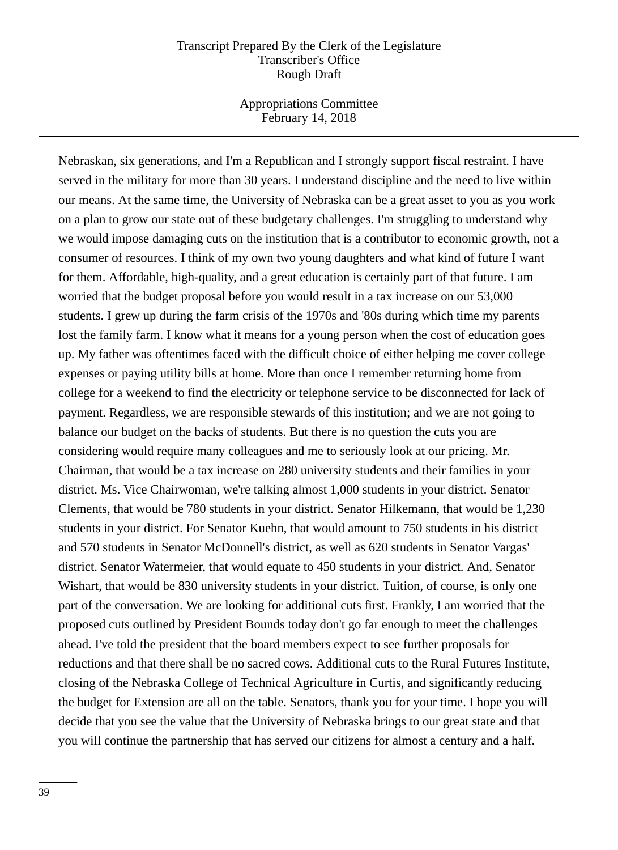Appropriations Committee February 14, 2018

Nebraskan, six generations, and I'm a Republican and I strongly support fiscal restraint. I have served in the military for more than 30 years. I understand discipline and the need to live within our means. At the same time, the University of Nebraska can be a great asset to you as you work on a plan to grow our state out of these budgetary challenges. I'm struggling to understand why we would impose damaging cuts on the institution that is a contributor to economic growth, not a consumer of resources. I think of my own two young daughters and what kind of future I want for them. Affordable, high-quality, and a great education is certainly part of that future. I am worried that the budget proposal before you would result in a tax increase on our 53,000 students. I grew up during the farm crisis of the 1970s and '80s during which time my parents lost the family farm. I know what it means for a young person when the cost of education goes up. My father was oftentimes faced with the difficult choice of either helping me cover college expenses or paying utility bills at home. More than once I remember returning home from college for a weekend to find the electricity or telephone service to be disconnected for lack of payment. Regardless, we are responsible stewards of this institution; and we are not going to balance our budget on the backs of students. But there is no question the cuts you are considering would require many colleagues and me to seriously look at our pricing. Mr. Chairman, that would be a tax increase on 280 university students and their families in your district. Ms. Vice Chairwoman, we're talking almost 1,000 students in your district. Senator Clements, that would be 780 students in your district. Senator Hilkemann, that would be 1,230 students in your district. For Senator Kuehn, that would amount to 750 students in his district and 570 students in Senator McDonnell's district, as well as 620 students in Senator Vargas' district. Senator Watermeier, that would equate to 450 students in your district. And, Senator Wishart, that would be 830 university students in your district. Tuition, of course, is only one part of the conversation. We are looking for additional cuts first. Frankly, I am worried that the proposed cuts outlined by President Bounds today don't go far enough to meet the challenges ahead. I've told the president that the board members expect to see further proposals for reductions and that there shall be no sacred cows. Additional cuts to the Rural Futures Institute, closing of the Nebraska College of Technical Agriculture in Curtis, and significantly reducing the budget for Extension are all on the table. Senators, thank you for your time. I hope you will decide that you see the value that the University of Nebraska brings to our great state and that you will continue the partnership that has served our citizens for almost a century and a half.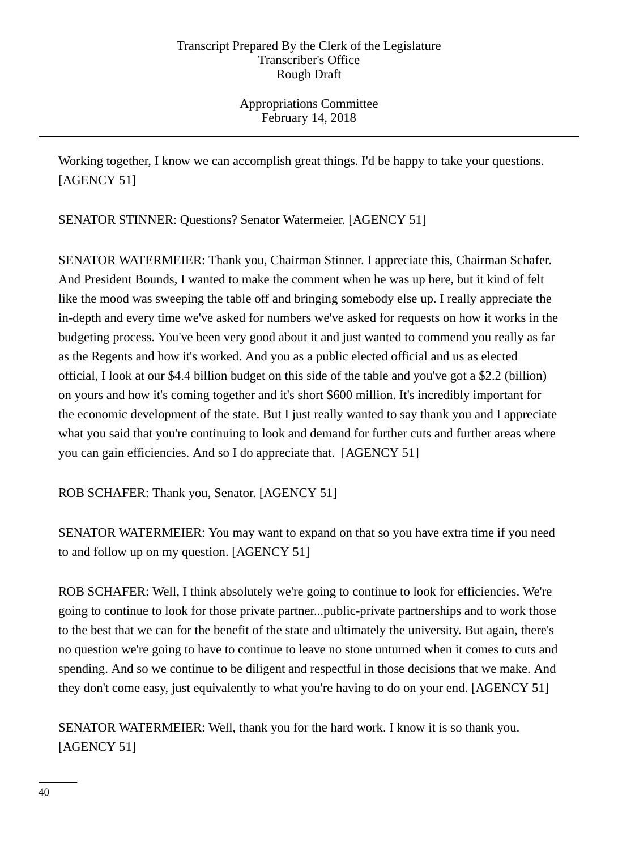Appropriations Committee February 14, 2018

Working together, I know we can accomplish great things. I'd be happy to take your questions. [AGENCY 51]

SENATOR STINNER: Questions? Senator Watermeier. [AGENCY 51]

SENATOR WATERMEIER: Thank you, Chairman Stinner. I appreciate this, Chairman Schafer. And President Bounds, I wanted to make the comment when he was up here, but it kind of felt like the mood was sweeping the table off and bringing somebody else up. I really appreciate the in-depth and every time we've asked for numbers we've asked for requests on how it works in the budgeting process. You've been very good about it and just wanted to commend you really as far as the Regents and how it's worked. And you as a public elected official and us as elected official, I look at our \$4.4 billion budget on this side of the table and you've got a \$2.2 (billion) on yours and how it's coming together and it's short \$600 million. It's incredibly important for the economic development of the state. But I just really wanted to say thank you and I appreciate what you said that you're continuing to look and demand for further cuts and further areas where you can gain efficiencies. And so I do appreciate that. [AGENCY 51]

ROB SCHAFER: Thank you, Senator. [AGENCY 51]

SENATOR WATERMEIER: You may want to expand on that so you have extra time if you need to and follow up on my question. [AGENCY 51]

ROB SCHAFER: Well, I think absolutely we're going to continue to look for efficiencies. We're going to continue to look for those private partner...public-private partnerships and to work those to the best that we can for the benefit of the state and ultimately the university. But again, there's no question we're going to have to continue to leave no stone unturned when it comes to cuts and spending. And so we continue to be diligent and respectful in those decisions that we make. And they don't come easy, just equivalently to what you're having to do on your end. [AGENCY 51]

SENATOR WATERMEIER: Well, thank you for the hard work. I know it is so thank you. [AGENCY 51]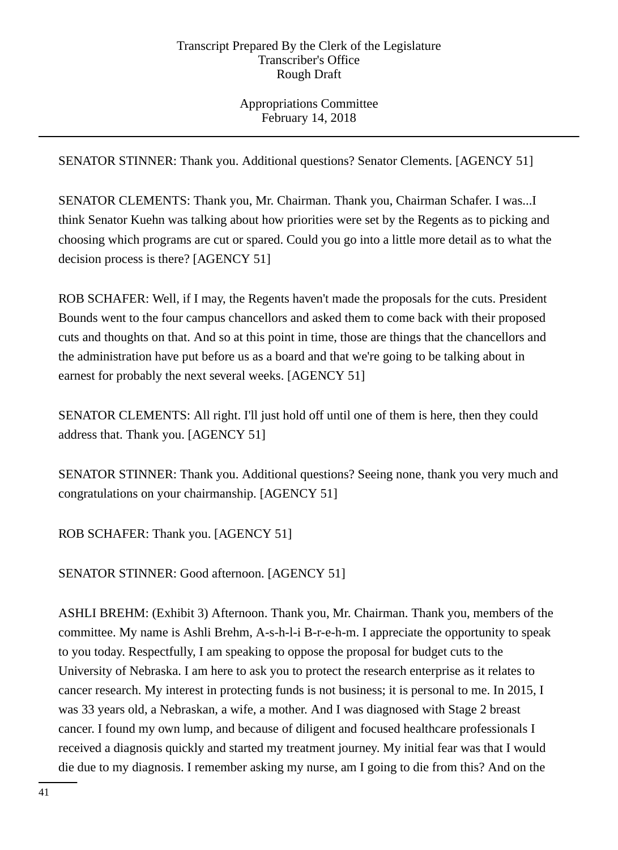Appropriations Committee February 14, 2018

SENATOR STINNER: Thank you. Additional questions? Senator Clements. [AGENCY 51]

SENATOR CLEMENTS: Thank you, Mr. Chairman. Thank you, Chairman Schafer. I was...I think Senator Kuehn was talking about how priorities were set by the Regents as to picking and choosing which programs are cut or spared. Could you go into a little more detail as to what the decision process is there? [AGENCY 51]

ROB SCHAFER: Well, if I may, the Regents haven't made the proposals for the cuts. President Bounds went to the four campus chancellors and asked them to come back with their proposed cuts and thoughts on that. And so at this point in time, those are things that the chancellors and the administration have put before us as a board and that we're going to be talking about in earnest for probably the next several weeks. [AGENCY 51]

SENATOR CLEMENTS: All right. I'll just hold off until one of them is here, then they could address that. Thank you. [AGENCY 51]

SENATOR STINNER: Thank you. Additional questions? Seeing none, thank you very much and congratulations on your chairmanship. [AGENCY 51]

ROB SCHAFER: Thank you. [AGENCY 51]

SENATOR STINNER: Good afternoon. [AGENCY 51]

ASHLI BREHM: (Exhibit 3) Afternoon. Thank you, Mr. Chairman. Thank you, members of the committee. My name is Ashli Brehm, A-s-h-l-i B-r-e-h-m. I appreciate the opportunity to speak to you today. Respectfully, I am speaking to oppose the proposal for budget cuts to the University of Nebraska. I am here to ask you to protect the research enterprise as it relates to cancer research. My interest in protecting funds is not business; it is personal to me. In 2015, I was 33 years old, a Nebraskan, a wife, a mother. And I was diagnosed with Stage 2 breast cancer. I found my own lump, and because of diligent and focused healthcare professionals I received a diagnosis quickly and started my treatment journey. My initial fear was that I would die due to my diagnosis. I remember asking my nurse, am I going to die from this? And on the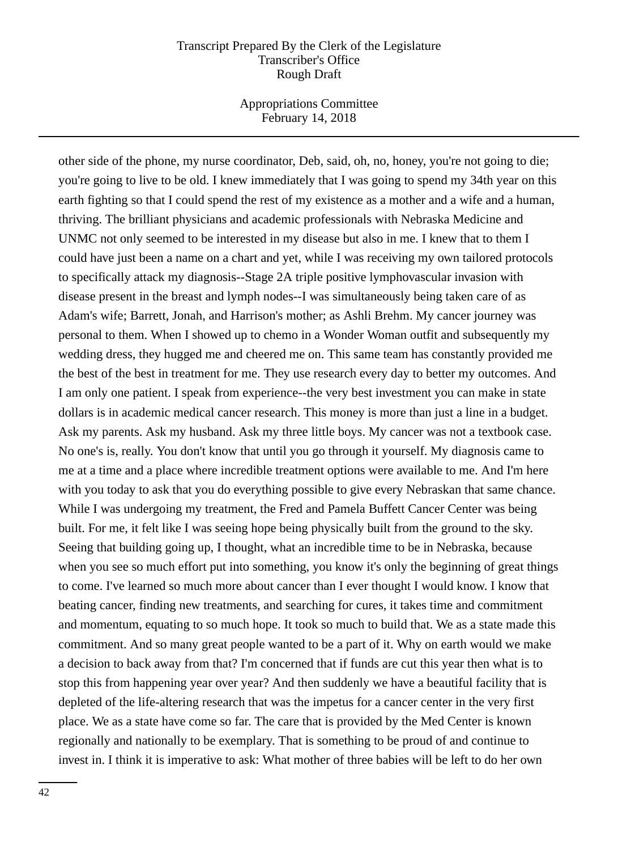Appropriations Committee February 14, 2018

other side of the phone, my nurse coordinator, Deb, said, oh, no, honey, you're not going to die; you're going to live to be old. I knew immediately that I was going to spend my 34th year on this earth fighting so that I could spend the rest of my existence as a mother and a wife and a human, thriving. The brilliant physicians and academic professionals with Nebraska Medicine and UNMC not only seemed to be interested in my disease but also in me. I knew that to them I could have just been a name on a chart and yet, while I was receiving my own tailored protocols to specifically attack my diagnosis--Stage 2A triple positive lymphovascular invasion with disease present in the breast and lymph nodes--I was simultaneously being taken care of as Adam's wife; Barrett, Jonah, and Harrison's mother; as Ashli Brehm. My cancer journey was personal to them. When I showed up to chemo in a Wonder Woman outfit and subsequently my wedding dress, they hugged me and cheered me on. This same team has constantly provided me the best of the best in treatment for me. They use research every day to better my outcomes. And I am only one patient. I speak from experience--the very best investment you can make in state dollars is in academic medical cancer research. This money is more than just a line in a budget. Ask my parents. Ask my husband. Ask my three little boys. My cancer was not a textbook case. No one's is, really. You don't know that until you go through it yourself. My diagnosis came to me at a time and a place where incredible treatment options were available to me. And I'm here with you today to ask that you do everything possible to give every Nebraskan that same chance. While I was undergoing my treatment, the Fred and Pamela Buffett Cancer Center was being built. For me, it felt like I was seeing hope being physically built from the ground to the sky. Seeing that building going up, I thought, what an incredible time to be in Nebraska, because when you see so much effort put into something, you know it's only the beginning of great things to come. I've learned so much more about cancer than I ever thought I would know. I know that beating cancer, finding new treatments, and searching for cures, it takes time and commitment and momentum, equating to so much hope. It took so much to build that. We as a state made this commitment. And so many great people wanted to be a part of it. Why on earth would we make a decision to back away from that? I'm concerned that if funds are cut this year then what is to stop this from happening year over year? And then suddenly we have a beautiful facility that is depleted of the life-altering research that was the impetus for a cancer center in the very first place. We as a state have come so far. The care that is provided by the Med Center is known regionally and nationally to be exemplary. That is something to be proud of and continue to invest in. I think it is imperative to ask: What mother of three babies will be left to do her own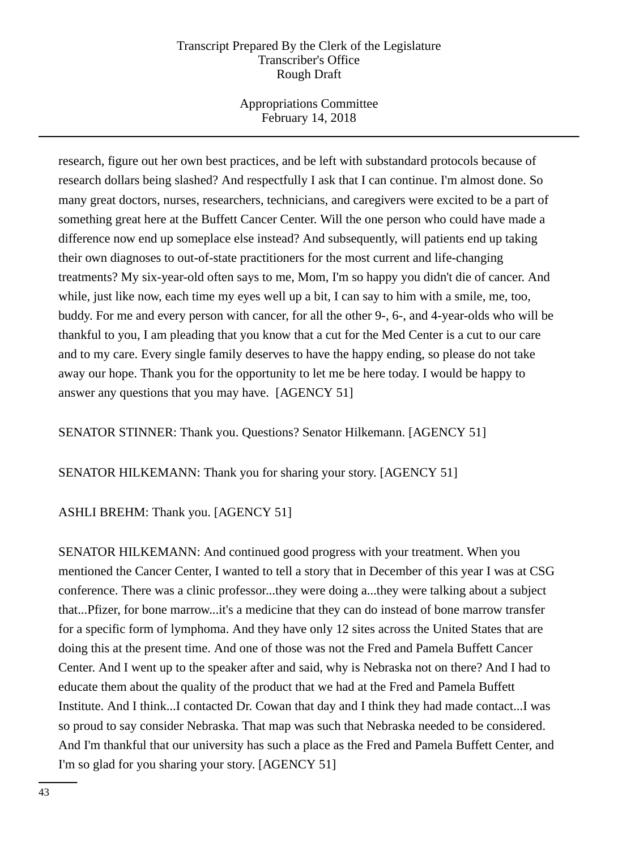Appropriations Committee February 14, 2018

research, figure out her own best practices, and be left with substandard protocols because of research dollars being slashed? And respectfully I ask that I can continue. I'm almost done. So many great doctors, nurses, researchers, technicians, and caregivers were excited to be a part of something great here at the Buffett Cancer Center. Will the one person who could have made a difference now end up someplace else instead? And subsequently, will patients end up taking their own diagnoses to out-of-state practitioners for the most current and life-changing treatments? My six-year-old often says to me, Mom, I'm so happy you didn't die of cancer. And while, just like now, each time my eyes well up a bit, I can say to him with a smile, me, too, buddy. For me and every person with cancer, for all the other 9-, 6-, and 4-year-olds who will be thankful to you, I am pleading that you know that a cut for the Med Center is a cut to our care and to my care. Every single family deserves to have the happy ending, so please do not take away our hope. Thank you for the opportunity to let me be here today. I would be happy to answer any questions that you may have. [AGENCY 51]

SENATOR STINNER: Thank you. Questions? Senator Hilkemann. [AGENCY 51]

SENATOR HILKEMANN: Thank you for sharing your story. [AGENCY 51]

# ASHLI BREHM: Thank you. [AGENCY 51]

SENATOR HILKEMANN: And continued good progress with your treatment. When you mentioned the Cancer Center, I wanted to tell a story that in December of this year I was at CSG conference. There was a clinic professor...they were doing a...they were talking about a subject that...Pfizer, for bone marrow...it's a medicine that they can do instead of bone marrow transfer for a specific form of lymphoma. And they have only 12 sites across the United States that are doing this at the present time. And one of those was not the Fred and Pamela Buffett Cancer Center. And I went up to the speaker after and said, why is Nebraska not on there? And I had to educate them about the quality of the product that we had at the Fred and Pamela Buffett Institute. And I think...I contacted Dr. Cowan that day and I think they had made contact...I was so proud to say consider Nebraska. That map was such that Nebraska needed to be considered. And I'm thankful that our university has such a place as the Fred and Pamela Buffett Center, and I'm so glad for you sharing your story. [AGENCY 51]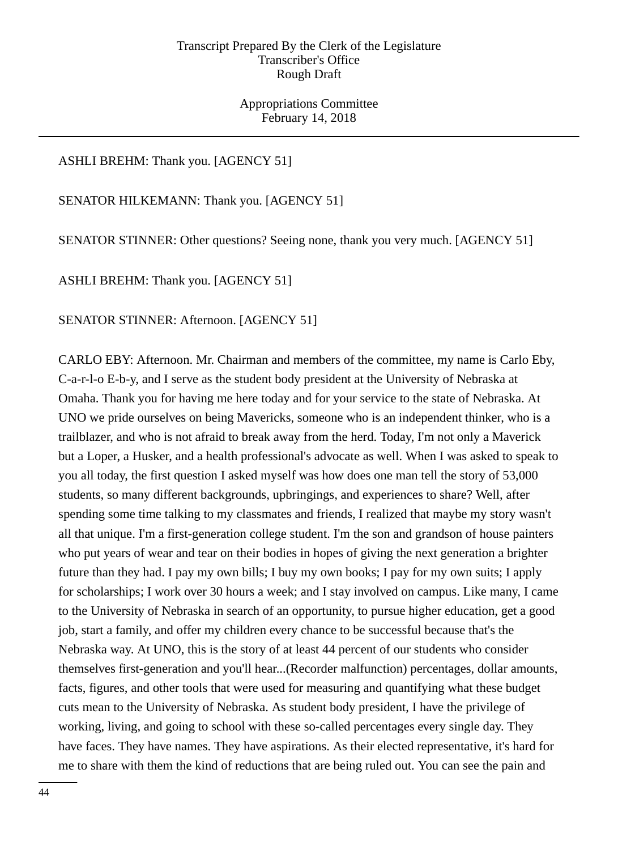Appropriations Committee February 14, 2018

## ASHLI BREHM: Thank you. [AGENCY 51]

SENATOR HILKEMANN: Thank you. [AGENCY 51]

SENATOR STINNER: Other questions? Seeing none, thank you very much. [AGENCY 51]

ASHLI BREHM: Thank you. [AGENCY 51]

SENATOR STINNER: Afternoon. [AGENCY 51]

CARLO EBY: Afternoon. Mr. Chairman and members of the committee, my name is Carlo Eby, C-a-r-l-o E-b-y, and I serve as the student body president at the University of Nebraska at Omaha. Thank you for having me here today and for your service to the state of Nebraska. At UNO we pride ourselves on being Mavericks, someone who is an independent thinker, who is a trailblazer, and who is not afraid to break away from the herd. Today, I'm not only a Maverick but a Loper, a Husker, and a health professional's advocate as well. When I was asked to speak to you all today, the first question I asked myself was how does one man tell the story of 53,000 students, so many different backgrounds, upbringings, and experiences to share? Well, after spending some time talking to my classmates and friends, I realized that maybe my story wasn't all that unique. I'm a first-generation college student. I'm the son and grandson of house painters who put years of wear and tear on their bodies in hopes of giving the next generation a brighter future than they had. I pay my own bills; I buy my own books; I pay for my own suits; I apply for scholarships; I work over 30 hours a week; and I stay involved on campus. Like many, I came to the University of Nebraska in search of an opportunity, to pursue higher education, get a good job, start a family, and offer my children every chance to be successful because that's the Nebraska way. At UNO, this is the story of at least 44 percent of our students who consider themselves first-generation and you'll hear...(Recorder malfunction) percentages, dollar amounts, facts, figures, and other tools that were used for measuring and quantifying what these budget cuts mean to the University of Nebraska. As student body president, I have the privilege of working, living, and going to school with these so-called percentages every single day. They have faces. They have names. They have aspirations. As their elected representative, it's hard for me to share with them the kind of reductions that are being ruled out. You can see the pain and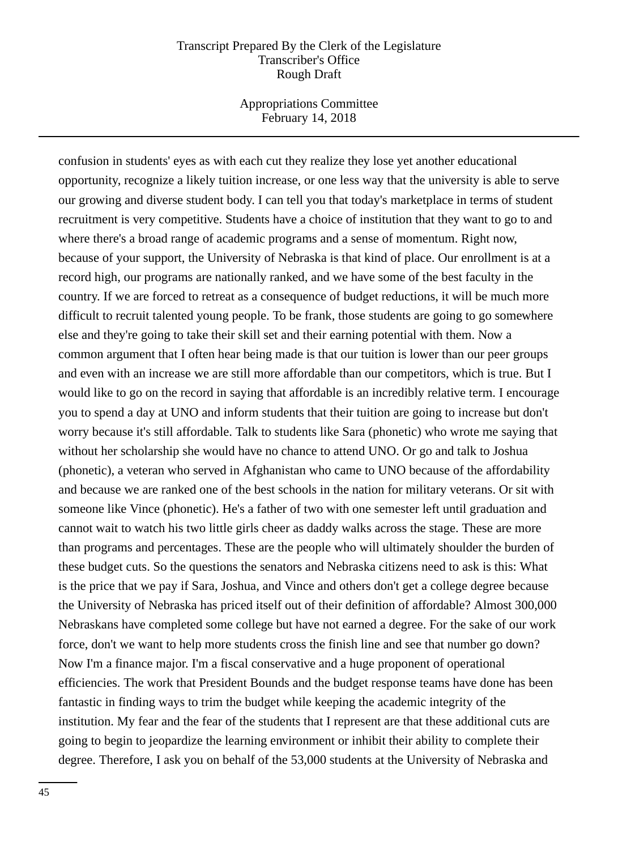Appropriations Committee February 14, 2018

confusion in students' eyes as with each cut they realize they lose yet another educational opportunity, recognize a likely tuition increase, or one less way that the university is able to serve our growing and diverse student body. I can tell you that today's marketplace in terms of student recruitment is very competitive. Students have a choice of institution that they want to go to and where there's a broad range of academic programs and a sense of momentum. Right now, because of your support, the University of Nebraska is that kind of place. Our enrollment is at a record high, our programs are nationally ranked, and we have some of the best faculty in the country. If we are forced to retreat as a consequence of budget reductions, it will be much more difficult to recruit talented young people. To be frank, those students are going to go somewhere else and they're going to take their skill set and their earning potential with them. Now a common argument that I often hear being made is that our tuition is lower than our peer groups and even with an increase we are still more affordable than our competitors, which is true. But I would like to go on the record in saying that affordable is an incredibly relative term. I encourage you to spend a day at UNO and inform students that their tuition are going to increase but don't worry because it's still affordable. Talk to students like Sara (phonetic) who wrote me saying that without her scholarship she would have no chance to attend UNO. Or go and talk to Joshua (phonetic), a veteran who served in Afghanistan who came to UNO because of the affordability and because we are ranked one of the best schools in the nation for military veterans. Or sit with someone like Vince (phonetic). He's a father of two with one semester left until graduation and cannot wait to watch his two little girls cheer as daddy walks across the stage. These are more than programs and percentages. These are the people who will ultimately shoulder the burden of these budget cuts. So the questions the senators and Nebraska citizens need to ask is this: What is the price that we pay if Sara, Joshua, and Vince and others don't get a college degree because the University of Nebraska has priced itself out of their definition of affordable? Almost 300,000 Nebraskans have completed some college but have not earned a degree. For the sake of our work force, don't we want to help more students cross the finish line and see that number go down? Now I'm a finance major. I'm a fiscal conservative and a huge proponent of operational efficiencies. The work that President Bounds and the budget response teams have done has been fantastic in finding ways to trim the budget while keeping the academic integrity of the institution. My fear and the fear of the students that I represent are that these additional cuts are going to begin to jeopardize the learning environment or inhibit their ability to complete their degree. Therefore, I ask you on behalf of the 53,000 students at the University of Nebraska and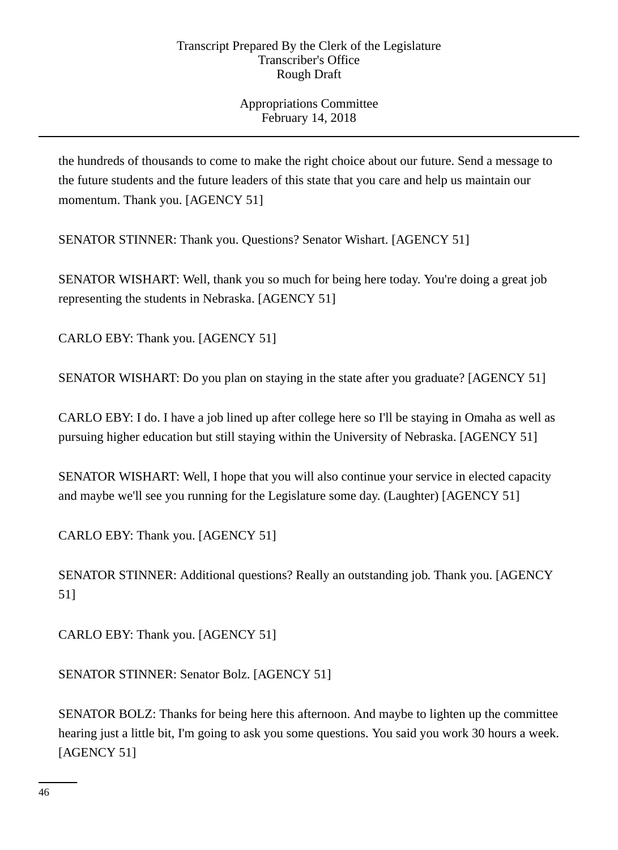Appropriations Committee February 14, 2018

the hundreds of thousands to come to make the right choice about our future. Send a message to the future students and the future leaders of this state that you care and help us maintain our momentum. Thank you. [AGENCY 51]

SENATOR STINNER: Thank you. Questions? Senator Wishart. [AGENCY 51]

SENATOR WISHART: Well, thank you so much for being here today. You're doing a great job representing the students in Nebraska. [AGENCY 51]

CARLO EBY: Thank you. [AGENCY 51]

SENATOR WISHART: Do you plan on staying in the state after you graduate? [AGENCY 51]

CARLO EBY: I do. I have a job lined up after college here so I'll be staying in Omaha as well as pursuing higher education but still staying within the University of Nebraska. [AGENCY 51]

SENATOR WISHART: Well, I hope that you will also continue your service in elected capacity and maybe we'll see you running for the Legislature some day. (Laughter) [AGENCY 51]

CARLO EBY: Thank you. [AGENCY 51]

SENATOR STINNER: Additional questions? Really an outstanding job. Thank you. [AGENCY 51]

CARLO EBY: Thank you. [AGENCY 51]

SENATOR STINNER: Senator Bolz. [AGENCY 51]

SENATOR BOLZ: Thanks for being here this afternoon. And maybe to lighten up the committee hearing just a little bit, I'm going to ask you some questions. You said you work 30 hours a week. [AGENCY 51]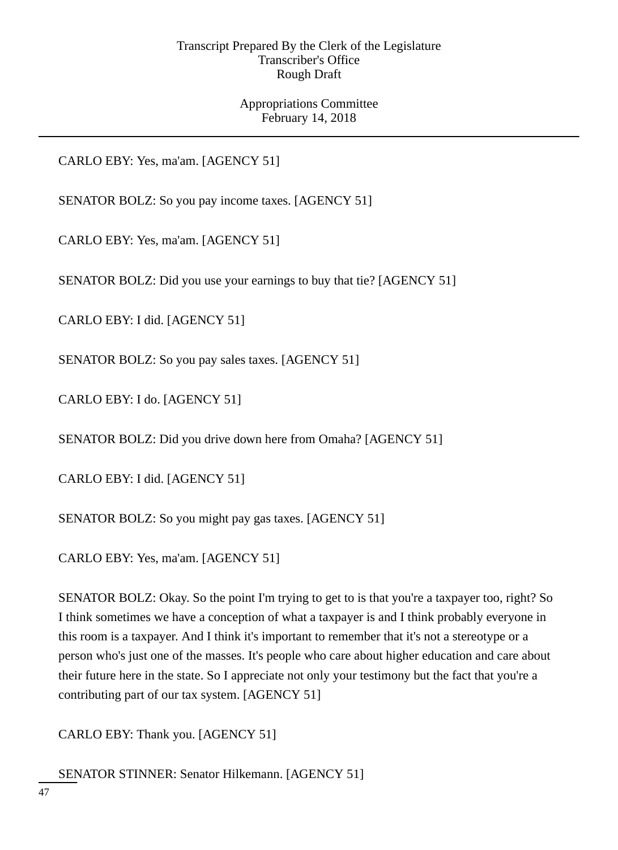Appropriations Committee February 14, 2018

CARLO EBY: Yes, ma'am. [AGENCY 51]

SENATOR BOLZ: So you pay income taxes. [AGENCY 51]

CARLO EBY: Yes, ma'am. [AGENCY 51]

SENATOR BOLZ: Did you use your earnings to buy that tie? [AGENCY 51]

CARLO EBY: I did. [AGENCY 51]

SENATOR BOLZ: So you pay sales taxes. [AGENCY 51]

CARLO EBY: I do. [AGENCY 51]

SENATOR BOLZ: Did you drive down here from Omaha? [AGENCY 51]

CARLO EBY: I did. [AGENCY 51]

SENATOR BOLZ: So you might pay gas taxes. [AGENCY 51]

CARLO EBY: Yes, ma'am. [AGENCY 51]

SENATOR BOLZ: Okay. So the point I'm trying to get to is that you're a taxpayer too, right? So I think sometimes we have a conception of what a taxpayer is and I think probably everyone in this room is a taxpayer. And I think it's important to remember that it's not a stereotype or a person who's just one of the masses. It's people who care about higher education and care about their future here in the state. So I appreciate not only your testimony but the fact that you're a contributing part of our tax system. [AGENCY 51]

CARLO EBY: Thank you. [AGENCY 51]

SENATOR STINNER: Senator Hilkemann. [AGENCY 51]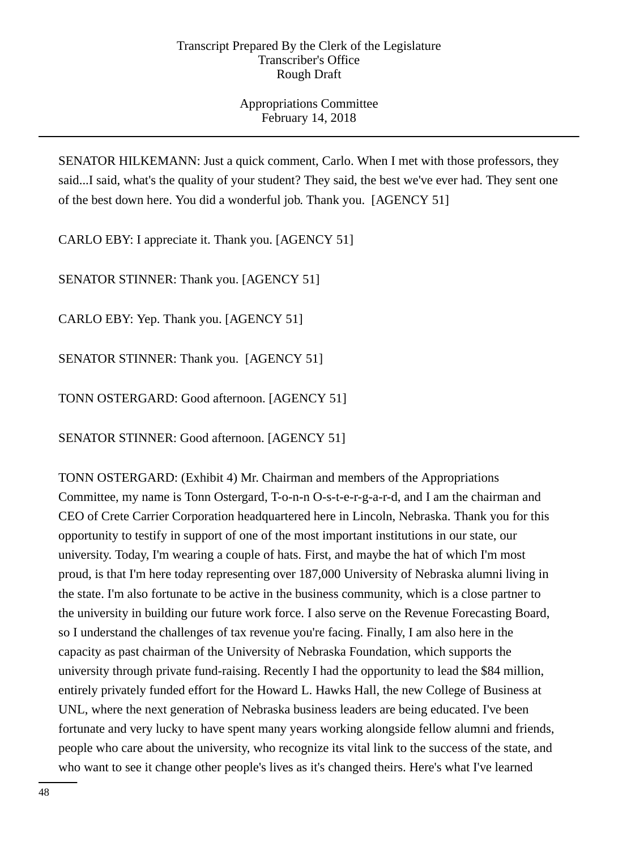Appropriations Committee February 14, 2018

SENATOR HILKEMANN: Just a quick comment, Carlo. When I met with those professors, they said...I said, what's the quality of your student? They said, the best we've ever had. They sent one of the best down here. You did a wonderful job. Thank you. [AGENCY 51]

CARLO EBY: I appreciate it. Thank you. [AGENCY 51]

SENATOR STINNER: Thank you. [AGENCY 51]

CARLO EBY: Yep. Thank you. [AGENCY 51]

SENATOR STINNER: Thank you. [AGENCY 51]

TONN OSTERGARD: Good afternoon. [AGENCY 51]

SENATOR STINNER: Good afternoon. [AGENCY 51]

TONN OSTERGARD: (Exhibit 4) Mr. Chairman and members of the Appropriations Committee, my name is Tonn Ostergard, T-o-n-n O-s-t-e-r-g-a-r-d, and I am the chairman and CEO of Crete Carrier Corporation headquartered here in Lincoln, Nebraska. Thank you for this opportunity to testify in support of one of the most important institutions in our state, our university. Today, I'm wearing a couple of hats. First, and maybe the hat of which I'm most proud, is that I'm here today representing over 187,000 University of Nebraska alumni living in the state. I'm also fortunate to be active in the business community, which is a close partner to the university in building our future work force. I also serve on the Revenue Forecasting Board, so I understand the challenges of tax revenue you're facing. Finally, I am also here in the capacity as past chairman of the University of Nebraska Foundation, which supports the university through private fund-raising. Recently I had the opportunity to lead the \$84 million, entirely privately funded effort for the Howard L. Hawks Hall, the new College of Business at UNL, where the next generation of Nebraska business leaders are being educated. I've been fortunate and very lucky to have spent many years working alongside fellow alumni and friends, people who care about the university, who recognize its vital link to the success of the state, and who want to see it change other people's lives as it's changed theirs. Here's what I've learned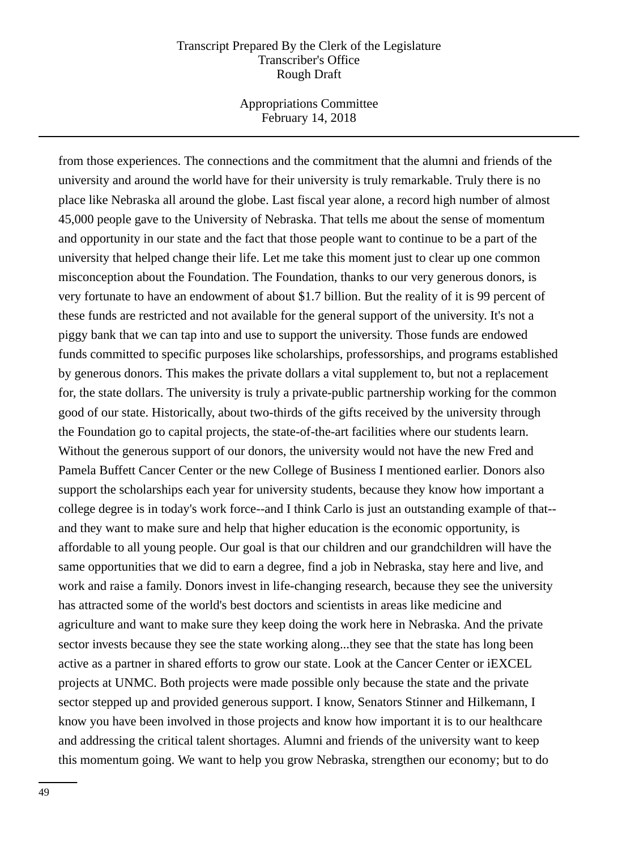Appropriations Committee February 14, 2018

from those experiences. The connections and the commitment that the alumni and friends of the university and around the world have for their university is truly remarkable. Truly there is no place like Nebraska all around the globe. Last fiscal year alone, a record high number of almost 45,000 people gave to the University of Nebraska. That tells me about the sense of momentum and opportunity in our state and the fact that those people want to continue to be a part of the university that helped change their life. Let me take this moment just to clear up one common misconception about the Foundation. The Foundation, thanks to our very generous donors, is very fortunate to have an endowment of about \$1.7 billion. But the reality of it is 99 percent of these funds are restricted and not available for the general support of the university. It's not a piggy bank that we can tap into and use to support the university. Those funds are endowed funds committed to specific purposes like scholarships, professorships, and programs established by generous donors. This makes the private dollars a vital supplement to, but not a replacement for, the state dollars. The university is truly a private-public partnership working for the common good of our state. Historically, about two-thirds of the gifts received by the university through the Foundation go to capital projects, the state-of-the-art facilities where our students learn. Without the generous support of our donors, the university would not have the new Fred and Pamela Buffett Cancer Center or the new College of Business I mentioned earlier. Donors also support the scholarships each year for university students, because they know how important a college degree is in today's work force--and I think Carlo is just an outstanding example of that- and they want to make sure and help that higher education is the economic opportunity, is affordable to all young people. Our goal is that our children and our grandchildren will have the same opportunities that we did to earn a degree, find a job in Nebraska, stay here and live, and work and raise a family. Donors invest in life-changing research, because they see the university has attracted some of the world's best doctors and scientists in areas like medicine and agriculture and want to make sure they keep doing the work here in Nebraska. And the private sector invests because they see the state working along...they see that the state has long been active as a partner in shared efforts to grow our state. Look at the Cancer Center or iEXCEL projects at UNMC. Both projects were made possible only because the state and the private sector stepped up and provided generous support. I know, Senators Stinner and Hilkemann, I know you have been involved in those projects and know how important it is to our healthcare and addressing the critical talent shortages. Alumni and friends of the university want to keep this momentum going. We want to help you grow Nebraska, strengthen our economy; but to do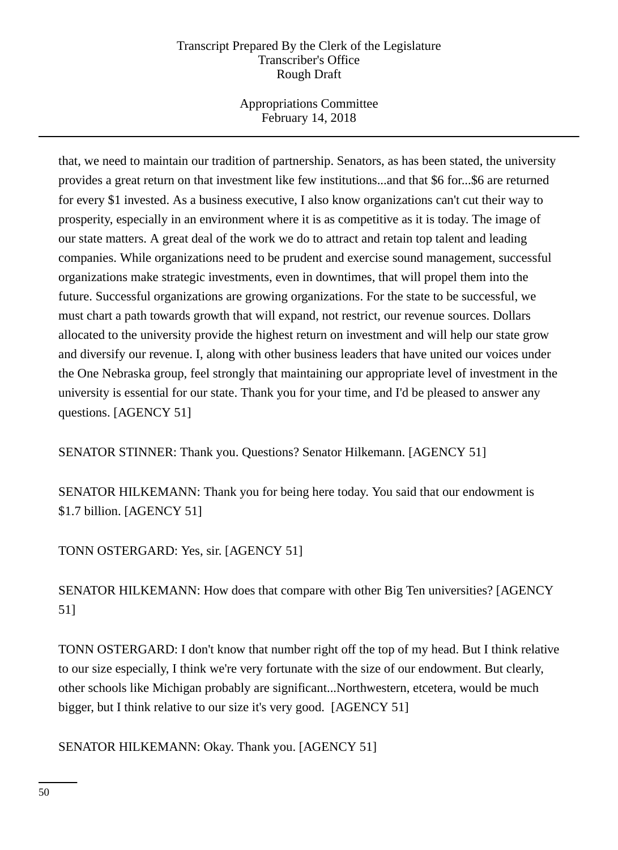Appropriations Committee February 14, 2018

that, we need to maintain our tradition of partnership. Senators, as has been stated, the university provides a great return on that investment like few institutions...and that \$6 for...\$6 are returned for every \$1 invested. As a business executive, I also know organizations can't cut their way to prosperity, especially in an environment where it is as competitive as it is today. The image of our state matters. A great deal of the work we do to attract and retain top talent and leading companies. While organizations need to be prudent and exercise sound management, successful organizations make strategic investments, even in downtimes, that will propel them into the future. Successful organizations are growing organizations. For the state to be successful, we must chart a path towards growth that will expand, not restrict, our revenue sources. Dollars allocated to the university provide the highest return on investment and will help our state grow and diversify our revenue. I, along with other business leaders that have united our voices under the One Nebraska group, feel strongly that maintaining our appropriate level of investment in the university is essential for our state. Thank you for your time, and I'd be pleased to answer any questions. [AGENCY 51]

SENATOR STINNER: Thank you. Questions? Senator Hilkemann. [AGENCY 51]

SENATOR HILKEMANN: Thank you for being here today. You said that our endowment is \$1.7 billion. [AGENCY 51]

TONN OSTERGARD: Yes, sir. [AGENCY 51]

SENATOR HILKEMANN: How does that compare with other Big Ten universities? [AGENCY 51]

TONN OSTERGARD: I don't know that number right off the top of my head. But I think relative to our size especially, I think we're very fortunate with the size of our endowment. But clearly, other schools like Michigan probably are significant...Northwestern, etcetera, would be much bigger, but I think relative to our size it's very good. [AGENCY 51]

SENATOR HILKEMANN: Okay. Thank you. [AGENCY 51]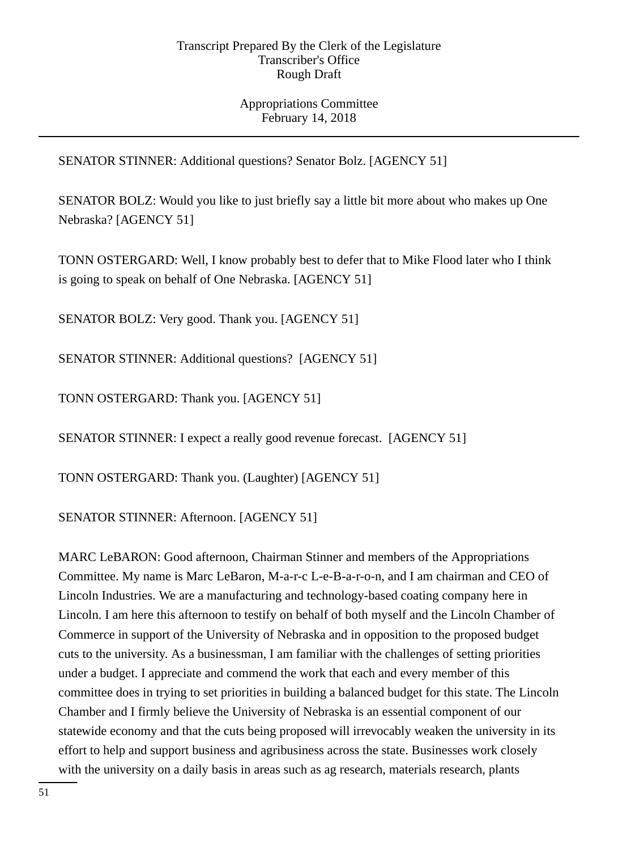# Appropriations Committee February 14, 2018

SENATOR STINNER: Additional questions? Senator Bolz. [AGENCY 51]

SENATOR BOLZ: Would you like to just briefly say a little bit more about who makes up One Nebraska? [AGENCY 51]

TONN OSTERGARD: Well, I know probably best to defer that to Mike Flood later who I think is going to speak on behalf of One Nebraska. [AGENCY 51]

SENATOR BOLZ: Very good. Thank you. [AGENCY 51]

SENATOR STINNER: Additional questions? [AGENCY 51]

TONN OSTERGARD: Thank you. [AGENCY 51]

SENATOR STINNER: I expect a really good revenue forecast. [AGENCY 51]

TONN OSTERGARD: Thank you. (Laughter) [AGENCY 51]

SENATOR STINNER: Afternoon. [AGENCY 51]

MARC LeBARON: Good afternoon, Chairman Stinner and members of the Appropriations Committee. My name is Marc LeBaron, M-a-r-c L-e-B-a-r-o-n, and I am chairman and CEO of Lincoln Industries. We are a manufacturing and technology-based coating company here in Lincoln. I am here this afternoon to testify on behalf of both myself and the Lincoln Chamber of Commerce in support of the University of Nebraska and in opposition to the proposed budget cuts to the university. As a businessman, I am familiar with the challenges of setting priorities under a budget. I appreciate and commend the work that each and every member of this committee does in trying to set priorities in building a balanced budget for this state. The Lincoln Chamber and I firmly believe the University of Nebraska is an essential component of our statewide economy and that the cuts being proposed will irrevocably weaken the university in its effort to help and support business and agribusiness across the state. Businesses work closely with the university on a daily basis in areas such as ag research, materials research, plants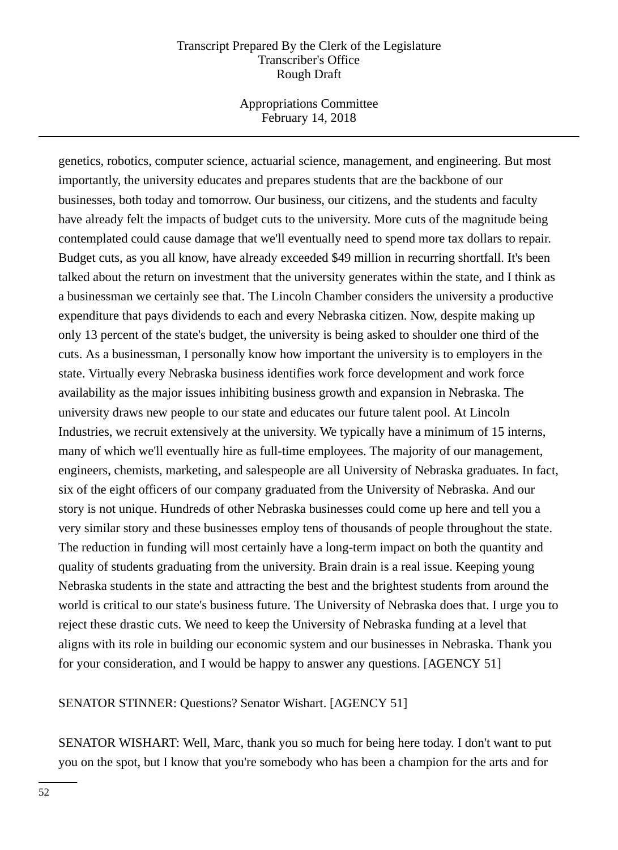Appropriations Committee February 14, 2018

genetics, robotics, computer science, actuarial science, management, and engineering. But most importantly, the university educates and prepares students that are the backbone of our businesses, both today and tomorrow. Our business, our citizens, and the students and faculty have already felt the impacts of budget cuts to the university. More cuts of the magnitude being contemplated could cause damage that we'll eventually need to spend more tax dollars to repair. Budget cuts, as you all know, have already exceeded \$49 million in recurring shortfall. It's been talked about the return on investment that the university generates within the state, and I think as a businessman we certainly see that. The Lincoln Chamber considers the university a productive expenditure that pays dividends to each and every Nebraska citizen. Now, despite making up only 13 percent of the state's budget, the university is being asked to shoulder one third of the cuts. As a businessman, I personally know how important the university is to employers in the state. Virtually every Nebraska business identifies work force development and work force availability as the major issues inhibiting business growth and expansion in Nebraska. The university draws new people to our state and educates our future talent pool. At Lincoln Industries, we recruit extensively at the university. We typically have a minimum of 15 interns, many of which we'll eventually hire as full-time employees. The majority of our management, engineers, chemists, marketing, and salespeople are all University of Nebraska graduates. In fact, six of the eight officers of our company graduated from the University of Nebraska. And our story is not unique. Hundreds of other Nebraska businesses could come up here and tell you a very similar story and these businesses employ tens of thousands of people throughout the state. The reduction in funding will most certainly have a long-term impact on both the quantity and quality of students graduating from the university. Brain drain is a real issue. Keeping young Nebraska students in the state and attracting the best and the brightest students from around the world is critical to our state's business future. The University of Nebraska does that. I urge you to reject these drastic cuts. We need to keep the University of Nebraska funding at a level that aligns with its role in building our economic system and our businesses in Nebraska. Thank you for your consideration, and I would be happy to answer any questions. [AGENCY 51]

SENATOR STINNER: Questions? Senator Wishart. [AGENCY 51]

SENATOR WISHART: Well, Marc, thank you so much for being here today. I don't want to put you on the spot, but I know that you're somebody who has been a champion for the arts and for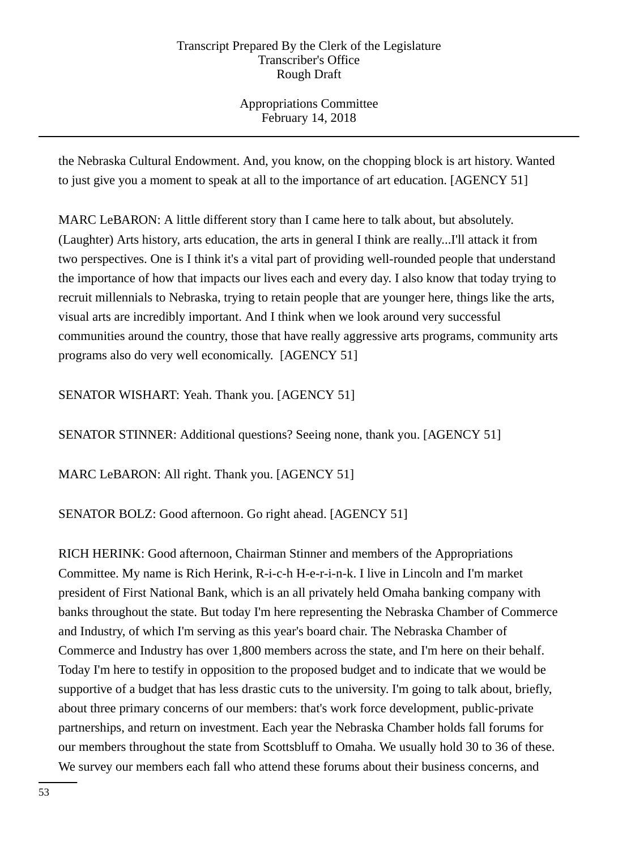Appropriations Committee February 14, 2018

the Nebraska Cultural Endowment. And, you know, on the chopping block is art history. Wanted to just give you a moment to speak at all to the importance of art education. [AGENCY 51]

MARC LeBARON: A little different story than I came here to talk about, but absolutely. (Laughter) Arts history, arts education, the arts in general I think are really...I'll attack it from two perspectives. One is I think it's a vital part of providing well-rounded people that understand the importance of how that impacts our lives each and every day. I also know that today trying to recruit millennials to Nebraska, trying to retain people that are younger here, things like the arts, visual arts are incredibly important. And I think when we look around very successful communities around the country, those that have really aggressive arts programs, community arts programs also do very well economically. [AGENCY 51]

SENATOR WISHART: Yeah. Thank you. [AGENCY 51]

SENATOR STINNER: Additional questions? Seeing none, thank you. [AGENCY 51]

MARC LeBARON: All right. Thank you. [AGENCY 51]

SENATOR BOLZ: Good afternoon. Go right ahead. [AGENCY 51]

RICH HERINK: Good afternoon, Chairman Stinner and members of the Appropriations Committee. My name is Rich Herink, R-i-c-h H-e-r-i-n-k. I live in Lincoln and I'm market president of First National Bank, which is an all privately held Omaha banking company with banks throughout the state. But today I'm here representing the Nebraska Chamber of Commerce and Industry, of which I'm serving as this year's board chair. The Nebraska Chamber of Commerce and Industry has over 1,800 members across the state, and I'm here on their behalf. Today I'm here to testify in opposition to the proposed budget and to indicate that we would be supportive of a budget that has less drastic cuts to the university. I'm going to talk about, briefly, about three primary concerns of our members: that's work force development, public-private partnerships, and return on investment. Each year the Nebraska Chamber holds fall forums for our members throughout the state from Scottsbluff to Omaha. We usually hold 30 to 36 of these. We survey our members each fall who attend these forums about their business concerns, and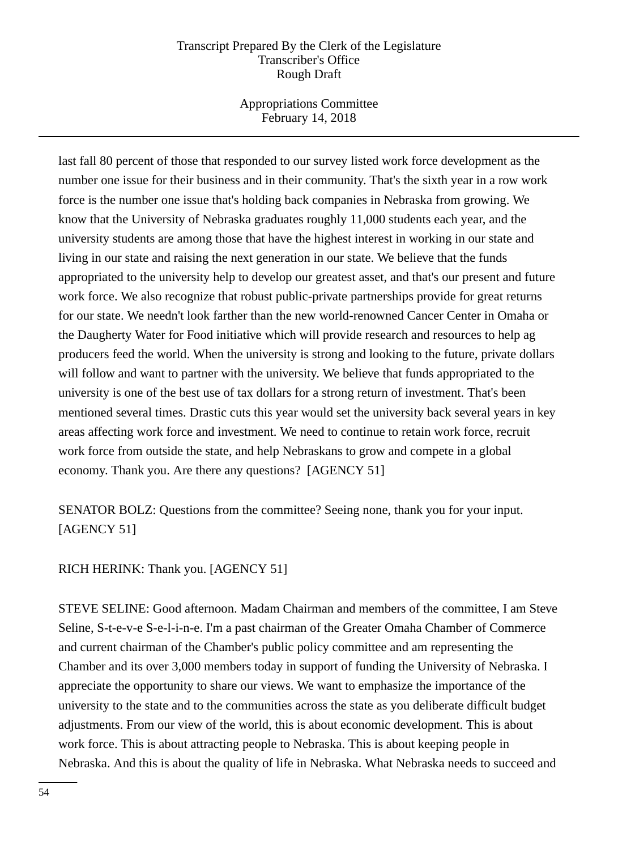Appropriations Committee February 14, 2018

last fall 80 percent of those that responded to our survey listed work force development as the number one issue for their business and in their community. That's the sixth year in a row work force is the number one issue that's holding back companies in Nebraska from growing. We know that the University of Nebraska graduates roughly 11,000 students each year, and the university students are among those that have the highest interest in working in our state and living in our state and raising the next generation in our state. We believe that the funds appropriated to the university help to develop our greatest asset, and that's our present and future work force. We also recognize that robust public-private partnerships provide for great returns for our state. We needn't look farther than the new world-renowned Cancer Center in Omaha or the Daugherty Water for Food initiative which will provide research and resources to help ag producers feed the world. When the university is strong and looking to the future, private dollars will follow and want to partner with the university. We believe that funds appropriated to the university is one of the best use of tax dollars for a strong return of investment. That's been mentioned several times. Drastic cuts this year would set the university back several years in key areas affecting work force and investment. We need to continue to retain work force, recruit work force from outside the state, and help Nebraskans to grow and compete in a global economy. Thank you. Are there any questions? [AGENCY 51]

SENATOR BOLZ: Questions from the committee? Seeing none, thank you for your input. [AGENCY 51]

# RICH HERINK: Thank you. [AGENCY 51]

STEVE SELINE: Good afternoon. Madam Chairman and members of the committee, I am Steve Seline, S-t-e-v-e S-e-l-i-n-e. I'm a past chairman of the Greater Omaha Chamber of Commerce and current chairman of the Chamber's public policy committee and am representing the Chamber and its over 3,000 members today in support of funding the University of Nebraska. I appreciate the opportunity to share our views. We want to emphasize the importance of the university to the state and to the communities across the state as you deliberate difficult budget adjustments. From our view of the world, this is about economic development. This is about work force. This is about attracting people to Nebraska. This is about keeping people in Nebraska. And this is about the quality of life in Nebraska. What Nebraska needs to succeed and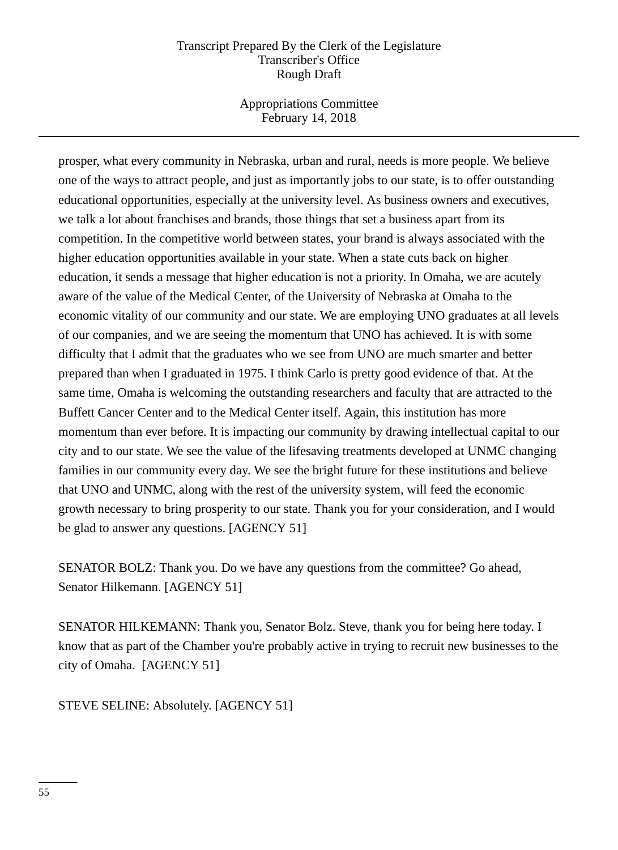Appropriations Committee February 14, 2018

prosper, what every community in Nebraska, urban and rural, needs is more people. We believe one of the ways to attract people, and just as importantly jobs to our state, is to offer outstanding educational opportunities, especially at the university level. As business owners and executives, we talk a lot about franchises and brands, those things that set a business apart from its competition. In the competitive world between states, your brand is always associated with the higher education opportunities available in your state. When a state cuts back on higher education, it sends a message that higher education is not a priority. In Omaha, we are acutely aware of the value of the Medical Center, of the University of Nebraska at Omaha to the economic vitality of our community and our state. We are employing UNO graduates at all levels of our companies, and we are seeing the momentum that UNO has achieved. It is with some difficulty that I admit that the graduates who we see from UNO are much smarter and better prepared than when I graduated in 1975. I think Carlo is pretty good evidence of that. At the same time, Omaha is welcoming the outstanding researchers and faculty that are attracted to the Buffett Cancer Center and to the Medical Center itself. Again, this institution has more momentum than ever before. It is impacting our community by drawing intellectual capital to our city and to our state. We see the value of the lifesaving treatments developed at UNMC changing families in our community every day. We see the bright future for these institutions and believe that UNO and UNMC, along with the rest of the university system, will feed the economic growth necessary to bring prosperity to our state. Thank you for your consideration, and I would be glad to answer any questions. [AGENCY 51]

SENATOR BOLZ: Thank you. Do we have any questions from the committee? Go ahead, Senator Hilkemann. [AGENCY 51]

SENATOR HILKEMANN: Thank you, Senator Bolz. Steve, thank you for being here today. I know that as part of the Chamber you're probably active in trying to recruit new businesses to the city of Omaha. [AGENCY 51]

STEVE SELINE: Absolutely. [AGENCY 51]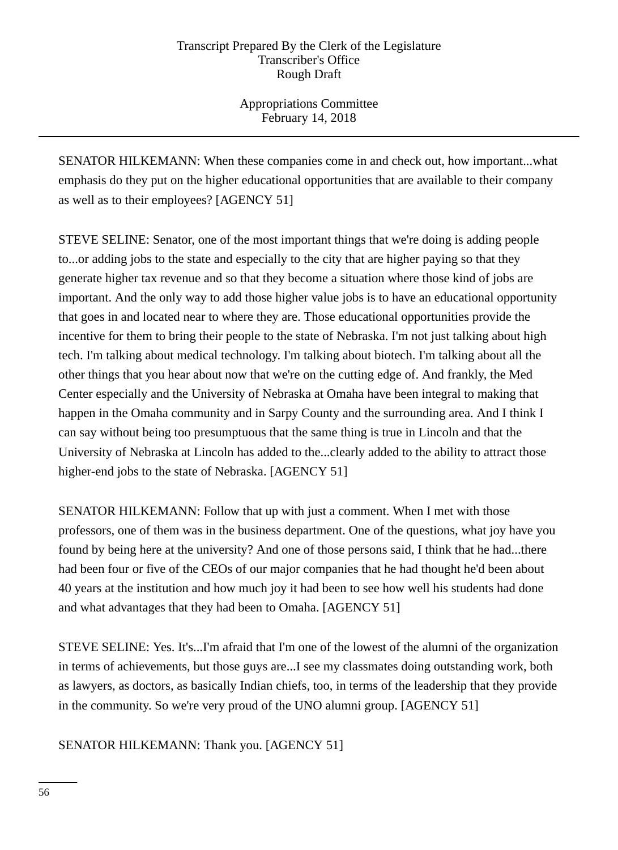Appropriations Committee February 14, 2018

SENATOR HILKEMANN: When these companies come in and check out, how important...what emphasis do they put on the higher educational opportunities that are available to their company as well as to their employees? [AGENCY 51]

STEVE SELINE: Senator, one of the most important things that we're doing is adding people to...or adding jobs to the state and especially to the city that are higher paying so that they generate higher tax revenue and so that they become a situation where those kind of jobs are important. And the only way to add those higher value jobs is to have an educational opportunity that goes in and located near to where they are. Those educational opportunities provide the incentive for them to bring their people to the state of Nebraska. I'm not just talking about high tech. I'm talking about medical technology. I'm talking about biotech. I'm talking about all the other things that you hear about now that we're on the cutting edge of. And frankly, the Med Center especially and the University of Nebraska at Omaha have been integral to making that happen in the Omaha community and in Sarpy County and the surrounding area. And I think I can say without being too presumptuous that the same thing is true in Lincoln and that the University of Nebraska at Lincoln has added to the...clearly added to the ability to attract those higher-end jobs to the state of Nebraska. [AGENCY 51]

SENATOR HILKEMANN: Follow that up with just a comment. When I met with those professors, one of them was in the business department. One of the questions, what joy have you found by being here at the university? And one of those persons said, I think that he had...there had been four or five of the CEOs of our major companies that he had thought he'd been about 40 years at the institution and how much joy it had been to see how well his students had done and what advantages that they had been to Omaha. [AGENCY 51]

STEVE SELINE: Yes. It's...I'm afraid that I'm one of the lowest of the alumni of the organization in terms of achievements, but those guys are...I see my classmates doing outstanding work, both as lawyers, as doctors, as basically Indian chiefs, too, in terms of the leadership that they provide in the community. So we're very proud of the UNO alumni group. [AGENCY 51]

SENATOR HILKEMANN: Thank you. [AGENCY 51]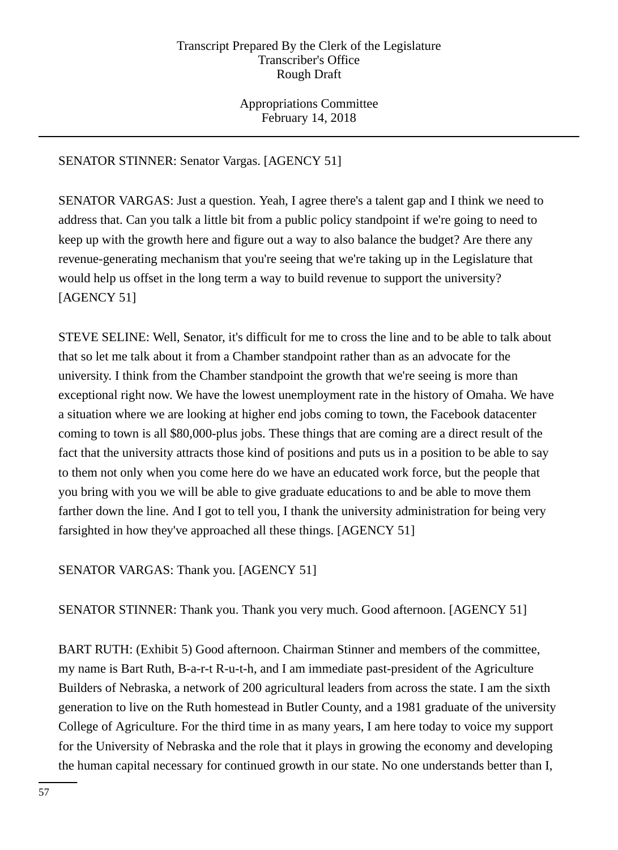Appropriations Committee February 14, 2018

# SENATOR STINNER: Senator Vargas. [AGENCY 51]

SENATOR VARGAS: Just a question. Yeah, I agree there's a talent gap and I think we need to address that. Can you talk a little bit from a public policy standpoint if we're going to need to keep up with the growth here and figure out a way to also balance the budget? Are there any revenue-generating mechanism that you're seeing that we're taking up in the Legislature that would help us offset in the long term a way to build revenue to support the university? [AGENCY 51]

STEVE SELINE: Well, Senator, it's difficult for me to cross the line and to be able to talk about that so let me talk about it from a Chamber standpoint rather than as an advocate for the university. I think from the Chamber standpoint the growth that we're seeing is more than exceptional right now. We have the lowest unemployment rate in the history of Omaha. We have a situation where we are looking at higher end jobs coming to town, the Facebook datacenter coming to town is all \$80,000-plus jobs. These things that are coming are a direct result of the fact that the university attracts those kind of positions and puts us in a position to be able to say to them not only when you come here do we have an educated work force, but the people that you bring with you we will be able to give graduate educations to and be able to move them farther down the line. And I got to tell you, I thank the university administration for being very farsighted in how they've approached all these things. [AGENCY 51]

# SENATOR VARGAS: Thank you. [AGENCY 51]

SENATOR STINNER: Thank you. Thank you very much. Good afternoon. [AGENCY 51]

BART RUTH: (Exhibit 5) Good afternoon. Chairman Stinner and members of the committee, my name is Bart Ruth, B-a-r-t R-u-t-h, and I am immediate past-president of the Agriculture Builders of Nebraska, a network of 200 agricultural leaders from across the state. I am the sixth generation to live on the Ruth homestead in Butler County, and a 1981 graduate of the university College of Agriculture. For the third time in as many years, I am here today to voice my support for the University of Nebraska and the role that it plays in growing the economy and developing the human capital necessary for continued growth in our state. No one understands better than I,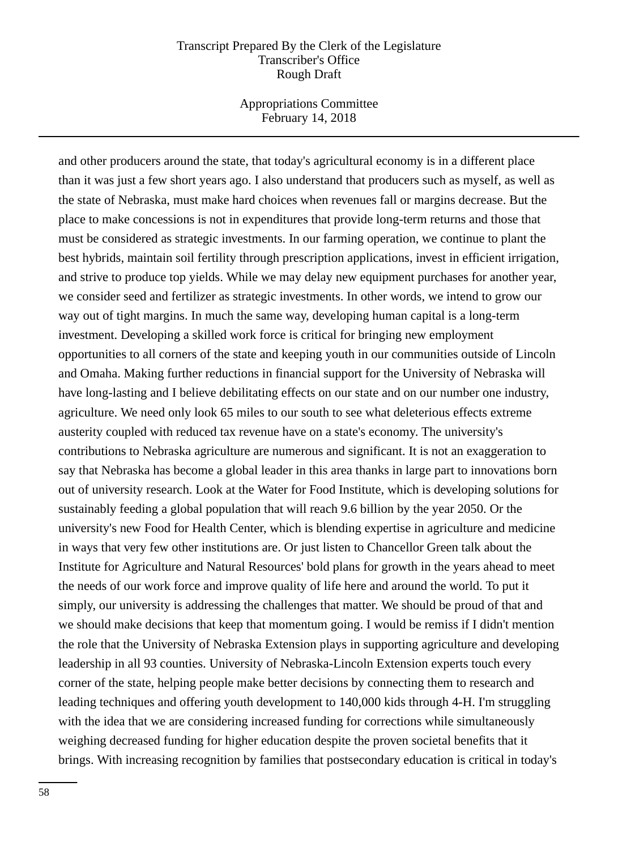Appropriations Committee February 14, 2018

and other producers around the state, that today's agricultural economy is in a different place than it was just a few short years ago. I also understand that producers such as myself, as well as the state of Nebraska, must make hard choices when revenues fall or margins decrease. But the place to make concessions is not in expenditures that provide long-term returns and those that must be considered as strategic investments. In our farming operation, we continue to plant the best hybrids, maintain soil fertility through prescription applications, invest in efficient irrigation, and strive to produce top yields. While we may delay new equipment purchases for another year, we consider seed and fertilizer as strategic investments. In other words, we intend to grow our way out of tight margins. In much the same way, developing human capital is a long-term investment. Developing a skilled work force is critical for bringing new employment opportunities to all corners of the state and keeping youth in our communities outside of Lincoln and Omaha. Making further reductions in financial support for the University of Nebraska will have long-lasting and I believe debilitating effects on our state and on our number one industry, agriculture. We need only look 65 miles to our south to see what deleterious effects extreme austerity coupled with reduced tax revenue have on a state's economy. The university's contributions to Nebraska agriculture are numerous and significant. It is not an exaggeration to say that Nebraska has become a global leader in this area thanks in large part to innovations born out of university research. Look at the Water for Food Institute, which is developing solutions for sustainably feeding a global population that will reach 9.6 billion by the year 2050. Or the university's new Food for Health Center, which is blending expertise in agriculture and medicine in ways that very few other institutions are. Or just listen to Chancellor Green talk about the Institute for Agriculture and Natural Resources' bold plans for growth in the years ahead to meet the needs of our work force and improve quality of life here and around the world. To put it simply, our university is addressing the challenges that matter. We should be proud of that and we should make decisions that keep that momentum going. I would be remiss if I didn't mention the role that the University of Nebraska Extension plays in supporting agriculture and developing leadership in all 93 counties. University of Nebraska-Lincoln Extension experts touch every corner of the state, helping people make better decisions by connecting them to research and leading techniques and offering youth development to 140,000 kids through 4-H. I'm struggling with the idea that we are considering increased funding for corrections while simultaneously weighing decreased funding for higher education despite the proven societal benefits that it brings. With increasing recognition by families that postsecondary education is critical in today's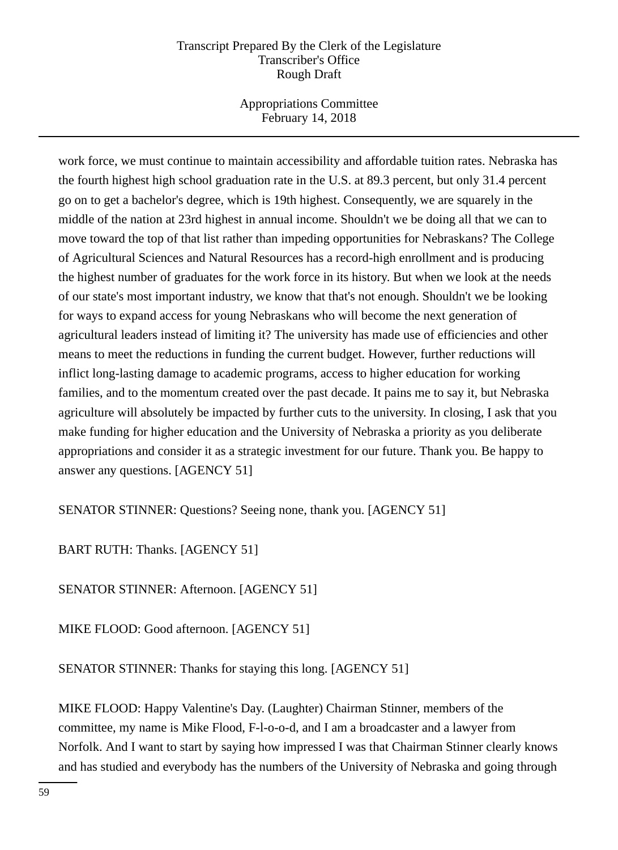Appropriations Committee February 14, 2018

work force, we must continue to maintain accessibility and affordable tuition rates. Nebraska has the fourth highest high school graduation rate in the U.S. at 89.3 percent, but only 31.4 percent go on to get a bachelor's degree, which is 19th highest. Consequently, we are squarely in the middle of the nation at 23rd highest in annual income. Shouldn't we be doing all that we can to move toward the top of that list rather than impeding opportunities for Nebraskans? The College of Agricultural Sciences and Natural Resources has a record-high enrollment and is producing the highest number of graduates for the work force in its history. But when we look at the needs of our state's most important industry, we know that that's not enough. Shouldn't we be looking for ways to expand access for young Nebraskans who will become the next generation of agricultural leaders instead of limiting it? The university has made use of efficiencies and other means to meet the reductions in funding the current budget. However, further reductions will inflict long-lasting damage to academic programs, access to higher education for working families, and to the momentum created over the past decade. It pains me to say it, but Nebraska agriculture will absolutely be impacted by further cuts to the university. In closing, I ask that you make funding for higher education and the University of Nebraska a priority as you deliberate appropriations and consider it as a strategic investment for our future. Thank you. Be happy to answer any questions. [AGENCY 51]

SENATOR STINNER: Questions? Seeing none, thank you. [AGENCY 51]

BART RUTH: Thanks. [AGENCY 51]

SENATOR STINNER: Afternoon. [AGENCY 51]

MIKE FLOOD: Good afternoon. [AGENCY 51]

SENATOR STINNER: Thanks for staying this long. [AGENCY 51]

MIKE FLOOD: Happy Valentine's Day. (Laughter) Chairman Stinner, members of the committee, my name is Mike Flood, F-l-o-o-d, and I am a broadcaster and a lawyer from Norfolk. And I want to start by saying how impressed I was that Chairman Stinner clearly knows and has studied and everybody has the numbers of the University of Nebraska and going through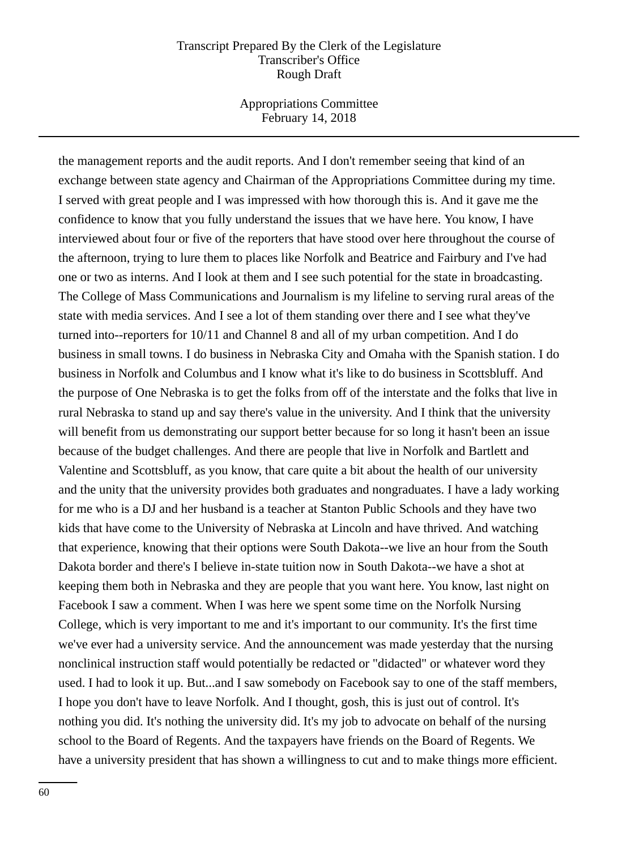Appropriations Committee February 14, 2018

the management reports and the audit reports. And I don't remember seeing that kind of an exchange between state agency and Chairman of the Appropriations Committee during my time. I served with great people and I was impressed with how thorough this is. And it gave me the confidence to know that you fully understand the issues that we have here. You know, I have interviewed about four or five of the reporters that have stood over here throughout the course of the afternoon, trying to lure them to places like Norfolk and Beatrice and Fairbury and I've had one or two as interns. And I look at them and I see such potential for the state in broadcasting. The College of Mass Communications and Journalism is my lifeline to serving rural areas of the state with media services. And I see a lot of them standing over there and I see what they've turned into--reporters for 10/11 and Channel 8 and all of my urban competition. And I do business in small towns. I do business in Nebraska City and Omaha with the Spanish station. I do business in Norfolk and Columbus and I know what it's like to do business in Scottsbluff. And the purpose of One Nebraska is to get the folks from off of the interstate and the folks that live in rural Nebraska to stand up and say there's value in the university. And I think that the university will benefit from us demonstrating our support better because for so long it hasn't been an issue because of the budget challenges. And there are people that live in Norfolk and Bartlett and Valentine and Scottsbluff, as you know, that care quite a bit about the health of our university and the unity that the university provides both graduates and nongraduates. I have a lady working for me who is a DJ and her husband is a teacher at Stanton Public Schools and they have two kids that have come to the University of Nebraska at Lincoln and have thrived. And watching that experience, knowing that their options were South Dakota--we live an hour from the South Dakota border and there's I believe in-state tuition now in South Dakota--we have a shot at keeping them both in Nebraska and they are people that you want here. You know, last night on Facebook I saw a comment. When I was here we spent some time on the Norfolk Nursing College, which is very important to me and it's important to our community. It's the first time we've ever had a university service. And the announcement was made yesterday that the nursing nonclinical instruction staff would potentially be redacted or "didacted" or whatever word they used. I had to look it up. But...and I saw somebody on Facebook say to one of the staff members, I hope you don't have to leave Norfolk. And I thought, gosh, this is just out of control. It's nothing you did. It's nothing the university did. It's my job to advocate on behalf of the nursing school to the Board of Regents. And the taxpayers have friends on the Board of Regents. We have a university president that has shown a willingness to cut and to make things more efficient.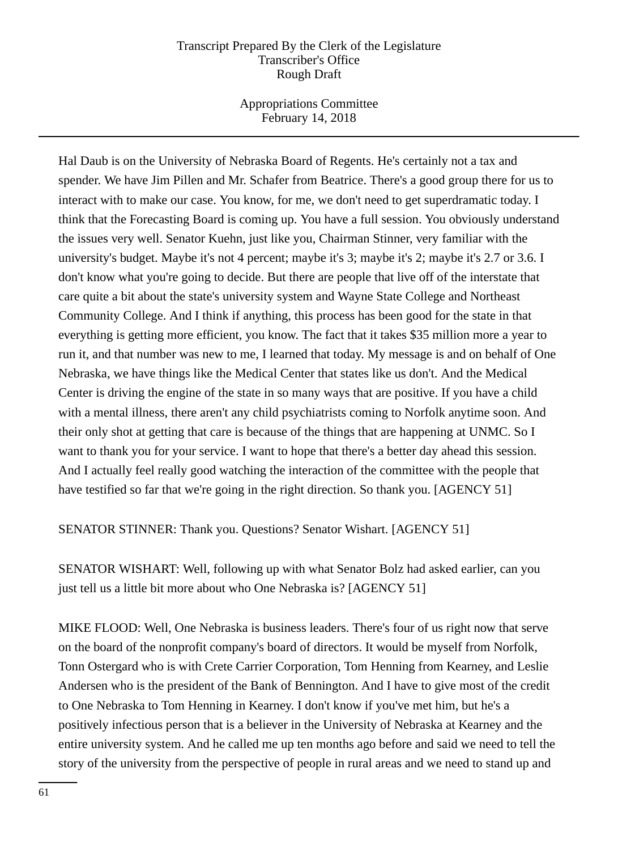Appropriations Committee February 14, 2018

Hal Daub is on the University of Nebraska Board of Regents. He's certainly not a tax and spender. We have Jim Pillen and Mr. Schafer from Beatrice. There's a good group there for us to interact with to make our case. You know, for me, we don't need to get superdramatic today. I think that the Forecasting Board is coming up. You have a full session. You obviously understand the issues very well. Senator Kuehn, just like you, Chairman Stinner, very familiar with the university's budget. Maybe it's not 4 percent; maybe it's 3; maybe it's 2; maybe it's 2.7 or 3.6. I don't know what you're going to decide. But there are people that live off of the interstate that care quite a bit about the state's university system and Wayne State College and Northeast Community College. And I think if anything, this process has been good for the state in that everything is getting more efficient, you know. The fact that it takes \$35 million more a year to run it, and that number was new to me, I learned that today. My message is and on behalf of One Nebraska, we have things like the Medical Center that states like us don't. And the Medical Center is driving the engine of the state in so many ways that are positive. If you have a child with a mental illness, there aren't any child psychiatrists coming to Norfolk anytime soon. And their only shot at getting that care is because of the things that are happening at UNMC. So I want to thank you for your service. I want to hope that there's a better day ahead this session. And I actually feel really good watching the interaction of the committee with the people that have testified so far that we're going in the right direction. So thank you. [AGENCY 51]

SENATOR STINNER: Thank you. Questions? Senator Wishart. [AGENCY 51]

SENATOR WISHART: Well, following up with what Senator Bolz had asked earlier, can you just tell us a little bit more about who One Nebraska is? [AGENCY 51]

MIKE FLOOD: Well, One Nebraska is business leaders. There's four of us right now that serve on the board of the nonprofit company's board of directors. It would be myself from Norfolk, Tonn Ostergard who is with Crete Carrier Corporation, Tom Henning from Kearney, and Leslie Andersen who is the president of the Bank of Bennington. And I have to give most of the credit to One Nebraska to Tom Henning in Kearney. I don't know if you've met him, but he's a positively infectious person that is a believer in the University of Nebraska at Kearney and the entire university system. And he called me up ten months ago before and said we need to tell the story of the university from the perspective of people in rural areas and we need to stand up and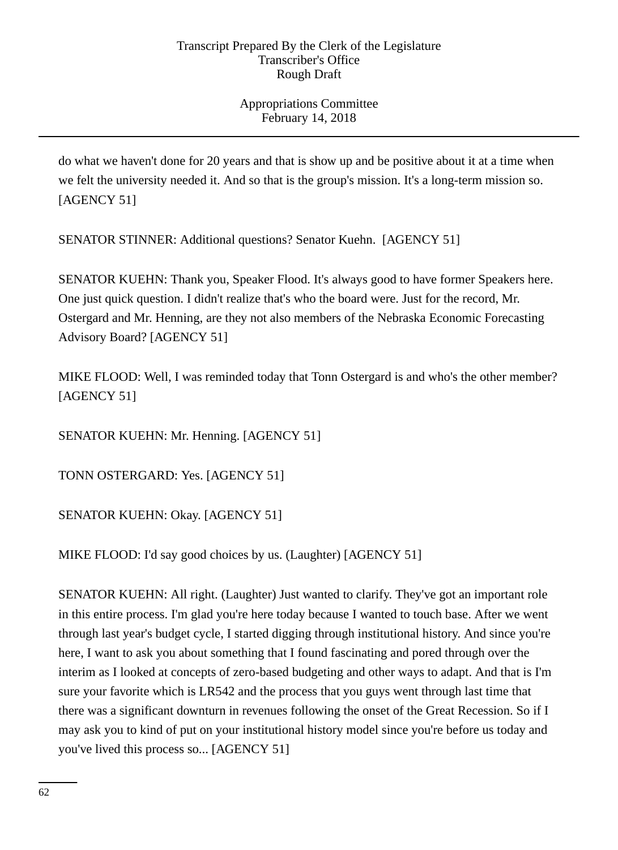Appropriations Committee February 14, 2018

do what we haven't done for 20 years and that is show up and be positive about it at a time when we felt the university needed it. And so that is the group's mission. It's a long-term mission so. [AGENCY 51]

SENATOR STINNER: Additional questions? Senator Kuehn. [AGENCY 51]

SENATOR KUEHN: Thank you, Speaker Flood. It's always good to have former Speakers here. One just quick question. I didn't realize that's who the board were. Just for the record, Mr. Ostergard and Mr. Henning, are they not also members of the Nebraska Economic Forecasting Advisory Board? [AGENCY 51]

MIKE FLOOD: Well, I was reminded today that Tonn Ostergard is and who's the other member? [AGENCY 51]

SENATOR KUEHN: Mr. Henning. [AGENCY 51]

TONN OSTERGARD: Yes. [AGENCY 51]

SENATOR KUEHN: Okay. [AGENCY 51]

MIKE FLOOD: I'd say good choices by us. (Laughter) [AGENCY 51]

SENATOR KUEHN: All right. (Laughter) Just wanted to clarify. They've got an important role in this entire process. I'm glad you're here today because I wanted to touch base. After we went through last year's budget cycle, I started digging through institutional history. And since you're here, I want to ask you about something that I found fascinating and pored through over the interim as I looked at concepts of zero-based budgeting and other ways to adapt. And that is I'm sure your favorite which is LR542 and the process that you guys went through last time that there was a significant downturn in revenues following the onset of the Great Recession. So if I may ask you to kind of put on your institutional history model since you're before us today and you've lived this process so... [AGENCY 51]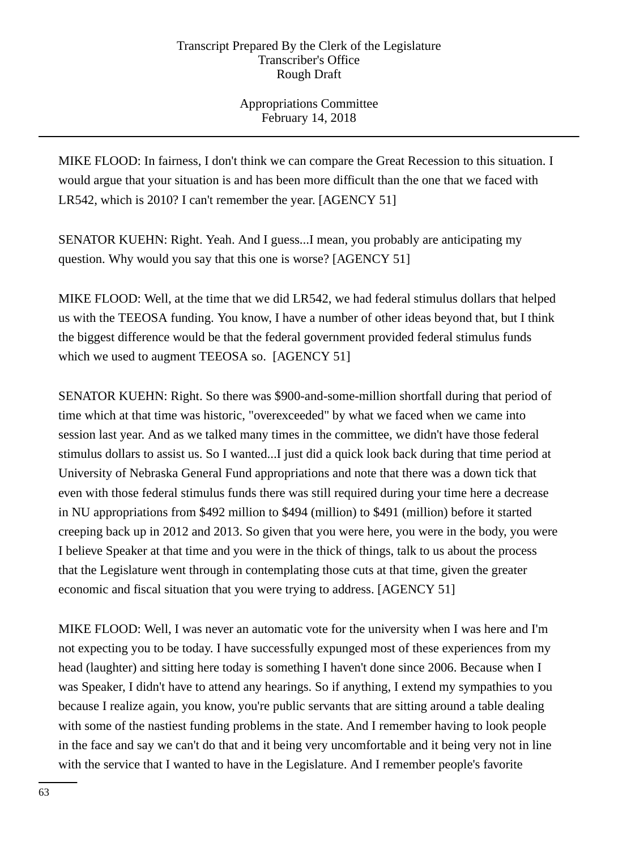Appropriations Committee February 14, 2018

MIKE FLOOD: In fairness, I don't think we can compare the Great Recession to this situation. I would argue that your situation is and has been more difficult than the one that we faced with LR542, which is 2010? I can't remember the year. [AGENCY 51]

SENATOR KUEHN: Right. Yeah. And I guess...I mean, you probably are anticipating my question. Why would you say that this one is worse? [AGENCY 51]

MIKE FLOOD: Well, at the time that we did LR542, we had federal stimulus dollars that helped us with the TEEOSA funding. You know, I have a number of other ideas beyond that, but I think the biggest difference would be that the federal government provided federal stimulus funds which we used to augment TEEOSA so. [AGENCY 51]

SENATOR KUEHN: Right. So there was \$900-and-some-million shortfall during that period of time which at that time was historic, "overexceeded" by what we faced when we came into session last year. And as we talked many times in the committee, we didn't have those federal stimulus dollars to assist us. So I wanted...I just did a quick look back during that time period at University of Nebraska General Fund appropriations and note that there was a down tick that even with those federal stimulus funds there was still required during your time here a decrease in NU appropriations from \$492 million to \$494 (million) to \$491 (million) before it started creeping back up in 2012 and 2013. So given that you were here, you were in the body, you were I believe Speaker at that time and you were in the thick of things, talk to us about the process that the Legislature went through in contemplating those cuts at that time, given the greater economic and fiscal situation that you were trying to address. [AGENCY 51]

MIKE FLOOD: Well, I was never an automatic vote for the university when I was here and I'm not expecting you to be today. I have successfully expunged most of these experiences from my head (laughter) and sitting here today is something I haven't done since 2006. Because when I was Speaker, I didn't have to attend any hearings. So if anything, I extend my sympathies to you because I realize again, you know, you're public servants that are sitting around a table dealing with some of the nastiest funding problems in the state. And I remember having to look people in the face and say we can't do that and it being very uncomfortable and it being very not in line with the service that I wanted to have in the Legislature. And I remember people's favorite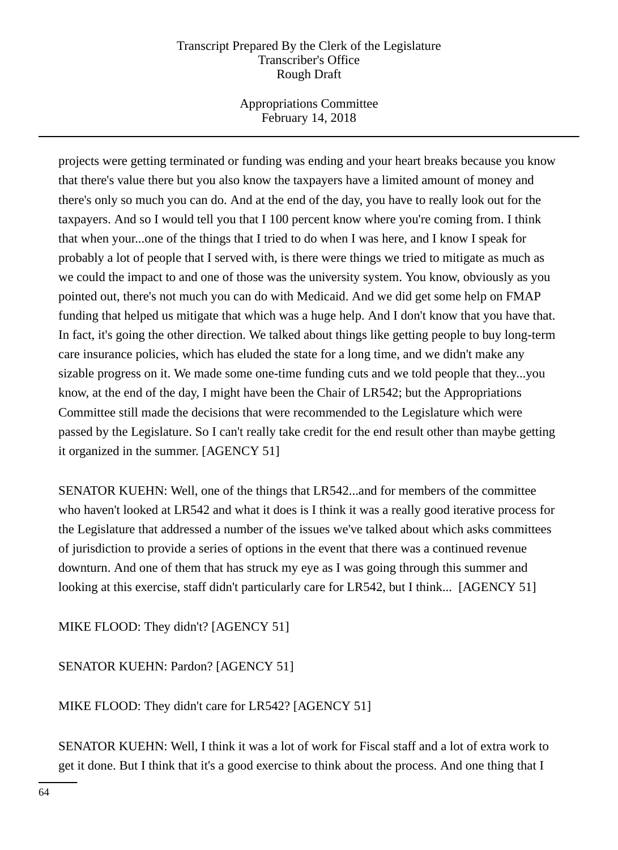Appropriations Committee February 14, 2018

projects were getting terminated or funding was ending and your heart breaks because you know that there's value there but you also know the taxpayers have a limited amount of money and there's only so much you can do. And at the end of the day, you have to really look out for the taxpayers. And so I would tell you that I 100 percent know where you're coming from. I think that when your...one of the things that I tried to do when I was here, and I know I speak for probably a lot of people that I served with, is there were things we tried to mitigate as much as we could the impact to and one of those was the university system. You know, obviously as you pointed out, there's not much you can do with Medicaid. And we did get some help on FMAP funding that helped us mitigate that which was a huge help. And I don't know that you have that. In fact, it's going the other direction. We talked about things like getting people to buy long-term care insurance policies, which has eluded the state for a long time, and we didn't make any sizable progress on it. We made some one-time funding cuts and we told people that they...you know, at the end of the day, I might have been the Chair of LR542; but the Appropriations Committee still made the decisions that were recommended to the Legislature which were passed by the Legislature. So I can't really take credit for the end result other than maybe getting it organized in the summer. [AGENCY 51]

SENATOR KUEHN: Well, one of the things that LR542...and for members of the committee who haven't looked at LR542 and what it does is I think it was a really good iterative process for the Legislature that addressed a number of the issues we've talked about which asks committees of jurisdiction to provide a series of options in the event that there was a continued revenue downturn. And one of them that has struck my eye as I was going through this summer and looking at this exercise, staff didn't particularly care for LR542, but I think... [AGENCY 51]

MIKE FLOOD: They didn't? [AGENCY 51]

SENATOR KUEHN: Pardon? [AGENCY 51]

MIKE FLOOD: They didn't care for LR542? [AGENCY 51]

SENATOR KUEHN: Well, I think it was a lot of work for Fiscal staff and a lot of extra work to get it done. But I think that it's a good exercise to think about the process. And one thing that I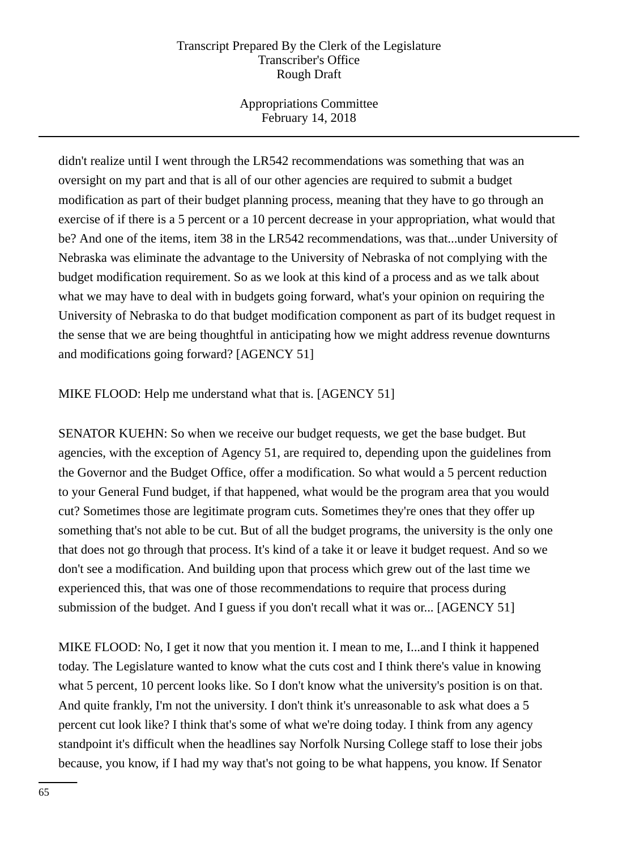Appropriations Committee February 14, 2018

didn't realize until I went through the LR542 recommendations was something that was an oversight on my part and that is all of our other agencies are required to submit a budget modification as part of their budget planning process, meaning that they have to go through an exercise of if there is a 5 percent or a 10 percent decrease in your appropriation, what would that be? And one of the items, item 38 in the LR542 recommendations, was that...under University of Nebraska was eliminate the advantage to the University of Nebraska of not complying with the budget modification requirement. So as we look at this kind of a process and as we talk about what we may have to deal with in budgets going forward, what's your opinion on requiring the University of Nebraska to do that budget modification component as part of its budget request in the sense that we are being thoughtful in anticipating how we might address revenue downturns and modifications going forward? [AGENCY 51]

## MIKE FLOOD: Help me understand what that is. [AGENCY 51]

SENATOR KUEHN: So when we receive our budget requests, we get the base budget. But agencies, with the exception of Agency 51, are required to, depending upon the guidelines from the Governor and the Budget Office, offer a modification. So what would a 5 percent reduction to your General Fund budget, if that happened, what would be the program area that you would cut? Sometimes those are legitimate program cuts. Sometimes they're ones that they offer up something that's not able to be cut. But of all the budget programs, the university is the only one that does not go through that process. It's kind of a take it or leave it budget request. And so we don't see a modification. And building upon that process which grew out of the last time we experienced this, that was one of those recommendations to require that process during submission of the budget. And I guess if you don't recall what it was or... [AGENCY 51]

MIKE FLOOD: No, I get it now that you mention it. I mean to me, I...and I think it happened today. The Legislature wanted to know what the cuts cost and I think there's value in knowing what 5 percent, 10 percent looks like. So I don't know what the university's position is on that. And quite frankly, I'm not the university. I don't think it's unreasonable to ask what does a 5 percent cut look like? I think that's some of what we're doing today. I think from any agency standpoint it's difficult when the headlines say Norfolk Nursing College staff to lose their jobs because, you know, if I had my way that's not going to be what happens, you know. If Senator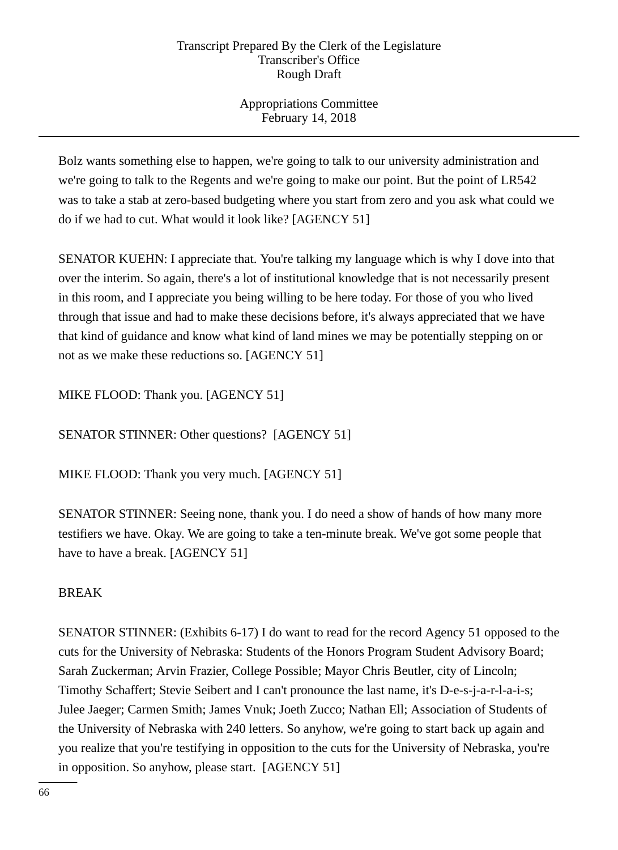Appropriations Committee February 14, 2018

Bolz wants something else to happen, we're going to talk to our university administration and we're going to talk to the Regents and we're going to make our point. But the point of LR542 was to take a stab at zero-based budgeting where you start from zero and you ask what could we do if we had to cut. What would it look like? [AGENCY 51]

SENATOR KUEHN: I appreciate that. You're talking my language which is why I dove into that over the interim. So again, there's a lot of institutional knowledge that is not necessarily present in this room, and I appreciate you being willing to be here today. For those of you who lived through that issue and had to make these decisions before, it's always appreciated that we have that kind of guidance and know what kind of land mines we may be potentially stepping on or not as we make these reductions so. [AGENCY 51]

MIKE FLOOD: Thank you. [AGENCY 51]

SENATOR STINNER: Other questions? [AGENCY 51]

MIKE FLOOD: Thank you very much. [AGENCY 51]

SENATOR STINNER: Seeing none, thank you. I do need a show of hands of how many more testifiers we have. Okay. We are going to take a ten-minute break. We've got some people that have to have a break. [AGENCY 51]

# BREAK

SENATOR STINNER: (Exhibits 6-17) I do want to read for the record Agency 51 opposed to the cuts for the University of Nebraska: Students of the Honors Program Student Advisory Board; Sarah Zuckerman; Arvin Frazier, College Possible; Mayor Chris Beutler, city of Lincoln; Timothy Schaffert; Stevie Seibert and I can't pronounce the last name, it's D-e-s-j-a-r-l-a-i-s; Julee Jaeger; Carmen Smith; James Vnuk; Joeth Zucco; Nathan Ell; Association of Students of the University of Nebraska with 240 letters. So anyhow, we're going to start back up again and you realize that you're testifying in opposition to the cuts for the University of Nebraska, you're in opposition. So anyhow, please start. [AGENCY 51]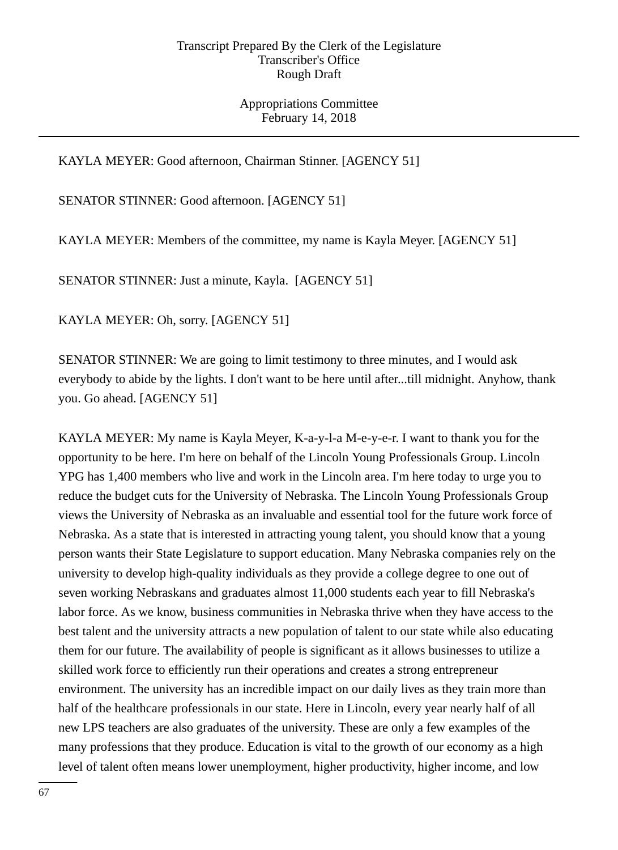Appropriations Committee February 14, 2018

KAYLA MEYER: Good afternoon, Chairman Stinner. [AGENCY 51]

SENATOR STINNER: Good afternoon. [AGENCY 51]

KAYLA MEYER: Members of the committee, my name is Kayla Meyer. [AGENCY 51]

SENATOR STINNER: Just a minute, Kayla. [AGENCY 51]

KAYLA MEYER: Oh, sorry. [AGENCY 51]

SENATOR STINNER: We are going to limit testimony to three minutes, and I would ask everybody to abide by the lights. I don't want to be here until after...till midnight. Anyhow, thank you. Go ahead. [AGENCY 51]

KAYLA MEYER: My name is Kayla Meyer, K-a-y-l-a M-e-y-e-r. I want to thank you for the opportunity to be here. I'm here on behalf of the Lincoln Young Professionals Group. Lincoln YPG has 1,400 members who live and work in the Lincoln area. I'm here today to urge you to reduce the budget cuts for the University of Nebraska. The Lincoln Young Professionals Group views the University of Nebraska as an invaluable and essential tool for the future work force of Nebraska. As a state that is interested in attracting young talent, you should know that a young person wants their State Legislature to support education. Many Nebraska companies rely on the university to develop high-quality individuals as they provide a college degree to one out of seven working Nebraskans and graduates almost 11,000 students each year to fill Nebraska's labor force. As we know, business communities in Nebraska thrive when they have access to the best talent and the university attracts a new population of talent to our state while also educating them for our future. The availability of people is significant as it allows businesses to utilize a skilled work force to efficiently run their operations and creates a strong entrepreneur environment. The university has an incredible impact on our daily lives as they train more than half of the healthcare professionals in our state. Here in Lincoln, every year nearly half of all new LPS teachers are also graduates of the university. These are only a few examples of the many professions that they produce. Education is vital to the growth of our economy as a high level of talent often means lower unemployment, higher productivity, higher income, and low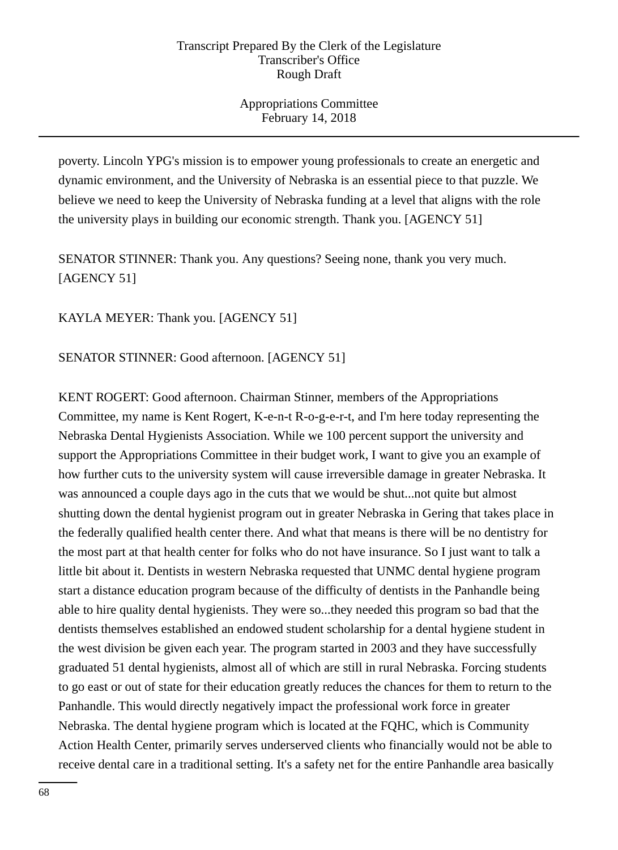Appropriations Committee February 14, 2018

poverty. Lincoln YPG's mission is to empower young professionals to create an energetic and dynamic environment, and the University of Nebraska is an essential piece to that puzzle. We believe we need to keep the University of Nebraska funding at a level that aligns with the role the university plays in building our economic strength. Thank you. [AGENCY 51]

SENATOR STINNER: Thank you. Any questions? Seeing none, thank you very much. [AGENCY 51]

KAYLA MEYER: Thank you. [AGENCY 51]

SENATOR STINNER: Good afternoon. [AGENCY 51]

KENT ROGERT: Good afternoon. Chairman Stinner, members of the Appropriations Committee, my name is Kent Rogert, K-e-n-t R-o-g-e-r-t, and I'm here today representing the Nebraska Dental Hygienists Association. While we 100 percent support the university and support the Appropriations Committee in their budget work, I want to give you an example of how further cuts to the university system will cause irreversible damage in greater Nebraska. It was announced a couple days ago in the cuts that we would be shut...not quite but almost shutting down the dental hygienist program out in greater Nebraska in Gering that takes place in the federally qualified health center there. And what that means is there will be no dentistry for the most part at that health center for folks who do not have insurance. So I just want to talk a little bit about it. Dentists in western Nebraska requested that UNMC dental hygiene program start a distance education program because of the difficulty of dentists in the Panhandle being able to hire quality dental hygienists. They were so...they needed this program so bad that the dentists themselves established an endowed student scholarship for a dental hygiene student in the west division be given each year. The program started in 2003 and they have successfully graduated 51 dental hygienists, almost all of which are still in rural Nebraska. Forcing students to go east or out of state for their education greatly reduces the chances for them to return to the Panhandle. This would directly negatively impact the professional work force in greater Nebraska. The dental hygiene program which is located at the FQHC, which is Community Action Health Center, primarily serves underserved clients who financially would not be able to receive dental care in a traditional setting. It's a safety net for the entire Panhandle area basically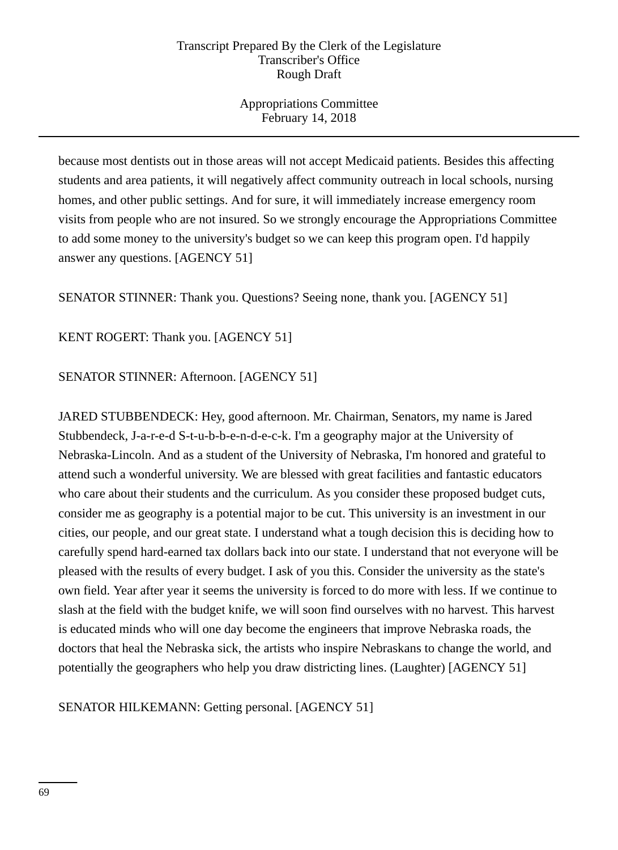Appropriations Committee February 14, 2018

because most dentists out in those areas will not accept Medicaid patients. Besides this affecting students and area patients, it will negatively affect community outreach in local schools, nursing homes, and other public settings. And for sure, it will immediately increase emergency room visits from people who are not insured. So we strongly encourage the Appropriations Committee to add some money to the university's budget so we can keep this program open. I'd happily answer any questions. [AGENCY 51]

SENATOR STINNER: Thank you. Questions? Seeing none, thank you. [AGENCY 51]

KENT ROGERT: Thank you. [AGENCY 51]

SENATOR STINNER: Afternoon. [AGENCY 51]

JARED STUBBENDECK: Hey, good afternoon. Mr. Chairman, Senators, my name is Jared Stubbendeck, J-a-r-e-d S-t-u-b-b-e-n-d-e-c-k. I'm a geography major at the University of Nebraska-Lincoln. And as a student of the University of Nebraska, I'm honored and grateful to attend such a wonderful university. We are blessed with great facilities and fantastic educators who care about their students and the curriculum. As you consider these proposed budget cuts, consider me as geography is a potential major to be cut. This university is an investment in our cities, our people, and our great state. I understand what a tough decision this is deciding how to carefully spend hard-earned tax dollars back into our state. I understand that not everyone will be pleased with the results of every budget. I ask of you this. Consider the university as the state's own field. Year after year it seems the university is forced to do more with less. If we continue to slash at the field with the budget knife, we will soon find ourselves with no harvest. This harvest is educated minds who will one day become the engineers that improve Nebraska roads, the doctors that heal the Nebraska sick, the artists who inspire Nebraskans to change the world, and potentially the geographers who help you draw districting lines. (Laughter) [AGENCY 51]

SENATOR HILKEMANN: Getting personal. [AGENCY 51]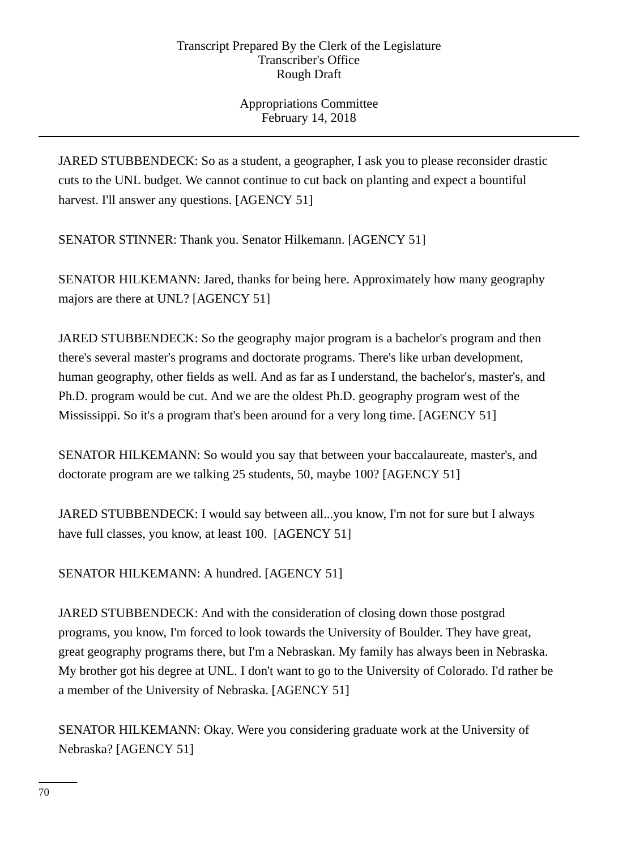Appropriations Committee February 14, 2018

JARED STUBBENDECK: So as a student, a geographer, I ask you to please reconsider drastic cuts to the UNL budget. We cannot continue to cut back on planting and expect a bountiful harvest. I'll answer any questions. [AGENCY 51]

SENATOR STINNER: Thank you. Senator Hilkemann. [AGENCY 51]

SENATOR HILKEMANN: Jared, thanks for being here. Approximately how many geography majors are there at UNL? [AGENCY 51]

JARED STUBBENDECK: So the geography major program is a bachelor's program and then there's several master's programs and doctorate programs. There's like urban development, human geography, other fields as well. And as far as I understand, the bachelor's, master's, and Ph.D. program would be cut. And we are the oldest Ph.D. geography program west of the Mississippi. So it's a program that's been around for a very long time. [AGENCY 51]

SENATOR HILKEMANN: So would you say that between your baccalaureate, master's, and doctorate program are we talking 25 students, 50, maybe 100? [AGENCY 51]

JARED STUBBENDECK: I would say between all...you know, I'm not for sure but I always have full classes, you know, at least 100. [AGENCY 51]

SENATOR HILKEMANN: A hundred. [AGENCY 51]

JARED STUBBENDECK: And with the consideration of closing down those postgrad programs, you know, I'm forced to look towards the University of Boulder. They have great, great geography programs there, but I'm a Nebraskan. My family has always been in Nebraska. My brother got his degree at UNL. I don't want to go to the University of Colorado. I'd rather be a member of the University of Nebraska. [AGENCY 51]

SENATOR HILKEMANN: Okay. Were you considering graduate work at the University of Nebraska? [AGENCY 51]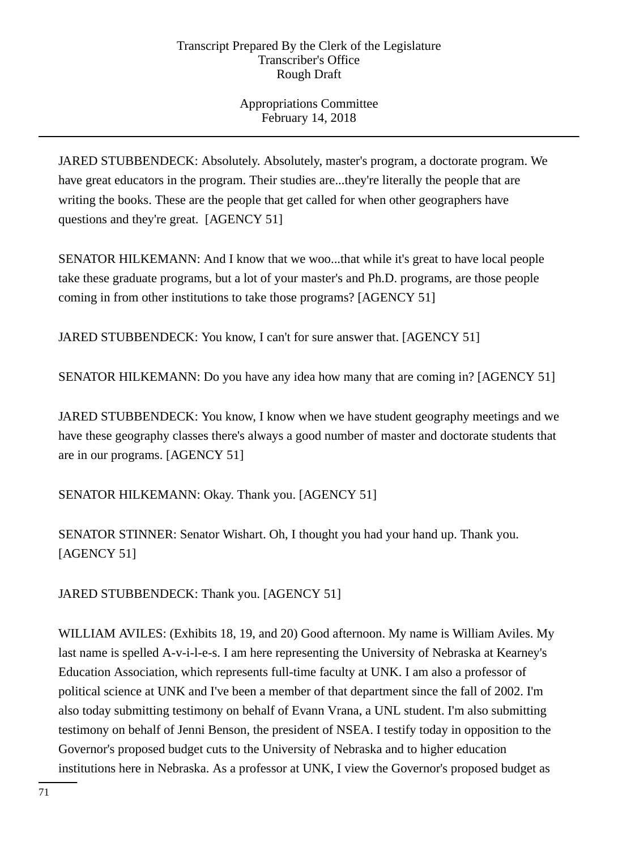# Appropriations Committee February 14, 2018

JARED STUBBENDECK: Absolutely. Absolutely, master's program, a doctorate program. We have great educators in the program. Their studies are...they're literally the people that are writing the books. These are the people that get called for when other geographers have questions and they're great. [AGENCY 51]

SENATOR HILKEMANN: And I know that we woo...that while it's great to have local people take these graduate programs, but a lot of your master's and Ph.D. programs, are those people coming in from other institutions to take those programs? [AGENCY 51]

JARED STUBBENDECK: You know, I can't for sure answer that. [AGENCY 51]

SENATOR HILKEMANN: Do you have any idea how many that are coming in? [AGENCY 51]

JARED STUBBENDECK: You know, I know when we have student geography meetings and we have these geography classes there's always a good number of master and doctorate students that are in our programs. [AGENCY 51]

SENATOR HILKEMANN: Okay. Thank you. [AGENCY 51]

SENATOR STINNER: Senator Wishart. Oh, I thought you had your hand up. Thank you. [AGENCY 51]

JARED STUBBENDECK: Thank you. [AGENCY 51]

WILLIAM AVILES: (Exhibits 18, 19, and 20) Good afternoon. My name is William Aviles. My last name is spelled A-v-i-l-e-s. I am here representing the University of Nebraska at Kearney's Education Association, which represents full-time faculty at UNK. I am also a professor of political science at UNK and I've been a member of that department since the fall of 2002. I'm also today submitting testimony on behalf of Evann Vrana, a UNL student. I'm also submitting testimony on behalf of Jenni Benson, the president of NSEA. I testify today in opposition to the Governor's proposed budget cuts to the University of Nebraska and to higher education institutions here in Nebraska. As a professor at UNK, I view the Governor's proposed budget as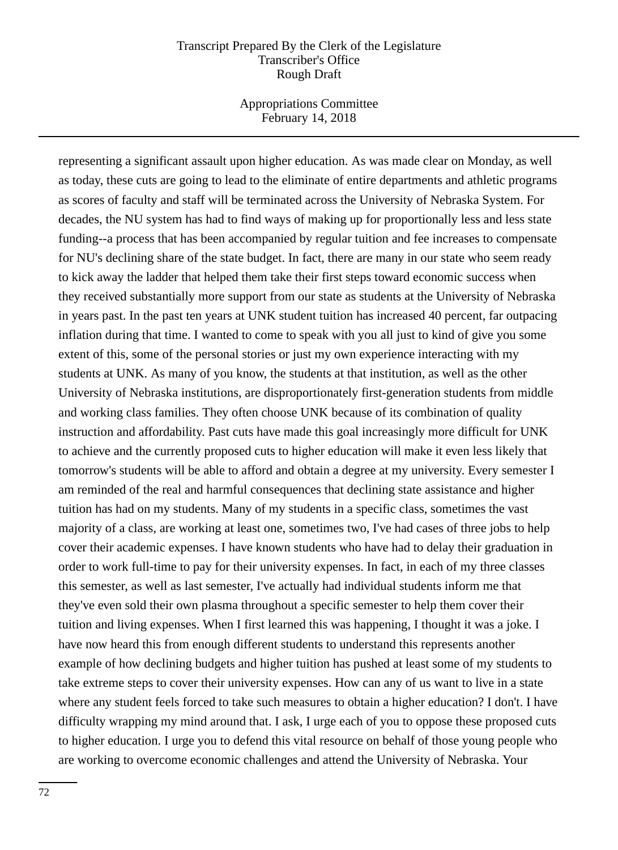Appropriations Committee February 14, 2018

representing a significant assault upon higher education. As was made clear on Monday, as well as today, these cuts are going to lead to the eliminate of entire departments and athletic programs as scores of faculty and staff will be terminated across the University of Nebraska System. For decades, the NU system has had to find ways of making up for proportionally less and less state funding--a process that has been accompanied by regular tuition and fee increases to compensate for NU's declining share of the state budget. In fact, there are many in our state who seem ready to kick away the ladder that helped them take their first steps toward economic success when they received substantially more support from our state as students at the University of Nebraska in years past. In the past ten years at UNK student tuition has increased 40 percent, far outpacing inflation during that time. I wanted to come to speak with you all just to kind of give you some extent of this, some of the personal stories or just my own experience interacting with my students at UNK. As many of you know, the students at that institution, as well as the other University of Nebraska institutions, are disproportionately first-generation students from middle and working class families. They often choose UNK because of its combination of quality instruction and affordability. Past cuts have made this goal increasingly more difficult for UNK to achieve and the currently proposed cuts to higher education will make it even less likely that tomorrow's students will be able to afford and obtain a degree at my university. Every semester I am reminded of the real and harmful consequences that declining state assistance and higher tuition has had on my students. Many of my students in a specific class, sometimes the vast majority of a class, are working at least one, sometimes two, I've had cases of three jobs to help cover their academic expenses. I have known students who have had to delay their graduation in order to work full-time to pay for their university expenses. In fact, in each of my three classes this semester, as well as last semester, I've actually had individual students inform me that they've even sold their own plasma throughout a specific semester to help them cover their tuition and living expenses. When I first learned this was happening, I thought it was a joke. I have now heard this from enough different students to understand this represents another example of how declining budgets and higher tuition has pushed at least some of my students to take extreme steps to cover their university expenses. How can any of us want to live in a state where any student feels forced to take such measures to obtain a higher education? I don't. I have difficulty wrapping my mind around that. I ask, I urge each of you to oppose these proposed cuts to higher education. I urge you to defend this vital resource on behalf of those young people who are working to overcome economic challenges and attend the University of Nebraska. Your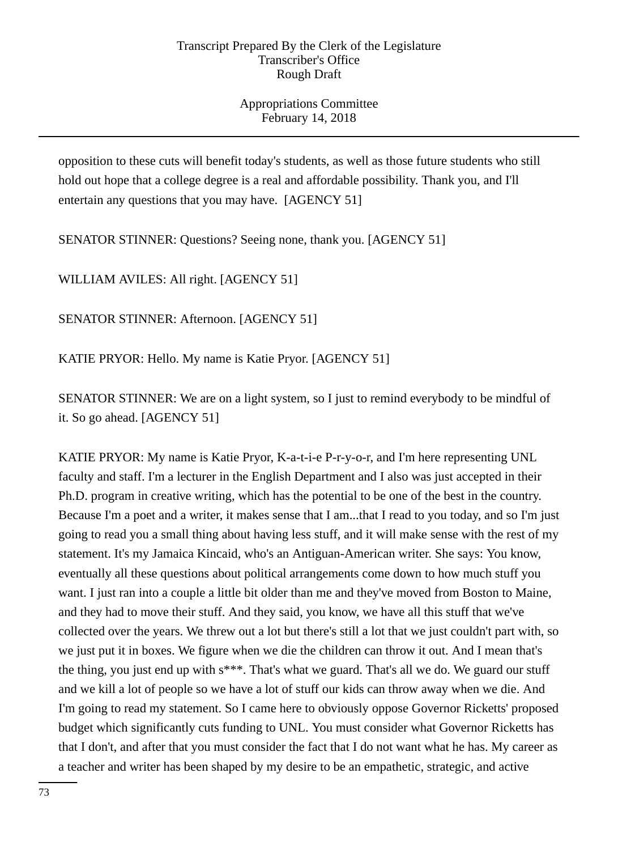Appropriations Committee February 14, 2018

opposition to these cuts will benefit today's students, as well as those future students who still hold out hope that a college degree is a real and affordable possibility. Thank you, and I'll entertain any questions that you may have. [AGENCY 51]

SENATOR STINNER: Questions? Seeing none, thank you. [AGENCY 51]

WILLIAM AVILES: All right. [AGENCY 51]

SENATOR STINNER: Afternoon. [AGENCY 51]

KATIE PRYOR: Hello. My name is Katie Pryor. [AGENCY 51]

SENATOR STINNER: We are on a light system, so I just to remind everybody to be mindful of it. So go ahead. [AGENCY 51]

KATIE PRYOR: My name is Katie Pryor, K-a-t-i-e P-r-y-o-r, and I'm here representing UNL faculty and staff. I'm a lecturer in the English Department and I also was just accepted in their Ph.D. program in creative writing, which has the potential to be one of the best in the country. Because I'm a poet and a writer, it makes sense that I am...that I read to you today, and so I'm just going to read you a small thing about having less stuff, and it will make sense with the rest of my statement. It's my Jamaica Kincaid, who's an Antiguan-American writer. She says: You know, eventually all these questions about political arrangements come down to how much stuff you want. I just ran into a couple a little bit older than me and they've moved from Boston to Maine, and they had to move their stuff. And they said, you know, we have all this stuff that we've collected over the years. We threw out a lot but there's still a lot that we just couldn't part with, so we just put it in boxes. We figure when we die the children can throw it out. And I mean that's the thing, you just end up with s\*\*\*. That's what we guard. That's all we do. We guard our stuff and we kill a lot of people so we have a lot of stuff our kids can throw away when we die. And I'm going to read my statement. So I came here to obviously oppose Governor Ricketts' proposed budget which significantly cuts funding to UNL. You must consider what Governor Ricketts has that I don't, and after that you must consider the fact that I do not want what he has. My career as a teacher and writer has been shaped by my desire to be an empathetic, strategic, and active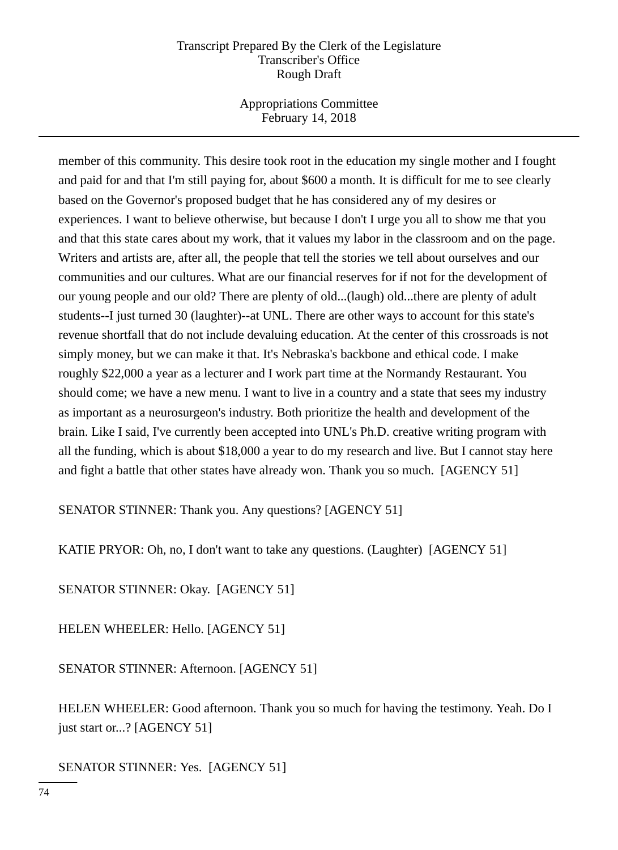Appropriations Committee February 14, 2018

member of this community. This desire took root in the education my single mother and I fought and paid for and that I'm still paying for, about \$600 a month. It is difficult for me to see clearly based on the Governor's proposed budget that he has considered any of my desires or experiences. I want to believe otherwise, but because I don't I urge you all to show me that you and that this state cares about my work, that it values my labor in the classroom and on the page. Writers and artists are, after all, the people that tell the stories we tell about ourselves and our communities and our cultures. What are our financial reserves for if not for the development of our young people and our old? There are plenty of old...(laugh) old...there are plenty of adult students--I just turned 30 (laughter)--at UNL. There are other ways to account for this state's revenue shortfall that do not include devaluing education. At the center of this crossroads is not simply money, but we can make it that. It's Nebraska's backbone and ethical code. I make roughly \$22,000 a year as a lecturer and I work part time at the Normandy Restaurant. You should come; we have a new menu. I want to live in a country and a state that sees my industry as important as a neurosurgeon's industry. Both prioritize the health and development of the brain. Like I said, I've currently been accepted into UNL's Ph.D. creative writing program with all the funding, which is about \$18,000 a year to do my research and live. But I cannot stay here and fight a battle that other states have already won. Thank you so much. [AGENCY 51]

SENATOR STINNER: Thank you. Any questions? [AGENCY 51]

KATIE PRYOR: Oh, no, I don't want to take any questions. (Laughter) [AGENCY 51]

SENATOR STINNER: Okay. [AGENCY 51]

HELEN WHEELER: Hello. [AGENCY 51]

SENATOR STINNER: Afternoon. [AGENCY 51]

HELEN WHEELER: Good afternoon. Thank you so much for having the testimony. Yeah. Do I just start or...? [AGENCY 51]

SENATOR STINNER: Yes. [AGENCY 51]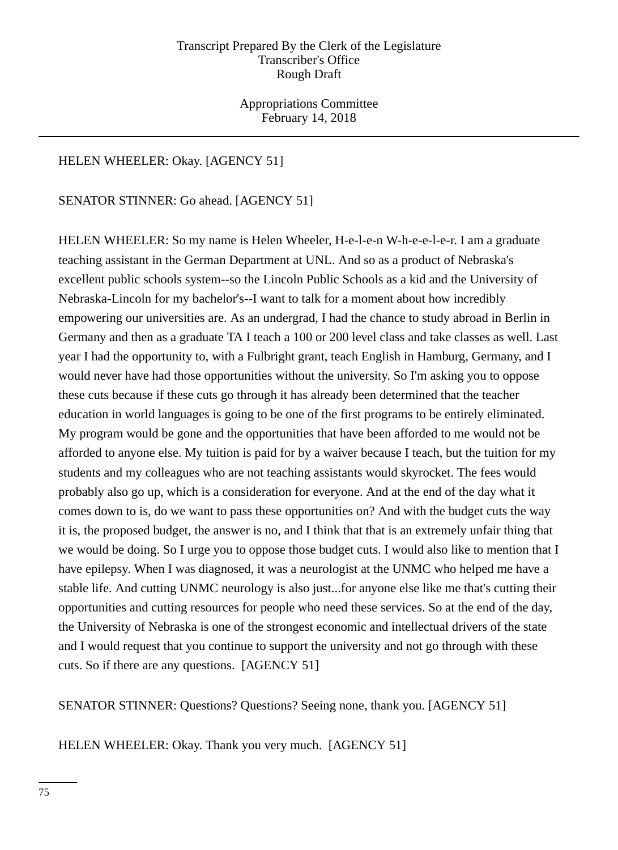Appropriations Committee February 14, 2018

# HELEN WHEELER: Okay. [AGENCY 51]

# SENATOR STINNER: Go ahead. [AGENCY 51]

HELEN WHEELER: So my name is Helen Wheeler, H-e-l-e-n W-h-e-e-l-e-r. I am a graduate teaching assistant in the German Department at UNL. And so as a product of Nebraska's excellent public schools system--so the Lincoln Public Schools as a kid and the University of Nebraska-Lincoln for my bachelor's--I want to talk for a moment about how incredibly empowering our universities are. As an undergrad, I had the chance to study abroad in Berlin in Germany and then as a graduate TA I teach a 100 or 200 level class and take classes as well. Last year I had the opportunity to, with a Fulbright grant, teach English in Hamburg, Germany, and I would never have had those opportunities without the university. So I'm asking you to oppose these cuts because if these cuts go through it has already been determined that the teacher education in world languages is going to be one of the first programs to be entirely eliminated. My program would be gone and the opportunities that have been afforded to me would not be afforded to anyone else. My tuition is paid for by a waiver because I teach, but the tuition for my students and my colleagues who are not teaching assistants would skyrocket. The fees would probably also go up, which is a consideration for everyone. And at the end of the day what it comes down to is, do we want to pass these opportunities on? And with the budget cuts the way it is, the proposed budget, the answer is no, and I think that that is an extremely unfair thing that we would be doing. So I urge you to oppose those budget cuts. I would also like to mention that I have epilepsy. When I was diagnosed, it was a neurologist at the UNMC who helped me have a stable life. And cutting UNMC neurology is also just...for anyone else like me that's cutting their opportunities and cutting resources for people who need these services. So at the end of the day, the University of Nebraska is one of the strongest economic and intellectual drivers of the state and I would request that you continue to support the university and not go through with these cuts. So if there are any questions. [AGENCY 51]

SENATOR STINNER: Questions? Questions? Seeing none, thank you. [AGENCY 51]

HELEN WHEELER: Okay. Thank you very much. [AGENCY 51]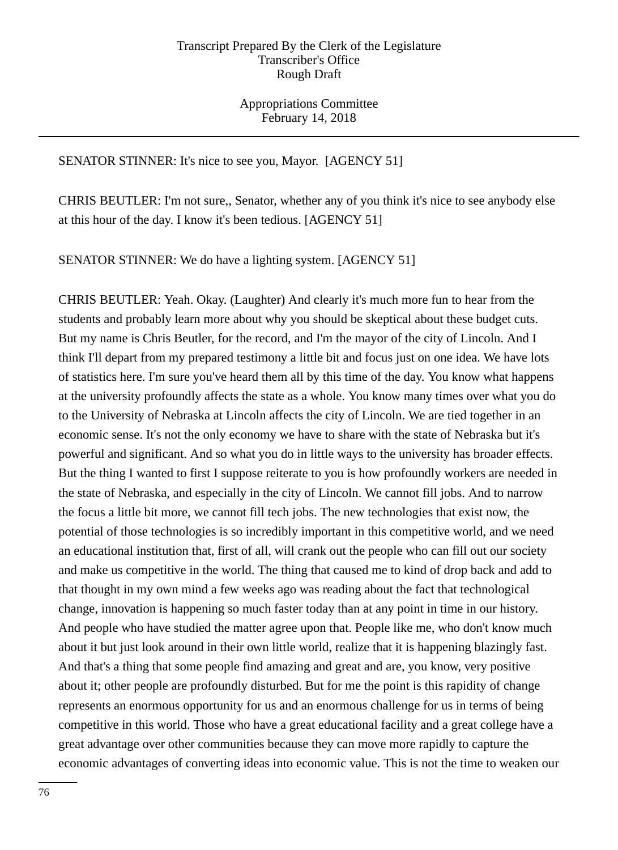Appropriations Committee February 14, 2018

# SENATOR STINNER: It's nice to see you, Mayor. [AGENCY 51]

CHRIS BEUTLER: I'm not sure,, Senator, whether any of you think it's nice to see anybody else at this hour of the day. I know it's been tedious. [AGENCY 51]

SENATOR STINNER: We do have a lighting system. [AGENCY 51]

CHRIS BEUTLER: Yeah. Okay. (Laughter) And clearly it's much more fun to hear from the students and probably learn more about why you should be skeptical about these budget cuts. But my name is Chris Beutler, for the record, and I'm the mayor of the city of Lincoln. And I think I'll depart from my prepared testimony a little bit and focus just on one idea. We have lots of statistics here. I'm sure you've heard them all by this time of the day. You know what happens at the university profoundly affects the state as a whole. You know many times over what you do to the University of Nebraska at Lincoln affects the city of Lincoln. We are tied together in an economic sense. It's not the only economy we have to share with the state of Nebraska but it's powerful and significant. And so what you do in little ways to the university has broader effects. But the thing I wanted to first I suppose reiterate to you is how profoundly workers are needed in the state of Nebraska, and especially in the city of Lincoln. We cannot fill jobs. And to narrow the focus a little bit more, we cannot fill tech jobs. The new technologies that exist now, the potential of those technologies is so incredibly important in this competitive world, and we need an educational institution that, first of all, will crank out the people who can fill out our society and make us competitive in the world. The thing that caused me to kind of drop back and add to that thought in my own mind a few weeks ago was reading about the fact that technological change, innovation is happening so much faster today than at any point in time in our history. And people who have studied the matter agree upon that. People like me, who don't know much about it but just look around in their own little world, realize that it is happening blazingly fast. And that's a thing that some people find amazing and great and are, you know, very positive about it; other people are profoundly disturbed. But for me the point is this rapidity of change represents an enormous opportunity for us and an enormous challenge for us in terms of being competitive in this world. Those who have a great educational facility and a great college have a great advantage over other communities because they can move more rapidly to capture the economic advantages of converting ideas into economic value. This is not the time to weaken our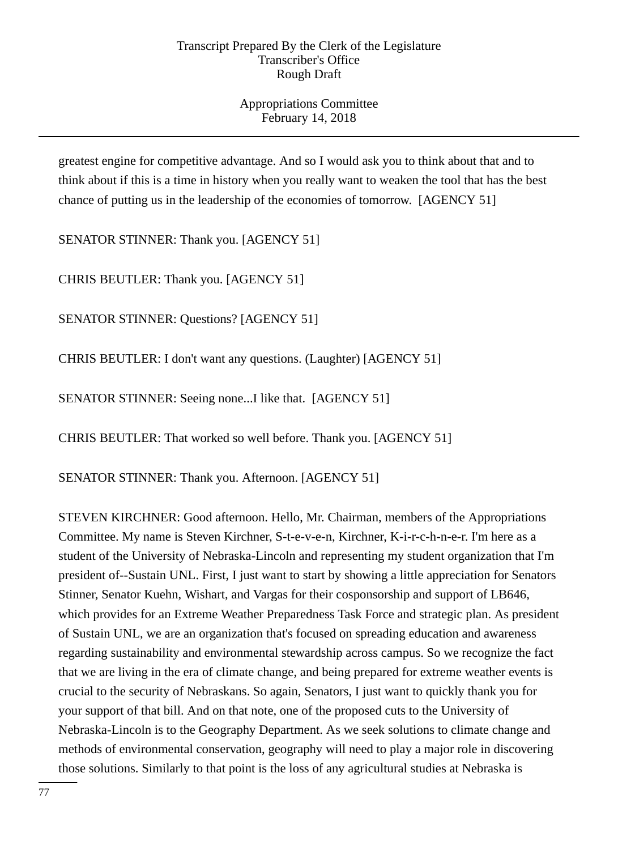Appropriations Committee February 14, 2018

greatest engine for competitive advantage. And so I would ask you to think about that and to think about if this is a time in history when you really want to weaken the tool that has the best chance of putting us in the leadership of the economies of tomorrow. [AGENCY 51]

SENATOR STINNER: Thank you. [AGENCY 51]

CHRIS BEUTLER: Thank you. [AGENCY 51]

SENATOR STINNER: Questions? [AGENCY 51]

CHRIS BEUTLER: I don't want any questions. (Laughter) [AGENCY 51]

SENATOR STINNER: Seeing none...I like that. [AGENCY 51]

CHRIS BEUTLER: That worked so well before. Thank you. [AGENCY 51]

SENATOR STINNER: Thank you. Afternoon. [AGENCY 51]

STEVEN KIRCHNER: Good afternoon. Hello, Mr. Chairman, members of the Appropriations Committee. My name is Steven Kirchner, S-t-e-v-e-n, Kirchner, K-i-r-c-h-n-e-r. I'm here as a student of the University of Nebraska-Lincoln and representing my student organization that I'm president of--Sustain UNL. First, I just want to start by showing a little appreciation for Senators Stinner, Senator Kuehn, Wishart, and Vargas for their cosponsorship and support of LB646, which provides for an Extreme Weather Preparedness Task Force and strategic plan. As president of Sustain UNL, we are an organization that's focused on spreading education and awareness regarding sustainability and environmental stewardship across campus. So we recognize the fact that we are living in the era of climate change, and being prepared for extreme weather events is crucial to the security of Nebraskans. So again, Senators, I just want to quickly thank you for your support of that bill. And on that note, one of the proposed cuts to the University of Nebraska-Lincoln is to the Geography Department. As we seek solutions to climate change and methods of environmental conservation, geography will need to play a major role in discovering those solutions. Similarly to that point is the loss of any agricultural studies at Nebraska is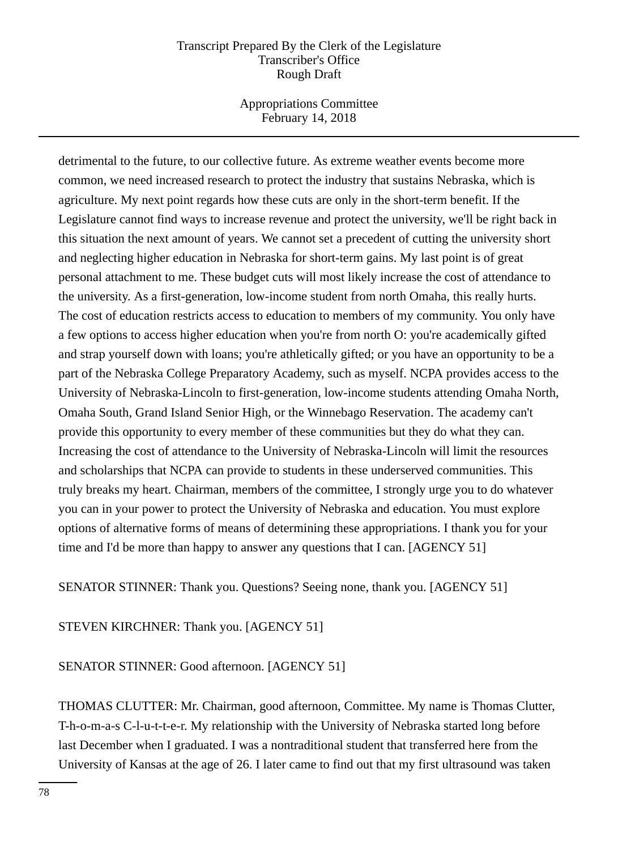Appropriations Committee February 14, 2018

detrimental to the future, to our collective future. As extreme weather events become more common, we need increased research to protect the industry that sustains Nebraska, which is agriculture. My next point regards how these cuts are only in the short-term benefit. If the Legislature cannot find ways to increase revenue and protect the university, we'll be right back in this situation the next amount of years. We cannot set a precedent of cutting the university short and neglecting higher education in Nebraska for short-term gains. My last point is of great personal attachment to me. These budget cuts will most likely increase the cost of attendance to the university. As a first-generation, low-income student from north Omaha, this really hurts. The cost of education restricts access to education to members of my community. You only have a few options to access higher education when you're from north O: you're academically gifted and strap yourself down with loans; you're athletically gifted; or you have an opportunity to be a part of the Nebraska College Preparatory Academy, such as myself. NCPA provides access to the University of Nebraska-Lincoln to first-generation, low-income students attending Omaha North, Omaha South, Grand Island Senior High, or the Winnebago Reservation. The academy can't provide this opportunity to every member of these communities but they do what they can. Increasing the cost of attendance to the University of Nebraska-Lincoln will limit the resources and scholarships that NCPA can provide to students in these underserved communities. This truly breaks my heart. Chairman, members of the committee, I strongly urge you to do whatever you can in your power to protect the University of Nebraska and education. You must explore options of alternative forms of means of determining these appropriations. I thank you for your time and I'd be more than happy to answer any questions that I can. [AGENCY 51]

SENATOR STINNER: Thank you. Questions? Seeing none, thank you. [AGENCY 51]

STEVEN KIRCHNER: Thank you. [AGENCY 51]

SENATOR STINNER: Good afternoon. [AGENCY 51]

THOMAS CLUTTER: Mr. Chairman, good afternoon, Committee. My name is Thomas Clutter, T-h-o-m-a-s C-l-u-t-t-e-r. My relationship with the University of Nebraska started long before last December when I graduated. I was a nontraditional student that transferred here from the University of Kansas at the age of 26. I later came to find out that my first ultrasound was taken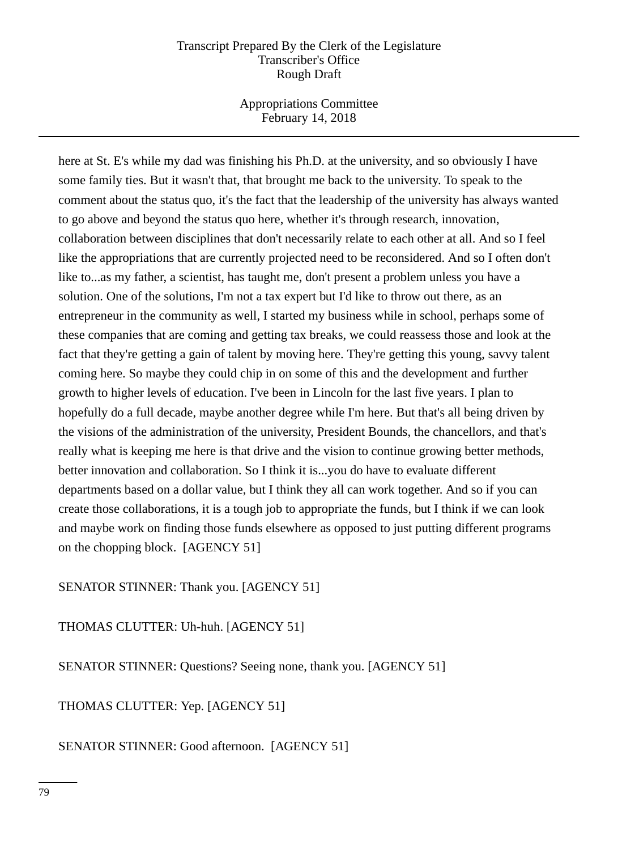Appropriations Committee February 14, 2018

here at St. E's while my dad was finishing his Ph.D. at the university, and so obviously I have some family ties. But it wasn't that, that brought me back to the university. To speak to the comment about the status quo, it's the fact that the leadership of the university has always wanted to go above and beyond the status quo here, whether it's through research, innovation, collaboration between disciplines that don't necessarily relate to each other at all. And so I feel like the appropriations that are currently projected need to be reconsidered. And so I often don't like to...as my father, a scientist, has taught me, don't present a problem unless you have a solution. One of the solutions, I'm not a tax expert but I'd like to throw out there, as an entrepreneur in the community as well, I started my business while in school, perhaps some of these companies that are coming and getting tax breaks, we could reassess those and look at the fact that they're getting a gain of talent by moving here. They're getting this young, savvy talent coming here. So maybe they could chip in on some of this and the development and further growth to higher levels of education. I've been in Lincoln for the last five years. I plan to hopefully do a full decade, maybe another degree while I'm here. But that's all being driven by the visions of the administration of the university, President Bounds, the chancellors, and that's really what is keeping me here is that drive and the vision to continue growing better methods, better innovation and collaboration. So I think it is...you do have to evaluate different departments based on a dollar value, but I think they all can work together. And so if you can create those collaborations, it is a tough job to appropriate the funds, but I think if we can look and maybe work on finding those funds elsewhere as opposed to just putting different programs on the chopping block. [AGENCY 51]

SENATOR STINNER: Thank you. [AGENCY 51]

THOMAS CLUTTER: Uh-huh. [AGENCY 51]

SENATOR STINNER: Questions? Seeing none, thank you. [AGENCY 51]

THOMAS CLUTTER: Yep. [AGENCY 51]

SENATOR STINNER: Good afternoon. [AGENCY 51]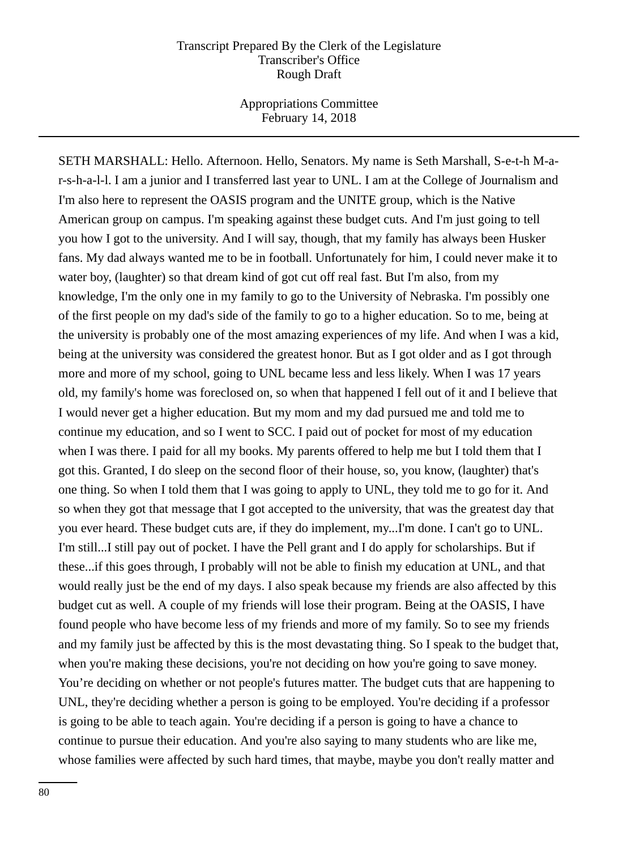Appropriations Committee February 14, 2018

SETH MARSHALL: Hello. Afternoon. Hello, Senators. My name is Seth Marshall, S-e-t-h M-ar-s-h-a-l-l. I am a junior and I transferred last year to UNL. I am at the College of Journalism and I'm also here to represent the OASIS program and the UNITE group, which is the Native American group on campus. I'm speaking against these budget cuts. And I'm just going to tell you how I got to the university. And I will say, though, that my family has always been Husker fans. My dad always wanted me to be in football. Unfortunately for him, I could never make it to water boy, (laughter) so that dream kind of got cut off real fast. But I'm also, from my knowledge, I'm the only one in my family to go to the University of Nebraska. I'm possibly one of the first people on my dad's side of the family to go to a higher education. So to me, being at the university is probably one of the most amazing experiences of my life. And when I was a kid, being at the university was considered the greatest honor. But as I got older and as I got through more and more of my school, going to UNL became less and less likely. When I was 17 years old, my family's home was foreclosed on, so when that happened I fell out of it and I believe that I would never get a higher education. But my mom and my dad pursued me and told me to continue my education, and so I went to SCC. I paid out of pocket for most of my education when I was there. I paid for all my books. My parents offered to help me but I told them that I got this. Granted, I do sleep on the second floor of their house, so, you know, (laughter) that's one thing. So when I told them that I was going to apply to UNL, they told me to go for it. And so when they got that message that I got accepted to the university, that was the greatest day that you ever heard. These budget cuts are, if they do implement, my...I'm done. I can't go to UNL. I'm still...I still pay out of pocket. I have the Pell grant and I do apply for scholarships. But if these...if this goes through, I probably will not be able to finish my education at UNL, and that would really just be the end of my days. I also speak because my friends are also affected by this budget cut as well. A couple of my friends will lose their program. Being at the OASIS, I have found people who have become less of my friends and more of my family. So to see my friends and my family just be affected by this is the most devastating thing. So I speak to the budget that, when you're making these decisions, you're not deciding on how you're going to save money. You're deciding on whether or not people's futures matter. The budget cuts that are happening to UNL, they're deciding whether a person is going to be employed. You're deciding if a professor is going to be able to teach again. You're deciding if a person is going to have a chance to continue to pursue their education. And you're also saying to many students who are like me, whose families were affected by such hard times, that maybe, maybe you don't really matter and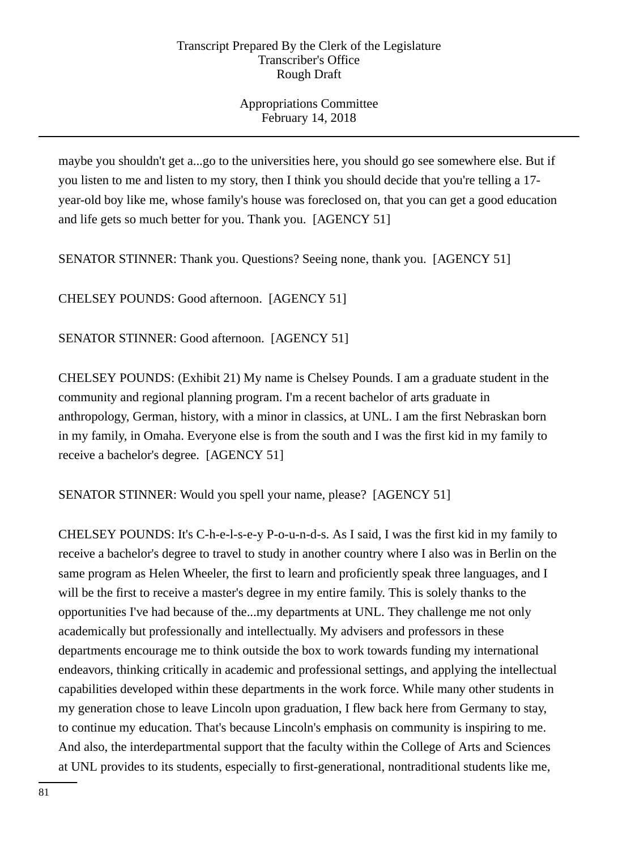Appropriations Committee February 14, 2018

maybe you shouldn't get a...go to the universities here, you should go see somewhere else. But if you listen to me and listen to my story, then I think you should decide that you're telling a 17 year-old boy like me, whose family's house was foreclosed on, that you can get a good education and life gets so much better for you. Thank you. [AGENCY 51]

SENATOR STINNER: Thank you. Questions? Seeing none, thank you. [AGENCY 51]

CHELSEY POUNDS: Good afternoon. [AGENCY 51]

SENATOR STINNER: Good afternoon. [AGENCY 51]

CHELSEY POUNDS: (Exhibit 21) My name is Chelsey Pounds. I am a graduate student in the community and regional planning program. I'm a recent bachelor of arts graduate in anthropology, German, history, with a minor in classics, at UNL. I am the first Nebraskan born in my family, in Omaha. Everyone else is from the south and I was the first kid in my family to receive a bachelor's degree. [AGENCY 51]

SENATOR STINNER: Would you spell your name, please? [AGENCY 51]

CHELSEY POUNDS: It's C-h-e-l-s-e-y P-o-u-n-d-s. As I said, I was the first kid in my family to receive a bachelor's degree to travel to study in another country where I also was in Berlin on the same program as Helen Wheeler, the first to learn and proficiently speak three languages, and I will be the first to receive a master's degree in my entire family. This is solely thanks to the opportunities I've had because of the...my departments at UNL. They challenge me not only academically but professionally and intellectually. My advisers and professors in these departments encourage me to think outside the box to work towards funding my international endeavors, thinking critically in academic and professional settings, and applying the intellectual capabilities developed within these departments in the work force. While many other students in my generation chose to leave Lincoln upon graduation, I flew back here from Germany to stay, to continue my education. That's because Lincoln's emphasis on community is inspiring to me. And also, the interdepartmental support that the faculty within the College of Arts and Sciences at UNL provides to its students, especially to first-generational, nontraditional students like me,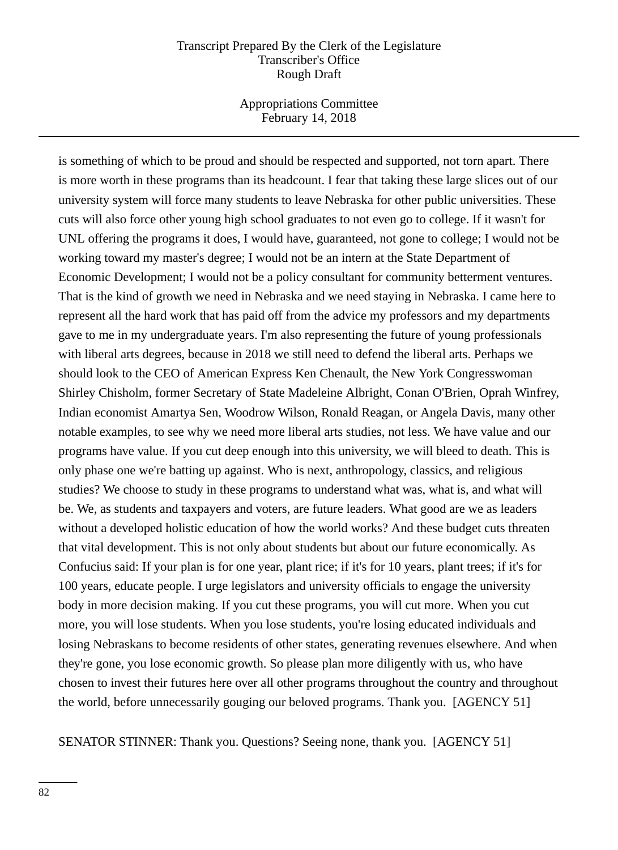Appropriations Committee February 14, 2018

is something of which to be proud and should be respected and supported, not torn apart. There is more worth in these programs than its headcount. I fear that taking these large slices out of our university system will force many students to leave Nebraska for other public universities. These cuts will also force other young high school graduates to not even go to college. If it wasn't for UNL offering the programs it does, I would have, guaranteed, not gone to college; I would not be working toward my master's degree; I would not be an intern at the State Department of Economic Development; I would not be a policy consultant for community betterment ventures. That is the kind of growth we need in Nebraska and we need staying in Nebraska. I came here to represent all the hard work that has paid off from the advice my professors and my departments gave to me in my undergraduate years. I'm also representing the future of young professionals with liberal arts degrees, because in 2018 we still need to defend the liberal arts. Perhaps we should look to the CEO of American Express Ken Chenault, the New York Congresswoman Shirley Chisholm, former Secretary of State Madeleine Albright, Conan O'Brien, Oprah Winfrey, Indian economist Amartya Sen, Woodrow Wilson, Ronald Reagan, or Angela Davis, many other notable examples, to see why we need more liberal arts studies, not less. We have value and our programs have value. If you cut deep enough into this university, we will bleed to death. This is only phase one we're batting up against. Who is next, anthropology, classics, and religious studies? We choose to study in these programs to understand what was, what is, and what will be. We, as students and taxpayers and voters, are future leaders. What good are we as leaders without a developed holistic education of how the world works? And these budget cuts threaten that vital development. This is not only about students but about our future economically. As Confucius said: If your plan is for one year, plant rice; if it's for 10 years, plant trees; if it's for 100 years, educate people. I urge legislators and university officials to engage the university body in more decision making. If you cut these programs, you will cut more. When you cut more, you will lose students. When you lose students, you're losing educated individuals and losing Nebraskans to become residents of other states, generating revenues elsewhere. And when they're gone, you lose economic growth. So please plan more diligently with us, who have chosen to invest their futures here over all other programs throughout the country and throughout the world, before unnecessarily gouging our beloved programs. Thank you. [AGENCY 51]

SENATOR STINNER: Thank you. Questions? Seeing none, thank you. [AGENCY 51]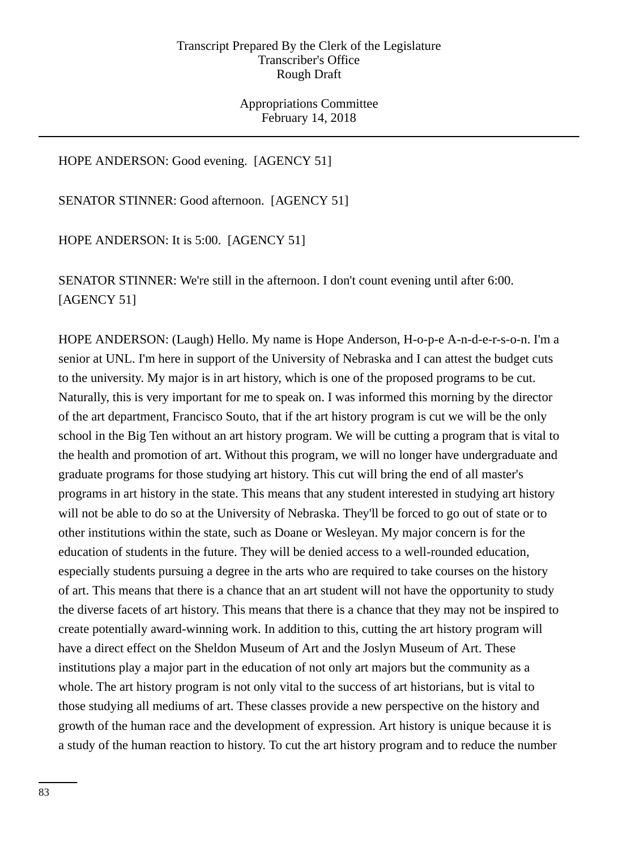Appropriations Committee February 14, 2018

HOPE ANDERSON: Good evening. [AGENCY 51]

SENATOR STINNER: Good afternoon. [AGENCY 51]

HOPE ANDERSON: It is 5:00. [AGENCY 51]

SENATOR STINNER: We're still in the afternoon. I don't count evening until after 6:00. [AGENCY 51]

HOPE ANDERSON: (Laugh) Hello. My name is Hope Anderson, H-o-p-e A-n-d-e-r-s-o-n. I'm a senior at UNL. I'm here in support of the University of Nebraska and I can attest the budget cuts to the university. My major is in art history, which is one of the proposed programs to be cut. Naturally, this is very important for me to speak on. I was informed this morning by the director of the art department, Francisco Souto, that if the art history program is cut we will be the only school in the Big Ten without an art history program. We will be cutting a program that is vital to the health and promotion of art. Without this program, we will no longer have undergraduate and graduate programs for those studying art history. This cut will bring the end of all master's programs in art history in the state. This means that any student interested in studying art history will not be able to do so at the University of Nebraska. They'll be forced to go out of state or to other institutions within the state, such as Doane or Wesleyan. My major concern is for the education of students in the future. They will be denied access to a well-rounded education, especially students pursuing a degree in the arts who are required to take courses on the history of art. This means that there is a chance that an art student will not have the opportunity to study the diverse facets of art history. This means that there is a chance that they may not be inspired to create potentially award-winning work. In addition to this, cutting the art history program will have a direct effect on the Sheldon Museum of Art and the Joslyn Museum of Art. These institutions play a major part in the education of not only art majors but the community as a whole. The art history program is not only vital to the success of art historians, but is vital to those studying all mediums of art. These classes provide a new perspective on the history and growth of the human race and the development of expression. Art history is unique because it is a study of the human reaction to history. To cut the art history program and to reduce the number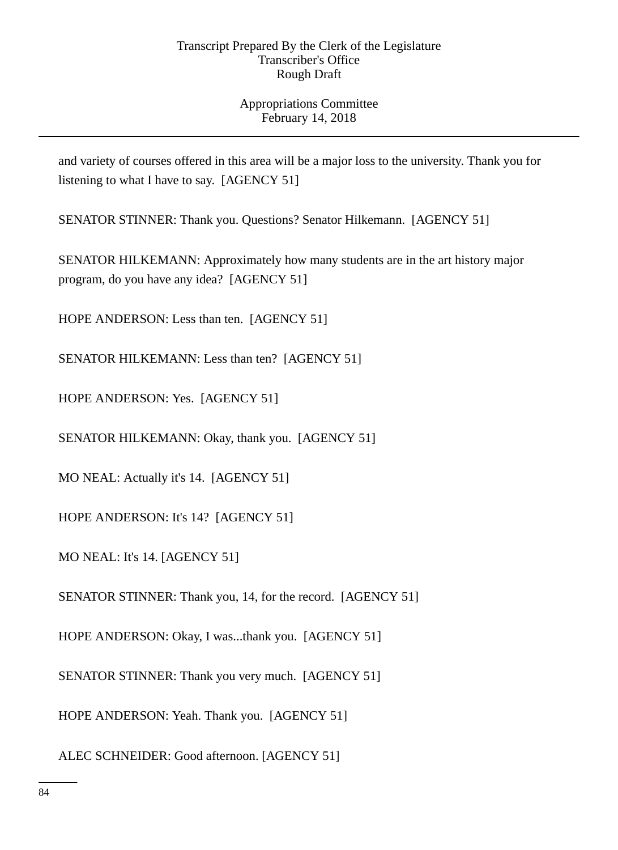# Appropriations Committee February 14, 2018

and variety of courses offered in this area will be a major loss to the university. Thank you for listening to what I have to say. [AGENCY 51]

SENATOR STINNER: Thank you. Questions? Senator Hilkemann. [AGENCY 51]

SENATOR HILKEMANN: Approximately how many students are in the art history major program, do you have any idea? [AGENCY 51]

HOPE ANDERSON: Less than ten. [AGENCY 51]

SENATOR HILKEMANN: Less than ten? [AGENCY 51]

HOPE ANDERSON: Yes. [AGENCY 51]

SENATOR HILKEMANN: Okay, thank you. [AGENCY 51]

MO NEAL: Actually it's 14. [AGENCY 51]

HOPE ANDERSON: It's 14? [AGENCY 51]

MO NEAL: It's 14. [AGENCY 51]

SENATOR STINNER: Thank you, 14, for the record. [AGENCY 51]

HOPE ANDERSON: Okay, I was...thank you. [AGENCY 51]

SENATOR STINNER: Thank you very much. [AGENCY 51]

HOPE ANDERSON: Yeah. Thank you. [AGENCY 51]

ALEC SCHNEIDER: Good afternoon. [AGENCY 51]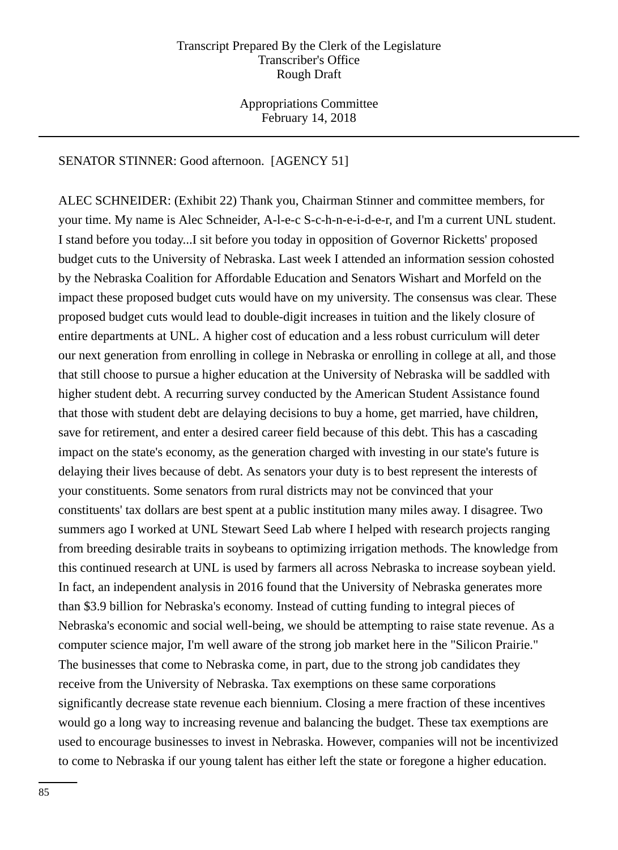Appropriations Committee February 14, 2018

# SENATOR STINNER: Good afternoon. [AGENCY 51]

ALEC SCHNEIDER: (Exhibit 22) Thank you, Chairman Stinner and committee members, for your time. My name is Alec Schneider, A-l-e-c S-c-h-n-e-i-d-e-r, and I'm a current UNL student. I stand before you today...I sit before you today in opposition of Governor Ricketts' proposed budget cuts to the University of Nebraska. Last week I attended an information session cohosted by the Nebraska Coalition for Affordable Education and Senators Wishart and Morfeld on the impact these proposed budget cuts would have on my university. The consensus was clear. These proposed budget cuts would lead to double-digit increases in tuition and the likely closure of entire departments at UNL. A higher cost of education and a less robust curriculum will deter our next generation from enrolling in college in Nebraska or enrolling in college at all, and those that still choose to pursue a higher education at the University of Nebraska will be saddled with higher student debt. A recurring survey conducted by the American Student Assistance found that those with student debt are delaying decisions to buy a home, get married, have children, save for retirement, and enter a desired career field because of this debt. This has a cascading impact on the state's economy, as the generation charged with investing in our state's future is delaying their lives because of debt. As senators your duty is to best represent the interests of your constituents. Some senators from rural districts may not be convinced that your constituents' tax dollars are best spent at a public institution many miles away. I disagree. Two summers ago I worked at UNL Stewart Seed Lab where I helped with research projects ranging from breeding desirable traits in soybeans to optimizing irrigation methods. The knowledge from this continued research at UNL is used by farmers all across Nebraska to increase soybean yield. In fact, an independent analysis in 2016 found that the University of Nebraska generates more than \$3.9 billion for Nebraska's economy. Instead of cutting funding to integral pieces of Nebraska's economic and social well-being, we should be attempting to raise state revenue. As a computer science major, I'm well aware of the strong job market here in the "Silicon Prairie." The businesses that come to Nebraska come, in part, due to the strong job candidates they receive from the University of Nebraska. Tax exemptions on these same corporations significantly decrease state revenue each biennium. Closing a mere fraction of these incentives would go a long way to increasing revenue and balancing the budget. These tax exemptions are used to encourage businesses to invest in Nebraska. However, companies will not be incentivized to come to Nebraska if our young talent has either left the state or foregone a higher education.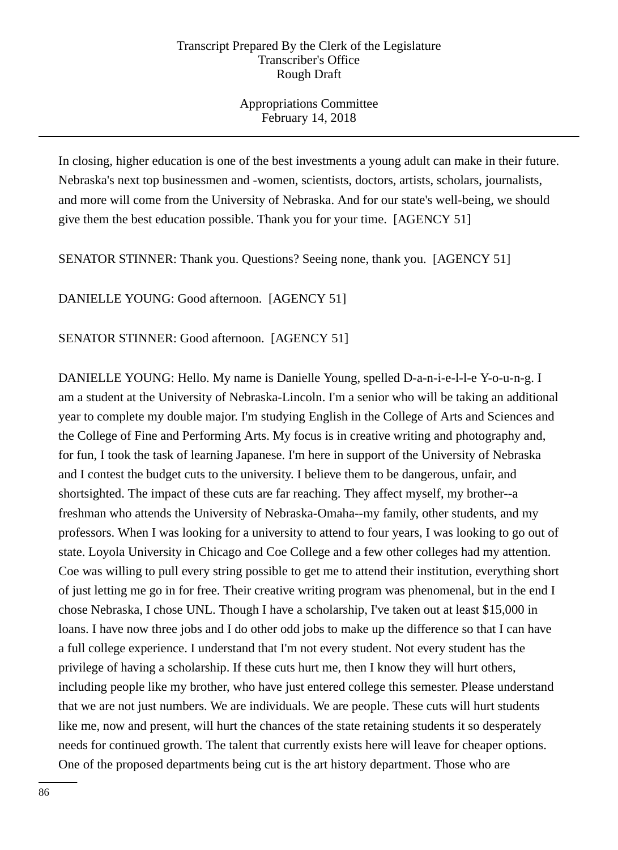Appropriations Committee February 14, 2018

In closing, higher education is one of the best investments a young adult can make in their future. Nebraska's next top businessmen and -women, scientists, doctors, artists, scholars, journalists, and more will come from the University of Nebraska. And for our state's well-being, we should give them the best education possible. Thank you for your time. [AGENCY 51]

SENATOR STINNER: Thank you. Questions? Seeing none, thank you. [AGENCY 51]

DANIELLE YOUNG: Good afternoon. [AGENCY 51]

SENATOR STINNER: Good afternoon. [AGENCY 51]

DANIELLE YOUNG: Hello. My name is Danielle Young, spelled D-a-n-i-e-l-l-e Y-o-u-n-g. I am a student at the University of Nebraska-Lincoln. I'm a senior who will be taking an additional year to complete my double major. I'm studying English in the College of Arts and Sciences and the College of Fine and Performing Arts. My focus is in creative writing and photography and, for fun, I took the task of learning Japanese. I'm here in support of the University of Nebraska and I contest the budget cuts to the university. I believe them to be dangerous, unfair, and shortsighted. The impact of these cuts are far reaching. They affect myself, my brother--a freshman who attends the University of Nebraska-Omaha--my family, other students, and my professors. When I was looking for a university to attend to four years, I was looking to go out of state. Loyola University in Chicago and Coe College and a few other colleges had my attention. Coe was willing to pull every string possible to get me to attend their institution, everything short of just letting me go in for free. Their creative writing program was phenomenal, but in the end I chose Nebraska, I chose UNL. Though I have a scholarship, I've taken out at least \$15,000 in loans. I have now three jobs and I do other odd jobs to make up the difference so that I can have a full college experience. I understand that I'm not every student. Not every student has the privilege of having a scholarship. If these cuts hurt me, then I know they will hurt others, including people like my brother, who have just entered college this semester. Please understand that we are not just numbers. We are individuals. We are people. These cuts will hurt students like me, now and present, will hurt the chances of the state retaining students it so desperately needs for continued growth. The talent that currently exists here will leave for cheaper options. One of the proposed departments being cut is the art history department. Those who are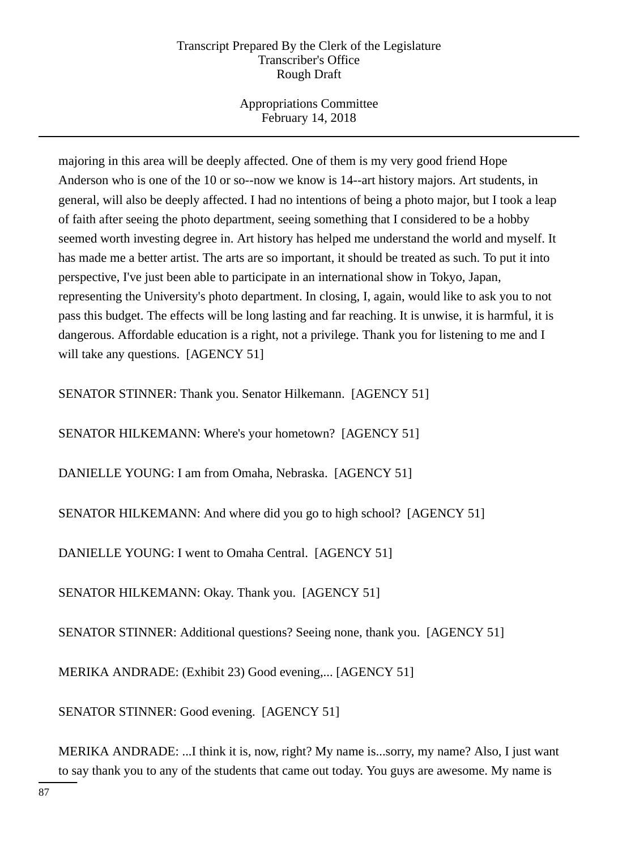Appropriations Committee February 14, 2018

majoring in this area will be deeply affected. One of them is my very good friend Hope Anderson who is one of the 10 or so--now we know is 14--art history majors. Art students, in general, will also be deeply affected. I had no intentions of being a photo major, but I took a leap of faith after seeing the photo department, seeing something that I considered to be a hobby seemed worth investing degree in. Art history has helped me understand the world and myself. It has made me a better artist. The arts are so important, it should be treated as such. To put it into perspective, I've just been able to participate in an international show in Tokyo, Japan, representing the University's photo department. In closing, I, again, would like to ask you to not pass this budget. The effects will be long lasting and far reaching. It is unwise, it is harmful, it is dangerous. Affordable education is a right, not a privilege. Thank you for listening to me and I will take any questions. [AGENCY 51]

SENATOR STINNER: Thank you. Senator Hilkemann. [AGENCY 51]

SENATOR HILKEMANN: Where's your hometown? [AGENCY 51]

DANIELLE YOUNG: I am from Omaha, Nebraska. [AGENCY 51]

SENATOR HILKEMANN: And where did you go to high school? [AGENCY 51]

DANIELLE YOUNG: I went to Omaha Central. [AGENCY 51]

SENATOR HILKEMANN: Okay. Thank you. [AGENCY 51]

SENATOR STINNER: Additional questions? Seeing none, thank you. [AGENCY 51]

MERIKA ANDRADE: (Exhibit 23) Good evening,... [AGENCY 51]

SENATOR STINNER: Good evening. [AGENCY 51]

MERIKA ANDRADE: ...I think it is, now, right? My name is...sorry, my name? Also, I just want to say thank you to any of the students that came out today. You guys are awesome. My name is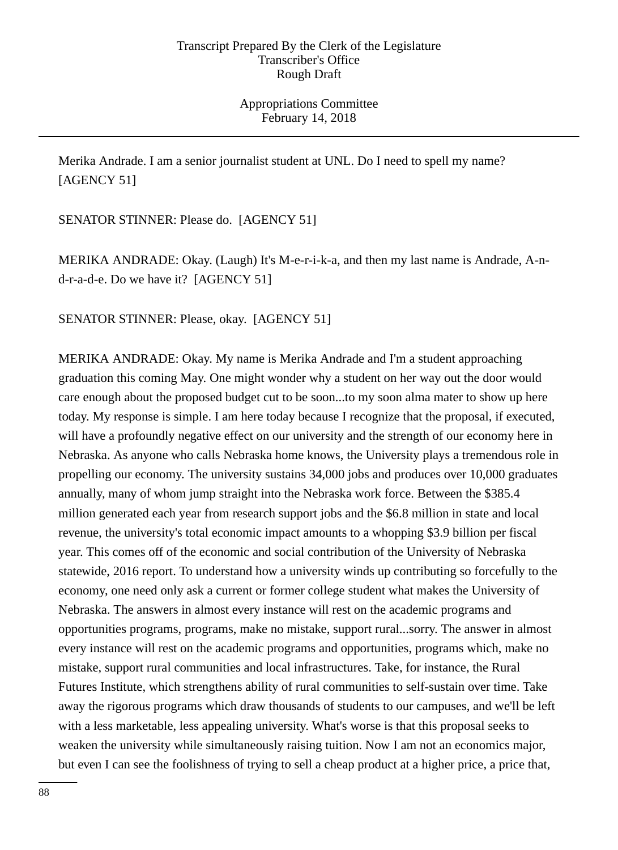Appropriations Committee February 14, 2018

Merika Andrade. I am a senior journalist student at UNL. Do I need to spell my name? [AGENCY 51]

SENATOR STINNER: Please do. [AGENCY 51]

MERIKA ANDRADE: Okay. (Laugh) It's M-e-r-i-k-a, and then my last name is Andrade, A-nd-r-a-d-e. Do we have it? [AGENCY 51]

SENATOR STINNER: Please, okay. [AGENCY 51]

MERIKA ANDRADE: Okay. My name is Merika Andrade and I'm a student approaching graduation this coming May. One might wonder why a student on her way out the door would care enough about the proposed budget cut to be soon...to my soon alma mater to show up here today. My response is simple. I am here today because I recognize that the proposal, if executed, will have a profoundly negative effect on our university and the strength of our economy here in Nebraska. As anyone who calls Nebraska home knows, the University plays a tremendous role in propelling our economy. The university sustains 34,000 jobs and produces over 10,000 graduates annually, many of whom jump straight into the Nebraska work force. Between the \$385.4 million generated each year from research support jobs and the \$6.8 million in state and local revenue, the university's total economic impact amounts to a whopping \$3.9 billion per fiscal year. This comes off of the economic and social contribution of the University of Nebraska statewide, 2016 report. To understand how a university winds up contributing so forcefully to the economy, one need only ask a current or former college student what makes the University of Nebraska. The answers in almost every instance will rest on the academic programs and opportunities programs, programs, make no mistake, support rural...sorry. The answer in almost every instance will rest on the academic programs and opportunities, programs which, make no mistake, support rural communities and local infrastructures. Take, for instance, the Rural Futures Institute, which strengthens ability of rural communities to self-sustain over time. Take away the rigorous programs which draw thousands of students to our campuses, and we'll be left with a less marketable, less appealing university. What's worse is that this proposal seeks to weaken the university while simultaneously raising tuition. Now I am not an economics major, but even I can see the foolishness of trying to sell a cheap product at a higher price, a price that,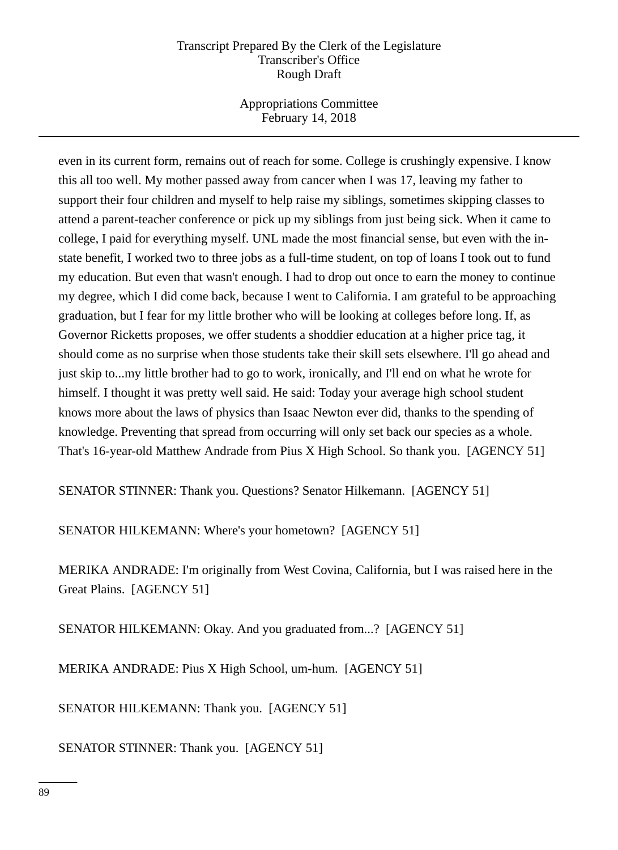Appropriations Committee February 14, 2018

even in its current form, remains out of reach for some. College is crushingly expensive. I know this all too well. My mother passed away from cancer when I was 17, leaving my father to support their four children and myself to help raise my siblings, sometimes skipping classes to attend a parent-teacher conference or pick up my siblings from just being sick. When it came to college, I paid for everything myself. UNL made the most financial sense, but even with the instate benefit, I worked two to three jobs as a full-time student, on top of loans I took out to fund my education. But even that wasn't enough. I had to drop out once to earn the money to continue my degree, which I did come back, because I went to California. I am grateful to be approaching graduation, but I fear for my little brother who will be looking at colleges before long. If, as Governor Ricketts proposes, we offer students a shoddier education at a higher price tag, it should come as no surprise when those students take their skill sets elsewhere. I'll go ahead and just skip to...my little brother had to go to work, ironically, and I'll end on what he wrote for himself. I thought it was pretty well said. He said: Today your average high school student knows more about the laws of physics than Isaac Newton ever did, thanks to the spending of knowledge. Preventing that spread from occurring will only set back our species as a whole. That's 16-year-old Matthew Andrade from Pius X High School. So thank you. [AGENCY 51]

SENATOR STINNER: Thank you. Questions? Senator Hilkemann. [AGENCY 51]

SENATOR HILKEMANN: Where's your hometown? [AGENCY 51]

MERIKA ANDRADE: I'm originally from West Covina, California, but I was raised here in the Great Plains. [AGENCY 51]

SENATOR HILKEMANN: Okay. And you graduated from...? [AGENCY 51]

MERIKA ANDRADE: Pius X High School, um-hum. [AGENCY 51]

SENATOR HILKEMANN: Thank you. [AGENCY 51]

SENATOR STINNER: Thank you. [AGENCY 51]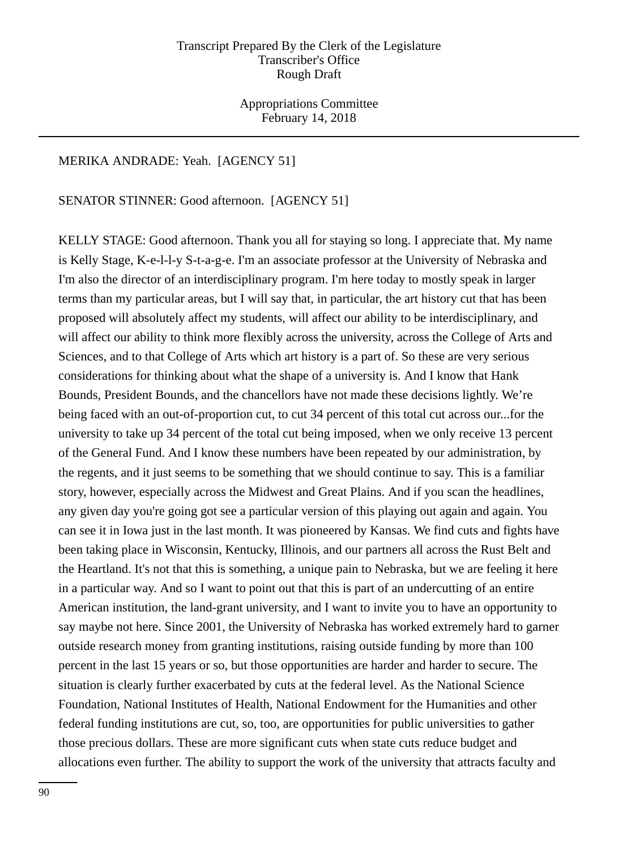Appropriations Committee February 14, 2018

#### MERIKA ANDRADE: Yeah. [AGENCY 51]

SENATOR STINNER: Good afternoon. [AGENCY 51]

KELLY STAGE: Good afternoon. Thank you all for staying so long. I appreciate that. My name is Kelly Stage, K-e-l-l-y S-t-a-g-e. I'm an associate professor at the University of Nebraska and I'm also the director of an interdisciplinary program. I'm here today to mostly speak in larger terms than my particular areas, but I will say that, in particular, the art history cut that has been proposed will absolutely affect my students, will affect our ability to be interdisciplinary, and will affect our ability to think more flexibly across the university, across the College of Arts and Sciences, and to that College of Arts which art history is a part of. So these are very serious considerations for thinking about what the shape of a university is. And I know that Hank Bounds, President Bounds, and the chancellors have not made these decisions lightly. We're being faced with an out-of-proportion cut, to cut 34 percent of this total cut across our...for the university to take up 34 percent of the total cut being imposed, when we only receive 13 percent of the General Fund. And I know these numbers have been repeated by our administration, by the regents, and it just seems to be something that we should continue to say. This is a familiar story, however, especially across the Midwest and Great Plains. And if you scan the headlines, any given day you're going got see a particular version of this playing out again and again. You can see it in Iowa just in the last month. It was pioneered by Kansas. We find cuts and fights have been taking place in Wisconsin, Kentucky, Illinois, and our partners all across the Rust Belt and the Heartland. It's not that this is something, a unique pain to Nebraska, but we are feeling it here in a particular way. And so I want to point out that this is part of an undercutting of an entire American institution, the land-grant university, and I want to invite you to have an opportunity to say maybe not here. Since 2001, the University of Nebraska has worked extremely hard to garner outside research money from granting institutions, raising outside funding by more than 100 percent in the last 15 years or so, but those opportunities are harder and harder to secure. The situation is clearly further exacerbated by cuts at the federal level. As the National Science Foundation, National Institutes of Health, National Endowment for the Humanities and other federal funding institutions are cut, so, too, are opportunities for public universities to gather those precious dollars. These are more significant cuts when state cuts reduce budget and allocations even further. The ability to support the work of the university that attracts faculty and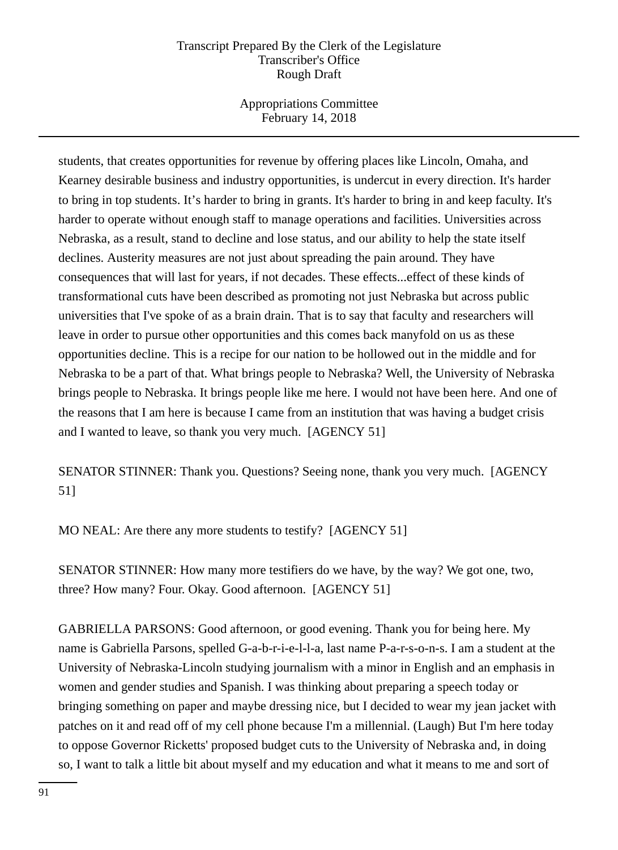Appropriations Committee February 14, 2018

students, that creates opportunities for revenue by offering places like Lincoln, Omaha, and Kearney desirable business and industry opportunities, is undercut in every direction. It's harder to bring in top students. It's harder to bring in grants. It's harder to bring in and keep faculty. It's harder to operate without enough staff to manage operations and facilities. Universities across Nebraska, as a result, stand to decline and lose status, and our ability to help the state itself declines. Austerity measures are not just about spreading the pain around. They have consequences that will last for years, if not decades. These effects...effect of these kinds of transformational cuts have been described as promoting not just Nebraska but across public universities that I've spoke of as a brain drain. That is to say that faculty and researchers will leave in order to pursue other opportunities and this comes back manyfold on us as these opportunities decline. This is a recipe for our nation to be hollowed out in the middle and for Nebraska to be a part of that. What brings people to Nebraska? Well, the University of Nebraska brings people to Nebraska. It brings people like me here. I would not have been here. And one of the reasons that I am here is because I came from an institution that was having a budget crisis and I wanted to leave, so thank you very much. [AGENCY 51]

SENATOR STINNER: Thank you. Questions? Seeing none, thank you very much. [AGENCY 51]

MO NEAL: Are there any more students to testify? [AGENCY 51]

SENATOR STINNER: How many more testifiers do we have, by the way? We got one, two, three? How many? Four. Okay. Good afternoon. [AGENCY 51]

GABRIELLA PARSONS: Good afternoon, or good evening. Thank you for being here. My name is Gabriella Parsons, spelled G-a-b-r-i-e-l-l-a, last name P-a-r-s-o-n-s. I am a student at the University of Nebraska-Lincoln studying journalism with a minor in English and an emphasis in women and gender studies and Spanish. I was thinking about preparing a speech today or bringing something on paper and maybe dressing nice, but I decided to wear my jean jacket with patches on it and read off of my cell phone because I'm a millennial. (Laugh) But I'm here today to oppose Governor Ricketts' proposed budget cuts to the University of Nebraska and, in doing so, I want to talk a little bit about myself and my education and what it means to me and sort of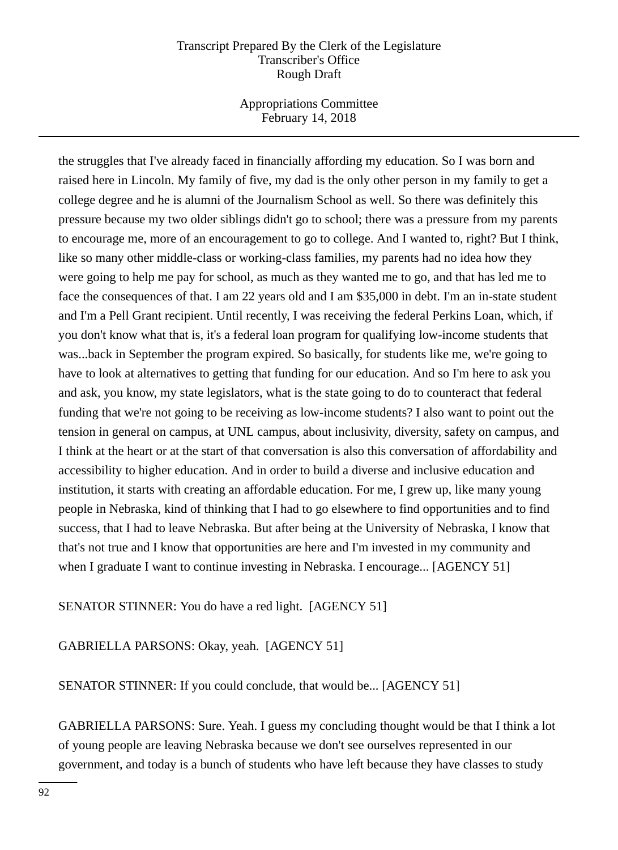Appropriations Committee February 14, 2018

the struggles that I've already faced in financially affording my education. So I was born and raised here in Lincoln. My family of five, my dad is the only other person in my family to get a college degree and he is alumni of the Journalism School as well. So there was definitely this pressure because my two older siblings didn't go to school; there was a pressure from my parents to encourage me, more of an encouragement to go to college. And I wanted to, right? But I think, like so many other middle-class or working-class families, my parents had no idea how they were going to help me pay for school, as much as they wanted me to go, and that has led me to face the consequences of that. I am 22 years old and I am \$35,000 in debt. I'm an in-state student and I'm a Pell Grant recipient. Until recently, I was receiving the federal Perkins Loan, which, if you don't know what that is, it's a federal loan program for qualifying low-income students that was...back in September the program expired. So basically, for students like me, we're going to have to look at alternatives to getting that funding for our education. And so I'm here to ask you and ask, you know, my state legislators, what is the state going to do to counteract that federal funding that we're not going to be receiving as low-income students? I also want to point out the tension in general on campus, at UNL campus, about inclusivity, diversity, safety on campus, and I think at the heart or at the start of that conversation is also this conversation of affordability and accessibility to higher education. And in order to build a diverse and inclusive education and institution, it starts with creating an affordable education. For me, I grew up, like many young people in Nebraska, kind of thinking that I had to go elsewhere to find opportunities and to find success, that I had to leave Nebraska. But after being at the University of Nebraska, I know that that's not true and I know that opportunities are here and I'm invested in my community and when I graduate I want to continue investing in Nebraska. I encourage... [AGENCY 51]

SENATOR STINNER: You do have a red light. [AGENCY 51]

GABRIELLA PARSONS: Okay, yeah. [AGENCY 51]

SENATOR STINNER: If you could conclude, that would be... [AGENCY 51]

GABRIELLA PARSONS: Sure. Yeah. I guess my concluding thought would be that I think a lot of young people are leaving Nebraska because we don't see ourselves represented in our government, and today is a bunch of students who have left because they have classes to study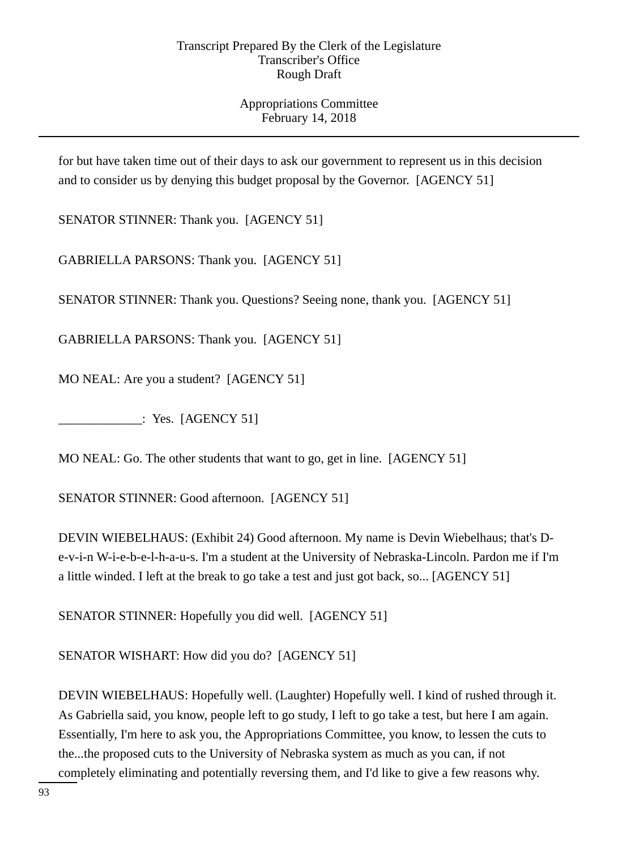# Appropriations Committee February 14, 2018

for but have taken time out of their days to ask our government to represent us in this decision and to consider us by denying this budget proposal by the Governor. [AGENCY 51]

SENATOR STINNER: Thank you. [AGENCY 51]

GABRIELLA PARSONS: Thank you. [AGENCY 51]

SENATOR STINNER: Thank you. Questions? Seeing none, thank you. [AGENCY 51]

GABRIELLA PARSONS: Thank you. [AGENCY 51]

MO NEAL: Are you a student? [AGENCY 51]

\_\_\_\_\_\_\_\_\_\_\_\_\_: Yes. [AGENCY 51]

MO NEAL: Go. The other students that want to go, get in line. [AGENCY 51]

SENATOR STINNER: Good afternoon. [AGENCY 51]

DEVIN WIEBELHAUS: (Exhibit 24) Good afternoon. My name is Devin Wiebelhaus; that's De-v-i-n W-i-e-b-e-l-h-a-u-s. I'm a student at the University of Nebraska-Lincoln. Pardon me if I'm a little winded. I left at the break to go take a test and just got back, so... [AGENCY 51]

SENATOR STINNER: Hopefully you did well. [AGENCY 51]

SENATOR WISHART: How did you do? [AGENCY 51]

DEVIN WIEBELHAUS: Hopefully well. (Laughter) Hopefully well. I kind of rushed through it. As Gabriella said, you know, people left to go study, I left to go take a test, but here I am again. Essentially, I'm here to ask you, the Appropriations Committee, you know, to lessen the cuts to the...the proposed cuts to the University of Nebraska system as much as you can, if not completely eliminating and potentially reversing them, and I'd like to give a few reasons why.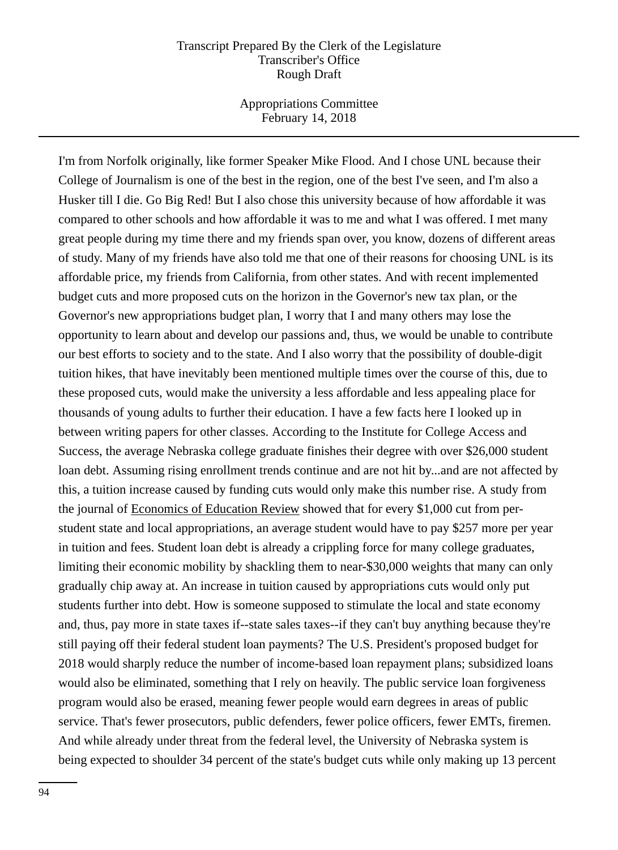Appropriations Committee February 14, 2018

I'm from Norfolk originally, like former Speaker Mike Flood. And I chose UNL because their College of Journalism is one of the best in the region, one of the best I've seen, and I'm also a Husker till I die. Go Big Red! But I also chose this university because of how affordable it was compared to other schools and how affordable it was to me and what I was offered. I met many great people during my time there and my friends span over, you know, dozens of different areas of study. Many of my friends have also told me that one of their reasons for choosing UNL is its affordable price, my friends from California, from other states. And with recent implemented budget cuts and more proposed cuts on the horizon in the Governor's new tax plan, or the Governor's new appropriations budget plan, I worry that I and many others may lose the opportunity to learn about and develop our passions and, thus, we would be unable to contribute our best efforts to society and to the state. And I also worry that the possibility of double-digit tuition hikes, that have inevitably been mentioned multiple times over the course of this, due to these proposed cuts, would make the university a less affordable and less appealing place for thousands of young adults to further their education. I have a few facts here I looked up in between writing papers for other classes. According to the Institute for College Access and Success, the average Nebraska college graduate finishes their degree with over \$26,000 student loan debt. Assuming rising enrollment trends continue and are not hit by...and are not affected by this, a tuition increase caused by funding cuts would only make this number rise. A study from the journal of Economics of Education Review showed that for every \$1,000 cut from perstudent state and local appropriations, an average student would have to pay \$257 more per year in tuition and fees. Student loan debt is already a crippling force for many college graduates, limiting their economic mobility by shackling them to near-\$30,000 weights that many can only gradually chip away at. An increase in tuition caused by appropriations cuts would only put students further into debt. How is someone supposed to stimulate the local and state economy and, thus, pay more in state taxes if--state sales taxes--if they can't buy anything because they're still paying off their federal student loan payments? The U.S. President's proposed budget for 2018 would sharply reduce the number of income-based loan repayment plans; subsidized loans would also be eliminated, something that I rely on heavily. The public service loan forgiveness program would also be erased, meaning fewer people would earn degrees in areas of public service. That's fewer prosecutors, public defenders, fewer police officers, fewer EMTs, firemen. And while already under threat from the federal level, the University of Nebraska system is being expected to shoulder 34 percent of the state's budget cuts while only making up 13 percent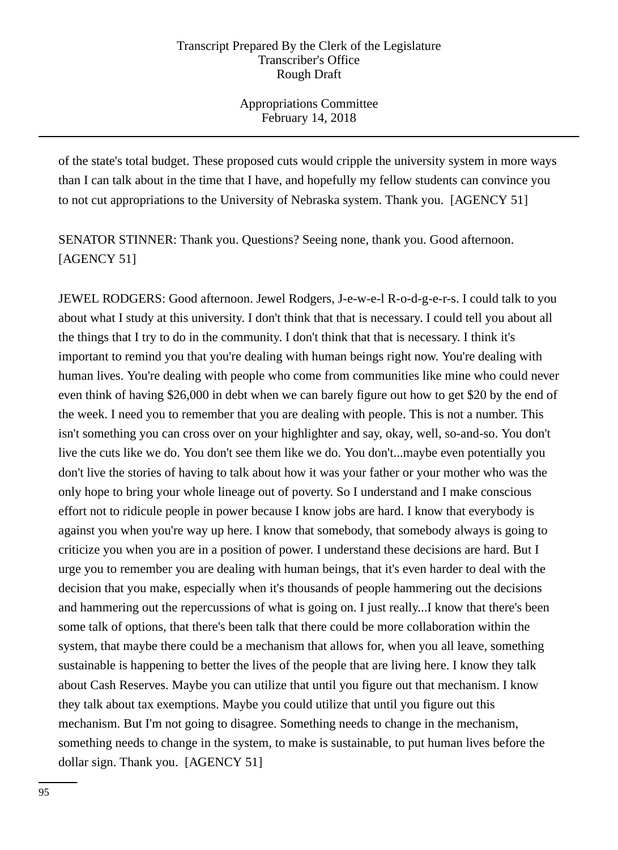Appropriations Committee February 14, 2018

of the state's total budget. These proposed cuts would cripple the university system in more ways than I can talk about in the time that I have, and hopefully my fellow students can convince you to not cut appropriations to the University of Nebraska system. Thank you. [AGENCY 51]

SENATOR STINNER: Thank you. Questions? Seeing none, thank you. Good afternoon. [AGENCY 51]

JEWEL RODGERS: Good afternoon. Jewel Rodgers, J-e-w-e-l R-o-d-g-e-r-s. I could talk to you about what I study at this university. I don't think that that is necessary. I could tell you about all the things that I try to do in the community. I don't think that that is necessary. I think it's important to remind you that you're dealing with human beings right now. You're dealing with human lives. You're dealing with people who come from communities like mine who could never even think of having \$26,000 in debt when we can barely figure out how to get \$20 by the end of the week. I need you to remember that you are dealing with people. This is not a number. This isn't something you can cross over on your highlighter and say, okay, well, so-and-so. You don't live the cuts like we do. You don't see them like we do. You don't...maybe even potentially you don't live the stories of having to talk about how it was your father or your mother who was the only hope to bring your whole lineage out of poverty. So I understand and I make conscious effort not to ridicule people in power because I know jobs are hard. I know that everybody is against you when you're way up here. I know that somebody, that somebody always is going to criticize you when you are in a position of power. I understand these decisions are hard. But I urge you to remember you are dealing with human beings, that it's even harder to deal with the decision that you make, especially when it's thousands of people hammering out the decisions and hammering out the repercussions of what is going on. I just really...I know that there's been some talk of options, that there's been talk that there could be more collaboration within the system, that maybe there could be a mechanism that allows for, when you all leave, something sustainable is happening to better the lives of the people that are living here. I know they talk about Cash Reserves. Maybe you can utilize that until you figure out that mechanism. I know they talk about tax exemptions. Maybe you could utilize that until you figure out this mechanism. But I'm not going to disagree. Something needs to change in the mechanism, something needs to change in the system, to make is sustainable, to put human lives before the dollar sign. Thank you. [AGENCY 51]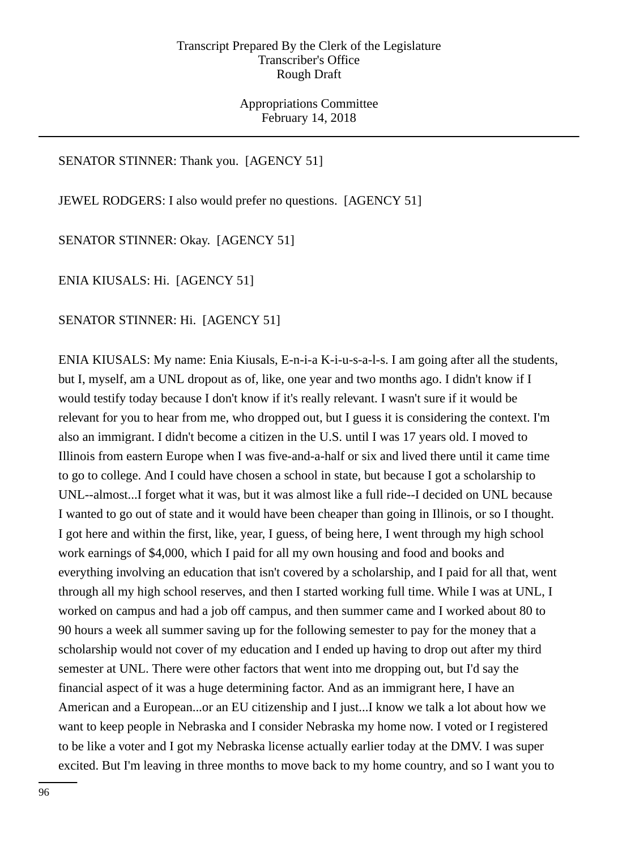Appropriations Committee February 14, 2018

# SENATOR STINNER: Thank you. [AGENCY 51]

JEWEL RODGERS: I also would prefer no questions. [AGENCY 51]

SENATOR STINNER: Okay. [AGENCY 51]

ENIA KIUSALS: Hi. [AGENCY 51]

SENATOR STINNER: Hi. [AGENCY 51]

ENIA KIUSALS: My name: Enia Kiusals, E-n-i-a K-i-u-s-a-l-s. I am going after all the students, but I, myself, am a UNL dropout as of, like, one year and two months ago. I didn't know if I would testify today because I don't know if it's really relevant. I wasn't sure if it would be relevant for you to hear from me, who dropped out, but I guess it is considering the context. I'm also an immigrant. I didn't become a citizen in the U.S. until I was 17 years old. I moved to Illinois from eastern Europe when I was five-and-a-half or six and lived there until it came time to go to college. And I could have chosen a school in state, but because I got a scholarship to UNL--almost...I forget what it was, but it was almost like a full ride--I decided on UNL because I wanted to go out of state and it would have been cheaper than going in Illinois, or so I thought. I got here and within the first, like, year, I guess, of being here, I went through my high school work earnings of \$4,000, which I paid for all my own housing and food and books and everything involving an education that isn't covered by a scholarship, and I paid for all that, went through all my high school reserves, and then I started working full time. While I was at UNL, I worked on campus and had a job off campus, and then summer came and I worked about 80 to 90 hours a week all summer saving up for the following semester to pay for the money that a scholarship would not cover of my education and I ended up having to drop out after my third semester at UNL. There were other factors that went into me dropping out, but I'd say the financial aspect of it was a huge determining factor. And as an immigrant here, I have an American and a European...or an EU citizenship and I just...I know we talk a lot about how we want to keep people in Nebraska and I consider Nebraska my home now. I voted or I registered to be like a voter and I got my Nebraska license actually earlier today at the DMV. I was super excited. But I'm leaving in three months to move back to my home country, and so I want you to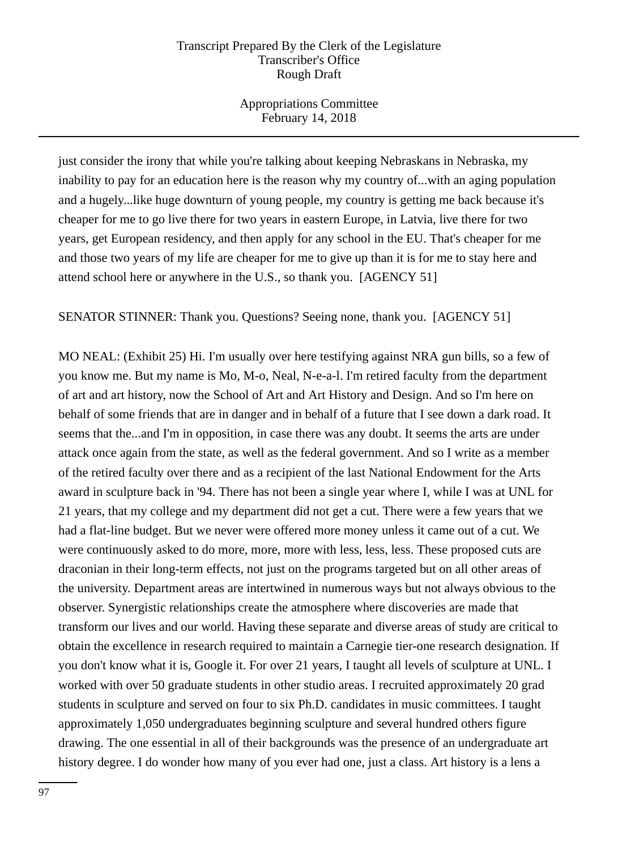Appropriations Committee February 14, 2018

just consider the irony that while you're talking about keeping Nebraskans in Nebraska, my inability to pay for an education here is the reason why my country of...with an aging population and a hugely...like huge downturn of young people, my country is getting me back because it's cheaper for me to go live there for two years in eastern Europe, in Latvia, live there for two years, get European residency, and then apply for any school in the EU. That's cheaper for me and those two years of my life are cheaper for me to give up than it is for me to stay here and attend school here or anywhere in the U.S., so thank you. [AGENCY 51]

SENATOR STINNER: Thank you. Questions? Seeing none, thank you. [AGENCY 51]

MO NEAL: (Exhibit 25) Hi. I'm usually over here testifying against NRA gun bills, so a few of you know me. But my name is Mo, M-o, Neal, N-e-a-l. I'm retired faculty from the department of art and art history, now the School of Art and Art History and Design. And so I'm here on behalf of some friends that are in danger and in behalf of a future that I see down a dark road. It seems that the...and I'm in opposition, in case there was any doubt. It seems the arts are under attack once again from the state, as well as the federal government. And so I write as a member of the retired faculty over there and as a recipient of the last National Endowment for the Arts award in sculpture back in '94. There has not been a single year where I, while I was at UNL for 21 years, that my college and my department did not get a cut. There were a few years that we had a flat-line budget. But we never were offered more money unless it came out of a cut. We were continuously asked to do more, more, more with less, less, less. These proposed cuts are draconian in their long-term effects, not just on the programs targeted but on all other areas of the university. Department areas are intertwined in numerous ways but not always obvious to the observer. Synergistic relationships create the atmosphere where discoveries are made that transform our lives and our world. Having these separate and diverse areas of study are critical to obtain the excellence in research required to maintain a Carnegie tier-one research designation. If you don't know what it is, Google it. For over 21 years, I taught all levels of sculpture at UNL. I worked with over 50 graduate students in other studio areas. I recruited approximately 20 grad students in sculpture and served on four to six Ph.D. candidates in music committees. I taught approximately 1,050 undergraduates beginning sculpture and several hundred others figure drawing. The one essential in all of their backgrounds was the presence of an undergraduate art history degree. I do wonder how many of you ever had one, just a class. Art history is a lens a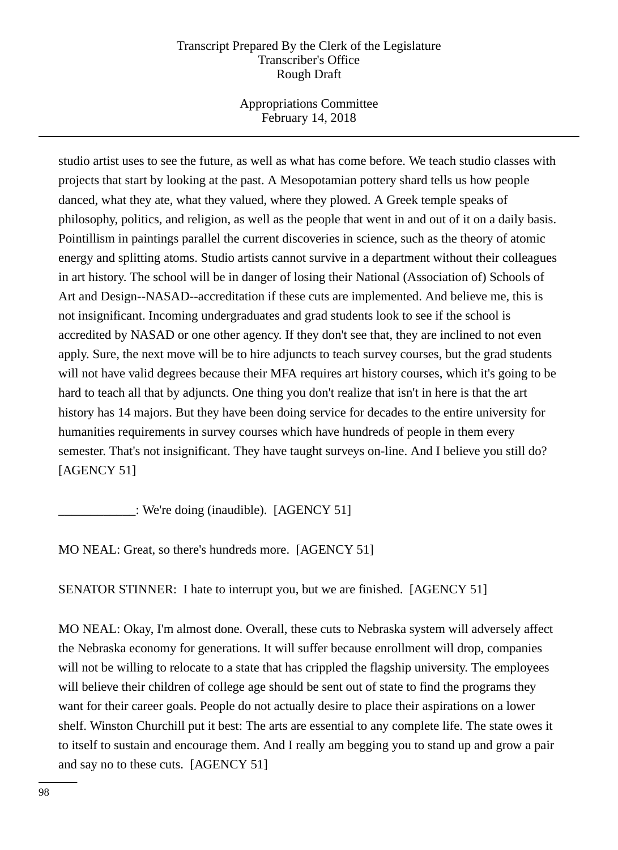Appropriations Committee February 14, 2018

studio artist uses to see the future, as well as what has come before. We teach studio classes with projects that start by looking at the past. A Mesopotamian pottery shard tells us how people danced, what they ate, what they valued, where they plowed. A Greek temple speaks of philosophy, politics, and religion, as well as the people that went in and out of it on a daily basis. Pointillism in paintings parallel the current discoveries in science, such as the theory of atomic energy and splitting atoms. Studio artists cannot survive in a department without their colleagues in art history. The school will be in danger of losing their National (Association of) Schools of Art and Design--NASAD--accreditation if these cuts are implemented. And believe me, this is not insignificant. Incoming undergraduates and grad students look to see if the school is accredited by NASAD or one other agency. If they don't see that, they are inclined to not even apply. Sure, the next move will be to hire adjuncts to teach survey courses, but the grad students will not have valid degrees because their MFA requires art history courses, which it's going to be hard to teach all that by adjuncts. One thing you don't realize that isn't in here is that the art history has 14 majors. But they have been doing service for decades to the entire university for humanities requirements in survey courses which have hundreds of people in them every semester. That's not insignificant. They have taught surveys on-line. And I believe you still do? [AGENCY 51]

\_\_\_\_\_\_\_\_\_\_\_\_: We're doing (inaudible). [AGENCY 51]

MO NEAL: Great, so there's hundreds more. [AGENCY 51]

SENATOR STINNER: I hate to interrupt you, but we are finished. [AGENCY 51]

MO NEAL: Okay, I'm almost done. Overall, these cuts to Nebraska system will adversely affect the Nebraska economy for generations. It will suffer because enrollment will drop, companies will not be willing to relocate to a state that has crippled the flagship university. The employees will believe their children of college age should be sent out of state to find the programs they want for their career goals. People do not actually desire to place their aspirations on a lower shelf. Winston Churchill put it best: The arts are essential to any complete life. The state owes it to itself to sustain and encourage them. And I really am begging you to stand up and grow a pair and say no to these cuts. [AGENCY 51]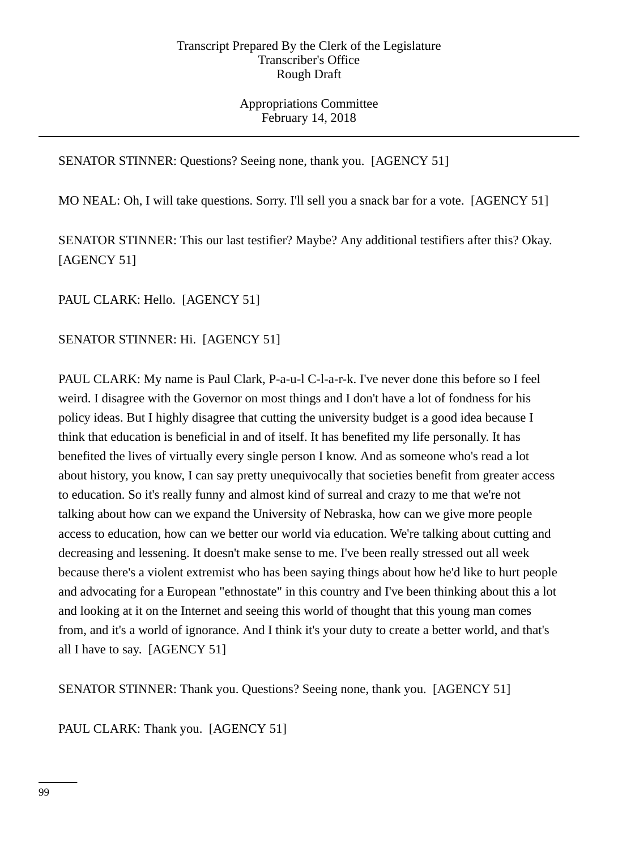Appropriations Committee February 14, 2018

# SENATOR STINNER: Questions? Seeing none, thank you. [AGENCY 51]

MO NEAL: Oh, I will take questions. Sorry. I'll sell you a snack bar for a vote. [AGENCY 51]

SENATOR STINNER: This our last testifier? Maybe? Any additional testifiers after this? Okay. [AGENCY 51]

PAUL CLARK: Hello. [AGENCY 51]

# SENATOR STINNER: Hi. [AGENCY 51]

PAUL CLARK: My name is Paul Clark, P-a-u-l C-l-a-r-k. I've never done this before so I feel weird. I disagree with the Governor on most things and I don't have a lot of fondness for his policy ideas. But I highly disagree that cutting the university budget is a good idea because I think that education is beneficial in and of itself. It has benefited my life personally. It has benefited the lives of virtually every single person I know. And as someone who's read a lot about history, you know, I can say pretty unequivocally that societies benefit from greater access to education. So it's really funny and almost kind of surreal and crazy to me that we're not talking about how can we expand the University of Nebraska, how can we give more people access to education, how can we better our world via education. We're talking about cutting and decreasing and lessening. It doesn't make sense to me. I've been really stressed out all week because there's a violent extremist who has been saying things about how he'd like to hurt people and advocating for a European "ethnostate" in this country and I've been thinking about this a lot and looking at it on the Internet and seeing this world of thought that this young man comes from, and it's a world of ignorance. And I think it's your duty to create a better world, and that's all I have to say. [AGENCY 51]

SENATOR STINNER: Thank you. Questions? Seeing none, thank you. [AGENCY 51]

PAUL CLARK: Thank you. [AGENCY 51]